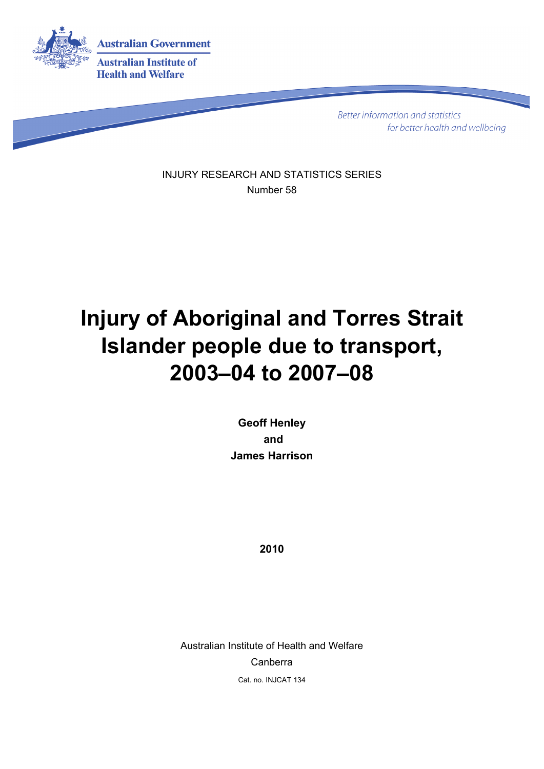

**Better information and statistics** for better health and wellbeing

INJURY RESEARCH AND STATISTICS SERIES Number 58

# **Injury of Aboriginal and Torres Strait Islander people due to transport, 2003–04 to 2007–08**

**Geoff Henley and James Harrison** 

**2010** 

Australian Institute of Health and Welfare Canberra Cat. no. INJCAT 134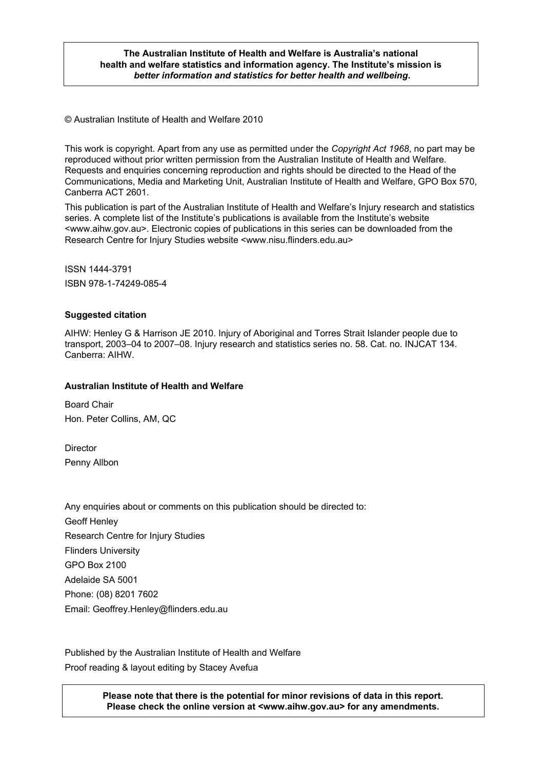#### **The Australian Institute of Health and Welfare is Australia's national health and welfare statistics and information agency. The Institute's mission is**  *better information and statistics for better health and wellbeing***.**

© Australian Institute of Health and Welfare 2010

This work is copyright. Apart from any use as permitted under the *Copyright Act 1968*, no part may be reproduced without prior written permission from the Australian Institute of Health and Welfare. Requests and enquiries concerning reproduction and rights should be directed to the Head of the Communications, Media and Marketing Unit, Australian Institute of Health and Welfare, GPO Box 570, Canberra ACT 2601.

This publication is part of the Australian Institute of Health and Welfare's Injury research and statistics series. A complete list of the Institute's publications is available from the Institute's website <www.aihw.gov.au>. Electronic copies of publications in this series can be downloaded from the Research Centre for Injury Studies website <www.nisu.flinders.edu.au>

ISSN 1444-3791 ISBN 978-1-74249-085-4

#### **Suggested citation**

AIHW: Henley G & Harrison JE 2010. Injury of Aboriginal and Torres Strait Islander people due to transport, 2003–04 to 2007–08. Injury research and statistics series no. 58. Cat. no. INJCAT 134. Canberra: AIHW.

#### **Australian Institute of Health and Welfare**

Board Chair Hon. Peter Collins, AM, QC

**Director** Penny Allbon

Any enquiries about or comments on this publication should be directed to: Geoff Henley Research Centre for Injury Studies Flinders University GPO Box 2100 Adelaide SA 5001 Phone: (08) 8201 7602 Email: Geoffrey.Henley@flinders.edu.au

Published by the Australian Institute of Health and Welfare Proof reading & layout editing by Stacey Avefua

> 2 **Please check the online version at <www.aihw.gov.au> for any amendments. Please note that there is the potential for minor revisions of data in this report.**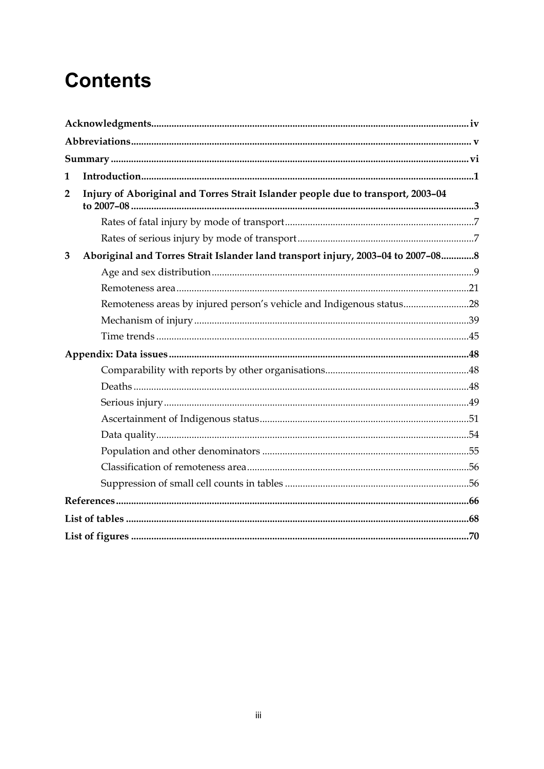## **Contents**

| 1              |                                                                                  |  |
|----------------|----------------------------------------------------------------------------------|--|
| $\overline{2}$ | Injury of Aboriginal and Torres Strait Islander people due to transport, 2003-04 |  |
|                |                                                                                  |  |
|                |                                                                                  |  |
| 3              | Aboriginal and Torres Strait Islander land transport injury, 2003-04 to 2007-088 |  |
|                |                                                                                  |  |
|                |                                                                                  |  |
|                | Remoteness areas by injured person's vehicle and Indigenous status28             |  |
|                |                                                                                  |  |
|                |                                                                                  |  |
|                |                                                                                  |  |
|                |                                                                                  |  |
|                |                                                                                  |  |
|                |                                                                                  |  |
|                |                                                                                  |  |
|                |                                                                                  |  |
|                |                                                                                  |  |
|                |                                                                                  |  |
|                |                                                                                  |  |
|                |                                                                                  |  |
|                |                                                                                  |  |
|                |                                                                                  |  |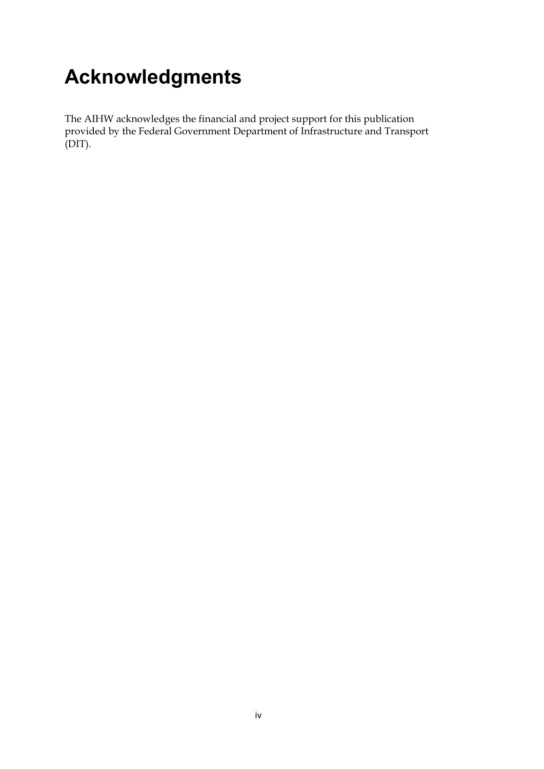# <span id="page-3-0"></span>**Acknowledgments**

The AIHW acknowledges the financial and project support for this publication provided by the Federal Government Department of Infrastructure and Transport (DIT).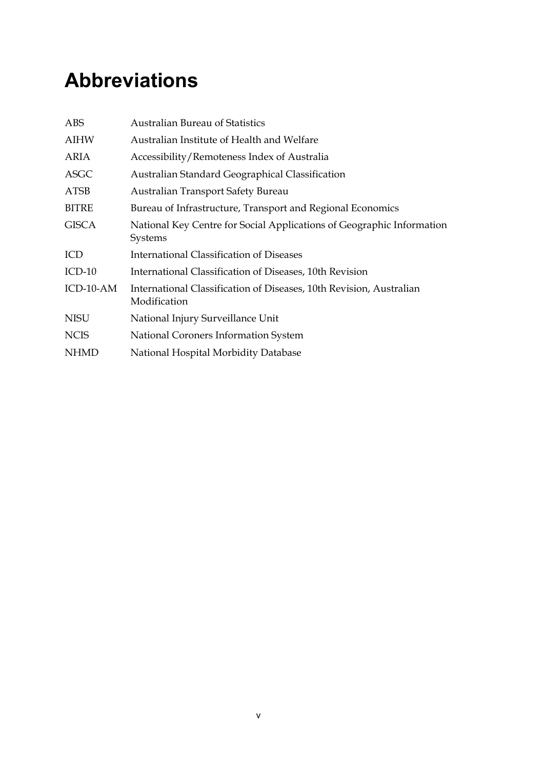## <span id="page-4-0"></span>**Abbreviations**

| ABS          | <b>Australian Bureau of Statistics</b>                                              |
|--------------|-------------------------------------------------------------------------------------|
| <b>AIHW</b>  | Australian Institute of Health and Welfare                                          |
| ARIA         | Accessibility/Remoteness Index of Australia                                         |
| <b>ASGC</b>  | Australian Standard Geographical Classification                                     |
| <b>ATSB</b>  | Australian Transport Safety Bureau                                                  |
| <b>BITRE</b> | Bureau of Infrastructure, Transport and Regional Economics                          |
| <b>GISCA</b> | National Key Centre for Social Applications of Geographic Information<br>Systems    |
| ICD          | <b>International Classification of Diseases</b>                                     |
| $ICD-10$     | International Classification of Diseases, 10th Revision                             |
| ICD-10-AM    | International Classification of Diseases, 10th Revision, Australian<br>Modification |
| <b>NISU</b>  | National Injury Surveillance Unit                                                   |
| <b>NCIS</b>  | National Coroners Information System                                                |
| <b>NHMD</b>  | National Hospital Morbidity Database                                                |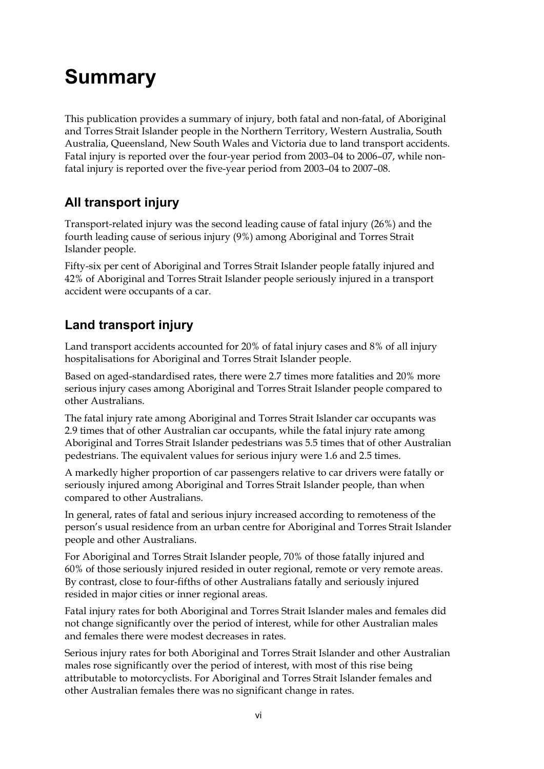# <span id="page-5-0"></span>**Summary**

This publication provides a summary of injury, both fatal and non-fatal, of Aboriginal and Torres Strait Islander people in the Northern Territory, Western Australia, South Australia, Queensland, New South Wales and Victoria due to land transport accidents. Fatal injury is reported over the four-year period from 2003–04 to 2006–07, while nonfatal injury is reported over the five-year period from 2003–04 to 2007–08.

### **All transport injury**

Transport-related injury was the second leading cause of fatal injury (26%) and the fourth leading cause of serious injury (9%) among Aboriginal and Torres Strait Islander people.

Fifty-six per cent of Aboriginal and Torres Strait Islander people fatally injured and 42% of Aboriginal and Torres Strait Islander people seriously injured in a transport accident were occupants of a car.

### **Land transport injury**

Land transport accidents accounted for 20% of fatal injury cases and 8% of all injury hospitalisations for Aboriginal and Torres Strait Islander people.

Based on aged-standardised rates, there were 2.7 times more fatalities and 20% more serious injury cases among Aboriginal and Torres Strait Islander people compared to other Australians.

The fatal injury rate among Aboriginal and Torres Strait Islander car occupants was 2.9 times that of other Australian car occupants, while the fatal injury rate among Aboriginal and Torres Strait Islander pedestrians was 5.5 times that of other Australian pedestrians. The equivalent values for serious injury were 1.6 and 2.5 times.

A markedly higher proportion of car passengers relative to car drivers were fatally or seriously injured among Aboriginal and Torres Strait Islander people, than when compared to other Australians.

In general, rates of fatal and serious injury increased according to remoteness of the person's usual residence from an urban centre for Aboriginal and Torres Strait Islander people and other Australians.

For Aboriginal and Torres Strait Islander people, 70% of those fatally injured and 60% of those seriously injured resided in outer regional, remote or very remote areas. By contrast, close to four-fifths of other Australians fatally and seriously injured resided in major cities or inner regional areas.

Fatal injury rates for both Aboriginal and Torres Strait Islander males and females did not change significantly over the period of interest, while for other Australian males and females there were modest decreases in rates.

Serious injury rates for both Aboriginal and Torres Strait Islander and other Australian males rose significantly over the period of interest, with most of this rise being attributable to motorcyclists. For Aboriginal and Torres Strait Islander females and other Australian females there was no significant change in rates.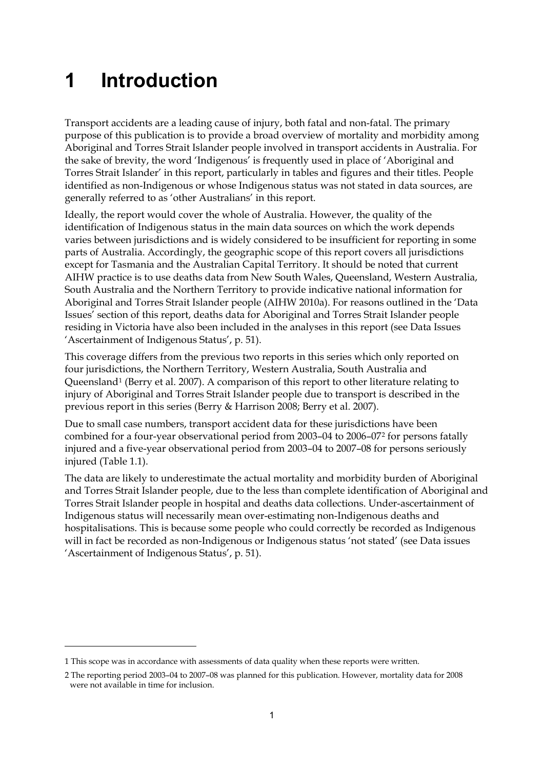## <span id="page-6-0"></span>**1 Introduction**

Transport accidents are a leading cause of injury, both fatal and non-fatal. The primary purpose of this publication is to provide a broad overview of mortality and morbidity among Aboriginal and Torres Strait Islander people involved in transport accidents in Australia. For the sake of brevity, the word 'Indigenous' is frequently used in place of 'Aboriginal and Torres Strait Islander' in this report, particularly in tables and figures and their titles. People identified as non-Indigenous or whose Indigenous status was not stated in data sources, are generally referred to as 'other Australians' in this report.

Ideally, the report would cover the whole of Australia. However, the quality of the identification of Indigenous status in the main data sources on which the work depends varies between jurisdictions and is widely considered to be insufficient for reporting in some parts of Australia. Accordingly, the geographic scope of this report covers all jurisdictions except for Tasmania and the Australian Capital Territory. It should be noted that current AIHW practice is to use deaths data from New South Wales, Queensland, Western Australia, South Australia and the Northern Territory to provide indicative national information for Aboriginal and Torres Strait Islander people (AIHW 2010a). For reasons outlined in the 'Data Issues' section of this report, deaths data for Aboriginal and Torres Strait Islander people residing in Victoria have also been included in the analyses in this report (see Data Issues 'Ascertainment of Indigenous Status', p. 51).

This coverage differs from the previous two reports in this series which only reported on four jurisdictions, the Northern Territory, Western Australia, South Australia and Queensland<sup>1</sup> (Berry et al. 2007). A comparison of this report to other literature relating to injury of Aboriginal and Torres Strait Islander people due to transport is described in the previous report in this series (Berry & Harrison 2008; Berry et al. 2007).

Due to small case numbers, transport accident data for these jurisdictions have been combined for a four-year observational period from 2003–04 to 2006–07[2](#page-6-2) for persons fatally injured and a five-year observational period from 2003–04 to 2007–08 for persons seriously injured (Table 1.1).

The data are likely to underestimate the actual mortality and morbidity burden of Aboriginal and Torres Strait Islander people, due to the less than complete identification of Aboriginal and Torres Strait Islander people in hospital and deaths data collections. Under-ascertainment of Indigenous status will necessarily mean over-estimating non-Indigenous deaths and hospitalisations. This is because some people who could correctly be recorded as Indigenous will in fact be recorded as non-Indigenous or Indigenous status 'not stated' (see Data issues 'Ascertainment of Indigenous Status', p. 51).

<u>.</u>

<span id="page-6-1"></span><sup>1</sup> This scope was in accordance with assessments of data quality when these reports were written.

<span id="page-6-2"></span><sup>2</sup> The reporting period 2003–04 to 2007–08 was planned for this publication. However, mortality data for 2008 were not available in time for inclusion.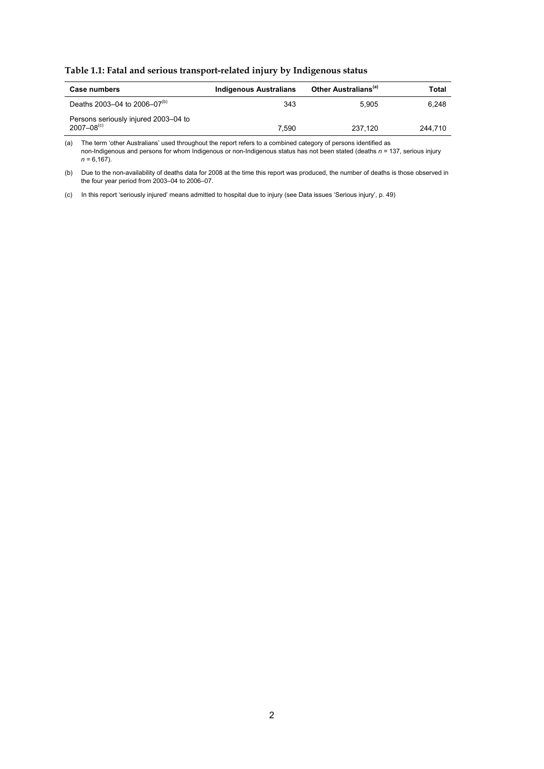**Table 1.1: Fatal and serious transport-related injury by Indigenous status** 

| Case numbers                                                       | <b>Indigenous Australians</b> | Other Australians <sup>(a)</sup> | Total   |
|--------------------------------------------------------------------|-------------------------------|----------------------------------|---------|
| Deaths 2003-04 to 2006-07 <sup>(b)</sup>                           | 343                           | 5.905                            | 6.248   |
| Persons seriously injured 2003–04 to<br>$2007 - 08$ <sup>(c)</sup> | 7.590                         | 237.120                          | 244.710 |

(a) The term 'other Australians' used throughout the report refers to a combined category of persons identified as non-Indigenous and persons for whom Indigenous or non-Indigenous status has not been stated (deaths *n =* 137, serious injury  $n = 6,167$ ).

(b) Due to the non-availability of deaths data for 2008 at the time this report was produced, the number of deaths is those observed in the four year period from 2003–04 to 2006–07.

(c) In this report 'seriously injured' means admitted to hospital due to injury (see Data issues 'Serious injury', p. 49)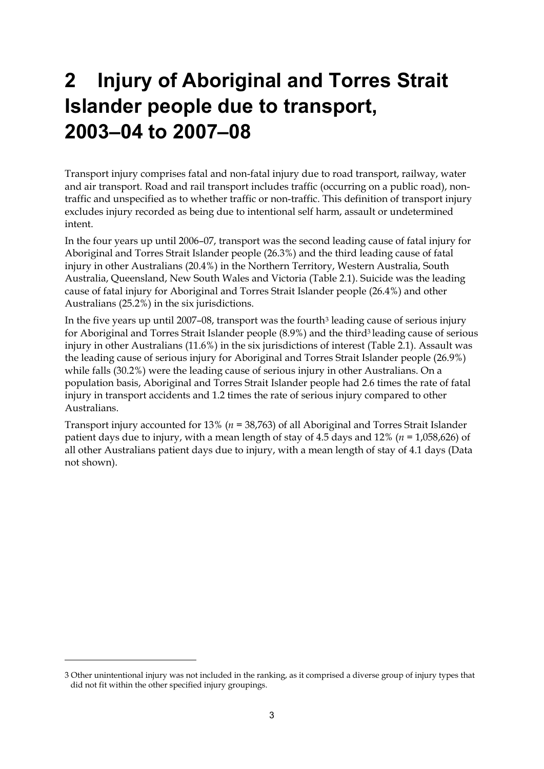# <span id="page-8-0"></span>**2 Injury of Aboriginal and Torres Strait Islander people due to transport, 2003–04 to 2007–08**

Transport injury comprises fatal and non-fatal injury due to road transport, railway, water and air transport. Road and rail transport includes traffic (occurring on a public road), nontraffic and unspecified as to whether traffic or non-traffic. This definition of transport injury excludes injury recorded as being due to intentional self harm, assault or undetermined intent.

In the four years up until 2006–07, transport was the second leading cause of fatal injury for Aboriginal and Torres Strait Islander people (26.3%) and the third leading cause of fatal injury in other Australians (20.4%) in the Northern Territory, Western Australia, South Australia, Queensland, New South Wales and Victoria (Table 2.1). Suicide was the leading cause of fatal injury for Aboriginal and Torres Strait Islander people (26.4%) and other Australians (25.2%) in the six jurisdictions.

In the five years up until 2007–08, transport was the fourth<sup>3</sup> leading cause of serious injury for Aboriginal and Torres Strait Islander people (8.9%) and the third3 leading cause of serious injury in other Australians (11.6%) in the six jurisdictions of interest (Table 2.1). Assault was the leading cause of serious injury for Aboriginal and Torres Strait Islander people (26.9%) while falls (30.2%) were the leading cause of serious injury in other Australians. On a population basis, Aboriginal and Torres Strait Islander people had 2.6 times the rate of fatal injury in transport accidents and 1.2 times the rate of serious injury compared to other Australians.

Transport injury accounted for 13% (*n =* 38,763) of all Aboriginal and Torres Strait Islander patient days due to injury, with a mean length of stay of 4.5 days and 12% (*n =* 1,058,626) of all other Australians patient days due to injury, with a mean length of stay of 4.1 days (Data not shown).

-

<span id="page-8-1"></span><sup>3</sup> Other unintentional injury was not included in the ranking, as it comprised a diverse group of injury types that did not fit within the other specified injury groupings.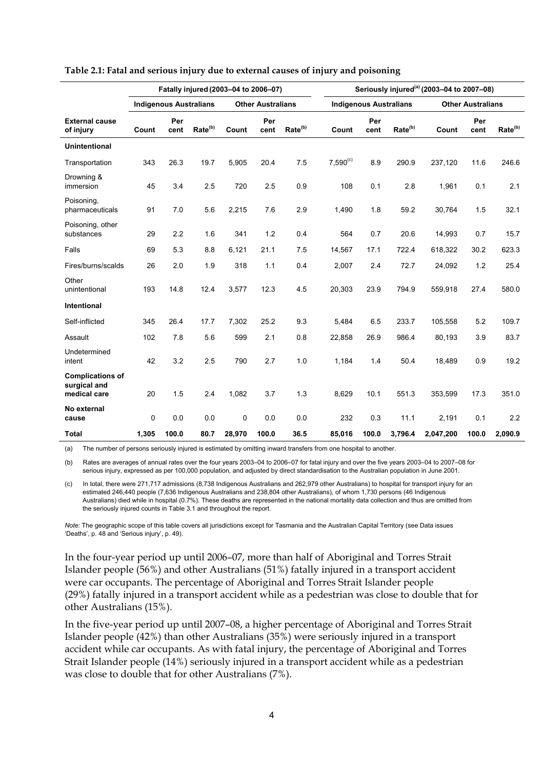|                                                         |             |                               |                     | Fatally injured (2003-04 to 2006-07) |                          |                     |               |                               |                     | Seriously injured <sup>(a)</sup> (2003-04 to 2007-08) |                          |                     |
|---------------------------------------------------------|-------------|-------------------------------|---------------------|--------------------------------------|--------------------------|---------------------|---------------|-------------------------------|---------------------|-------------------------------------------------------|--------------------------|---------------------|
|                                                         |             | <b>Indigenous Australians</b> |                     |                                      | <b>Other Australians</b> |                     |               | <b>Indigenous Australians</b> |                     |                                                       | <b>Other Australians</b> |                     |
| <b>External cause</b><br>of injury                      | Count       | Per<br>cent                   | Rate <sup>(b)</sup> | Count                                | Per<br>cent              | Rate <sup>(b)</sup> | Count         | Per<br>cent                   | Rate <sup>(b)</sup> | Count                                                 | Per<br>cent              | Rate <sup>(b)</sup> |
| <b>Unintentional</b>                                    |             |                               |                     |                                      |                          |                     |               |                               |                     |                                                       |                          |                     |
| Transportation                                          | 343         | 26.3                          | 19.7                | 5,905                                | 20.4                     | 7.5                 | $7,590^{(c)}$ | 8.9                           | 290.9               | 237,120                                               | 11.6                     | 246.6               |
| Drowning &<br>immersion                                 | 45          | 3.4                           | 2.5                 | 720                                  | 2.5                      | 0.9                 | 108           | 0.1                           | 2.8                 | 1,961                                                 | 0.1                      | 2.1                 |
| Poisoning,<br>pharmaceuticals                           | 91          | 7.0                           | 5.6                 | 2,215                                | 7.6                      | 2.9                 | 1,490         | 1.8                           | 59.2                | 30,764                                                | 1.5                      | 32.1                |
| Poisoning, other<br>substances                          | 29          | 2.2                           | 1.6                 | 341                                  | 1.2                      | 0.4                 | 564           | 0.7                           | 20.6                | 14,993                                                | 0.7                      | 15.7                |
| Falls                                                   | 69          | 5.3                           | 8.8                 | 6,121                                | 21.1                     | 7.5                 | 14,567        | 17.1                          | 722.4               | 618,322                                               | 30.2                     | 623.3               |
| Fires/burns/scalds                                      | 26          | 2.0                           | 1.9                 | 318                                  | 1.1                      | 0.4                 | 2,007         | 2.4                           | 72.7                | 24,092                                                | 1.2                      | 25.4                |
| Other<br>unintentional                                  | 193         | 14.8                          | 12.4                | 3,577                                | 12.3                     | 4.5                 | 20,303        | 23.9                          | 794.9               | 559,918                                               | 27.4                     | 580.0               |
| <b>Intentional</b>                                      |             |                               |                     |                                      |                          |                     |               |                               |                     |                                                       |                          |                     |
| Self-inflicted                                          | 345         | 26.4                          | 17.7                | 7,302                                | 25.2                     | 9.3                 | 5,484         | 6.5                           | 233.7               | 105,558                                               | 5.2                      | 109.7               |
| Assault                                                 | 102         | 7.8                           | 5.6                 | 599                                  | 2.1                      | 0.8                 | 22,858        | 26.9                          | 986.4               | 80,193                                                | 3.9                      | 83.7                |
| Undetermined<br>intent                                  | 42          | 3.2                           | 2.5                 | 790                                  | 2.7                      | 1.0                 | 1,184         | 1.4                           | 50.4                | 18,489                                                | 0.9                      | 19.2                |
| <b>Complications of</b><br>surgical and<br>medical care | 20          | 1.5                           | 2.4                 | 1,082                                | 3.7                      | 1.3                 | 8,629         | 10.1                          | 551.3               | 353,599                                               | 17.3                     | 351.0               |
| No external<br>cause                                    | $\mathbf 0$ | 0.0                           | 0.0                 | $\mathbf 0$                          | 0.0                      | 0.0                 | 232           | 0.3                           | 11.1                | 2.191                                                 | 0.1                      | 2.2                 |
| <b>Total</b>                                            | 1,305       | 100.0                         | 80.7                | 28,970                               | 100.0                    | 36.5                | 85,016        | 100.0                         | 3,796.4             | 2,047,200                                             | 100.0                    | 2,090.9             |

#### **Table 2.1: Fatal and serious injury due to external causes of injury and poisoning**

(a) The number of persons seriously injured is estimated by omitting inward transfers from one hospital to another.

(b) Rates are averages of annual rates over the four years 2003–04 to 2006–07 for fatal injury and over the five years 2003–04 to 2007–08 for serious injury, expressed as per 100,000 population, and adjusted by direct standardisation to the Australian population in June 2001.

(c) In total, there were 271,717 admissions (8,738 Indigenous Australians and 262,979 other Australians) to hospital for transport injury for an estimated 246,440 people (7,636 Indigenous Australians and 238,804 other Australians), of whom 1,730 persons (46 Indigenous Australians) died while in hospital (0.7%). These deaths are represented in the national mortality data collection and thus are omitted from the seriously injured counts in Table 3.1 and throughout the report.

*Note:* The geographic scope of this table covers all jurisdictions except for Tasmania and the Australian Capital Territory (see Data issues 'Deaths', p. 48 and 'Serious injury', p. 49).

In the four-year period up until 2006–07, more than half of Aboriginal and Torres Strait Islander people (56%) and other Australians (51%) fatally injured in a transport accident were car occupants. The percentage of Aboriginal and Torres Strait Islander people (29%) fatally injured in a transport accident while as a pedestrian was close to double that for other Australians (15%).

In the five-year period up until 2007–08, a higher percentage of Aboriginal and Torres Strait Islander people (42%) than other Australians (35%) were seriously injured in a transport accident while car occupants. As with fatal injury, the percentage of Aboriginal and Torres Strait Islander people (14%) seriously injured in a transport accident while as a pedestrian was close to double that for other Australians (7%).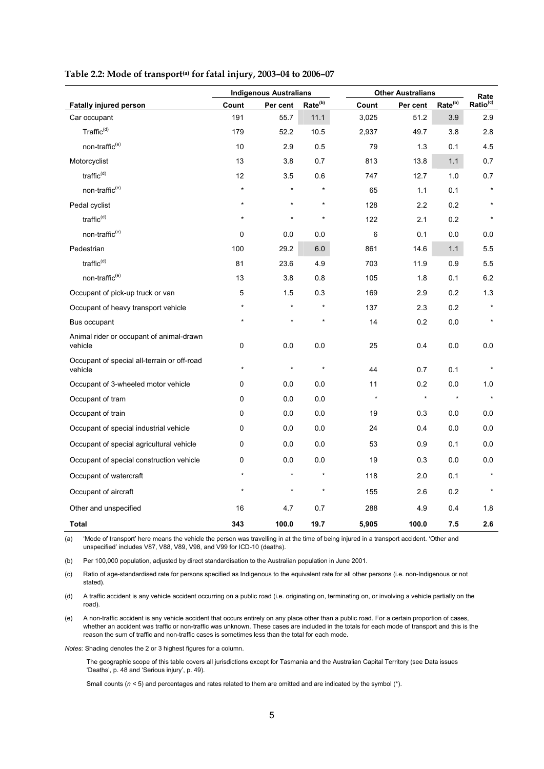|                                                        |             | <b>Indigenous Australians</b> |                     |         | <b>Other Australians</b> |                     | Rate                 |
|--------------------------------------------------------|-------------|-------------------------------|---------------------|---------|--------------------------|---------------------|----------------------|
| <b>Fatally injured person</b>                          | Count       | Per cent                      | Rate <sup>(b)</sup> | Count   | Per cent                 | Rate <sup>(b)</sup> | Ratio <sup>(c)</sup> |
| Car occupant                                           | 191         | 55.7                          | 11.1                | 3,025   | 51.2                     | 3.9                 | 2.9                  |
| Traffic <sup>(d)</sup>                                 | 179         | 52.2                          | 10.5                | 2,937   | 49.7                     | 3.8                 | 2.8                  |
| non-traffic <sup>(e)</sup>                             | 10          | 2.9                           | 0.5                 | 79      | 1.3                      | 0.1                 | 4.5                  |
| Motorcyclist                                           | 13          | 3.8                           | 0.7                 | 813     | 13.8                     | $1.1$               | 0.7                  |
| traffic $(d)$                                          | 12          | 3.5                           | 0.6                 | 747     | 12.7                     | 1.0                 | 0.7                  |
| non-traffic <sup>(e)</sup>                             | $\star$     | $\star$                       | $\star$             | 65      | 1.1                      | 0.1                 | $\star$              |
| Pedal cyclist                                          | $\star$     | $\star$                       | $\star$             | 128     | 2.2                      | 0.2                 |                      |
| traffic <sup>(d)</sup>                                 | $\star$     | $\star$                       | $\star$             | 122     | 2.1                      | 0.2                 | $\star$              |
| non-traffic <sup>(e)</sup>                             | $\mathbf 0$ | 0.0                           | 0.0                 | 6       | 0.1                      | 0.0                 | 0.0                  |
| Pedestrian                                             | 100         | 29.2                          | 6.0                 | 861     | 14.6                     | $1.1$               | 5.5                  |
| traffic <sup>(d)</sup>                                 | 81          | 23.6                          | 4.9                 | 703     | 11.9                     | 0.9                 | 5.5                  |
| non-traffic <sup>(e)</sup>                             | 13          | 3.8                           | 0.8                 | 105     | 1.8                      | 0.1                 | 6.2                  |
| Occupant of pick-up truck or van                       | 5           | 1.5                           | 0.3                 | 169     | 2.9                      | 0.2                 | 1.3                  |
| Occupant of heavy transport vehicle                    |             | $\star$                       | $\star$             | 137     | 2.3                      | 0.2                 |                      |
| Bus occupant                                           | $\star$     | $\star$                       | $\star$             | 14      | 0.2                      | 0.0                 | $\star$              |
| Animal rider or occupant of animal-drawn<br>vehicle    | $\pmb{0}$   | 0.0                           | 0.0                 | 25      | 0.4                      | 0.0                 | 0.0                  |
| Occupant of special all-terrain or off-road<br>vehicle | $\star$     | $\star$                       | $\star$             | 44      | 0.7                      | 0.1                 | $\star$              |
| Occupant of 3-wheeled motor vehicle                    | 0           | 0.0                           | 0.0                 | 11      | 0.2                      | 0.0                 | 1.0                  |
| Occupant of tram                                       | $\Omega$    | 0.0                           | 0.0                 | $\star$ | $\star$                  | $\star$             | $\star$              |
| Occupant of train                                      | 0           | 0.0                           | 0.0                 | 19      | 0.3                      | 0.0                 | 0.0                  |
| Occupant of special industrial vehicle                 | 0           | 0.0                           | 0.0                 | 24      | 0.4                      | 0.0                 | 0.0                  |
| Occupant of special agricultural vehicle               | 0           | 0.0                           | 0.0                 | 53      | 0.9                      | 0.1                 | 0.0                  |
| Occupant of special construction vehicle               | 0           | 0.0                           | 0.0                 | 19      | 0.3                      | 0.0                 | 0.0                  |
| Occupant of watercraft                                 | $\star$     | $\star$                       | $\star$             | 118     | 2.0                      | 0.1                 |                      |
| Occupant of aircraft                                   | $\star$     | $\star$                       | $\star$             | 155     | 2.6                      | 0.2                 | $\star$              |
| Other and unspecified                                  | 16          | 4.7                           | 0.7                 | 288     | 4.9                      | 0.4                 | 1.8                  |
| <b>Total</b>                                           | 343         | 100.0                         | 19.7                | 5,905   | 100.0                    | 7.5                 | 2.6                  |

#### Table 2.2: Mode of transport<sup>(a)</sup> for fatal injury, 2003-04 to 2006-07

(a) 'Mode of transport' here means the vehicle the person was travelling in at the time of being injured in a transport accident. 'Other and unspecified' includes V87, V88, V89, V98, and V99 for ICD-10 (deaths).

(b) Per 100,000 population, adjusted by direct standardisation to the Australian population in June 2001.

(c) Ratio of age-standardised rate for persons specified as Indigenous to the equivalent rate for all other persons (i.e. non-Indigenous or not stated).

(d) A traffic accident is any vehicle accident occurring on a public road (i.e. originating on, terminating on, or involving a vehicle partially on the road).

(e) A non-traffic accident is any vehicle accident that occurs entirely on any place other than a public road. For a certain proportion of cases, whether an accident was traffic or non-traffic was unknown. These cases are included in the totals for each mode of transport and this is the reason the sum of traffic and non-traffic cases is sometimes less than the total for each mode.

*Notes:* Shading denotes the 2 or 3 highest figures for a column.

 The geographic scope of this table covers all jurisdictions except for Tasmania and the Australian Capital Territory (see Data issues 'Deaths', p. 48 and 'Serious injury', p. 49).

Small counts ( $n < 5$ ) and percentages and rates related to them are omitted and are indicated by the symbol (\*).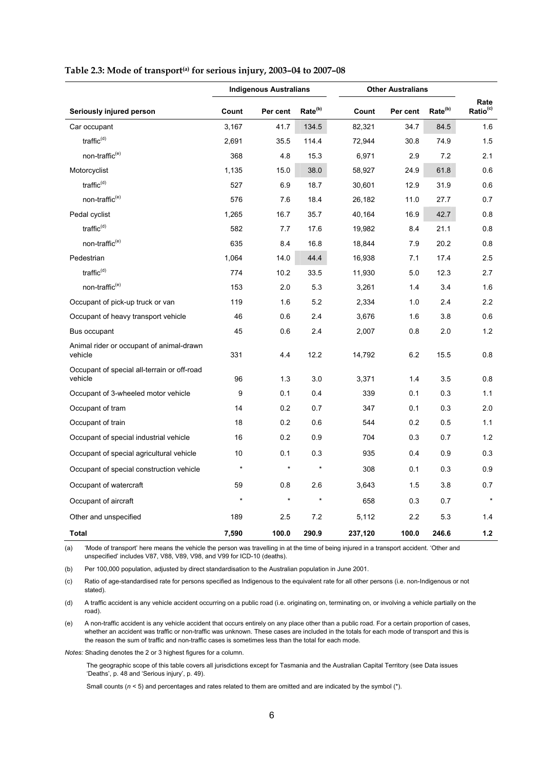|                                                        |         | <b>Indigenous Australians</b> |                     |         | <b>Other Australians</b> |                     |                              |
|--------------------------------------------------------|---------|-------------------------------|---------------------|---------|--------------------------|---------------------|------------------------------|
| Seriously injured person                               | Count   | Per cent                      | Rate <sup>(b)</sup> | Count   | Per cent                 | Rate <sup>(b)</sup> | Rate<br>Ratio <sup>(c)</sup> |
| Car occupant                                           | 3,167   | 41.7                          | 134.5               | 82,321  | 34.7                     | 84.5                | 1.6                          |
| traffic $(d)$                                          | 2,691   | 35.5                          | 114.4               | 72,944  | 30.8                     | 74.9                | 1.5                          |
| non-traffic <sup>(e)</sup>                             | 368     | 4.8                           | 15.3                | 6,971   | 2.9                      | 7.2                 | 2.1                          |
| Motorcyclist                                           | 1,135   | 15.0                          | 38.0                | 58,927  | 24.9                     | 61.8                | 0.6                          |
| traffic $(d)$                                          | 527     | 6.9                           | 18.7                | 30,601  | 12.9                     | 31.9                | 0.6                          |
| non-traffic <sup>(e)</sup>                             | 576     | 7.6                           | 18.4                | 26,182  | 11.0                     | 27.7                | 0.7                          |
| Pedal cyclist                                          | 1,265   | 16.7                          | 35.7                | 40,164  | 16.9                     | 42.7                | 0.8                          |
| traffic $(d)$                                          | 582     | 7.7                           | 17.6                | 19,982  | 8.4                      | 21.1                | 0.8                          |
| non-traffic <sup>(e)</sup>                             | 635     | 8.4                           | 16.8                | 18,844  | 7.9                      | 20.2                | 0.8                          |
| Pedestrian                                             | 1,064   | 14.0                          | 44.4                | 16,938  | 7.1                      | 17.4                | 2.5                          |
| traffic $(d)$                                          | 774     | 10.2                          | 33.5                | 11,930  | 5.0                      | 12.3                | 2.7                          |
| non-traffic <sup>(e)</sup>                             | 153     | 2.0                           | 5.3                 | 3,261   | 1.4                      | 3.4                 | 1.6                          |
| Occupant of pick-up truck or van                       | 119     | 1.6                           | 5.2                 | 2,334   | 1.0                      | 2.4                 | 2.2                          |
| Occupant of heavy transport vehicle                    | 46      | 0.6                           | 2.4                 | 3,676   | 1.6                      | 3.8                 | 0.6                          |
| Bus occupant                                           | 45      | 0.6                           | 2.4                 | 2,007   | 0.8                      | 2.0                 | 1.2                          |
| Animal rider or occupant of animal-drawn<br>vehicle    | 331     | 4.4                           | 12.2                | 14,792  | 6.2                      | 15.5                | 0.8                          |
| Occupant of special all-terrain or off-road<br>vehicle | 96      | 1.3                           | 3.0                 | 3,371   | 1.4                      | 3.5                 | 0.8                          |
| Occupant of 3-wheeled motor vehicle                    | 9       | 0.1                           | 0.4                 | 339     | 0.1                      | 0.3                 | 1.1                          |
| Occupant of tram                                       | 14      | 0.2                           | 0.7                 | 347     | 0.1                      | 0.3                 | 2.0                          |
| Occupant of train                                      | 18      | 0.2                           | 0.6                 | 544     | 0.2                      | 0.5                 | 1.1                          |
| Occupant of special industrial vehicle                 | 16      | 0.2                           | 0.9                 | 704     | 0.3                      | 0.7                 | 1.2                          |
| Occupant of special agricultural vehicle               | 10      | 0.1                           | 0.3                 | 935     | 0.4                      | 0.9                 | 0.3                          |
| Occupant of special construction vehicle               | $\star$ | $\star$                       | $\star$             | 308     | 0.1                      | 0.3                 | 0.9                          |
| Occupant of watercraft                                 | 59      | 0.8                           | 2.6                 | 3,643   | 1.5                      | 3.8                 | 0.7                          |
| Occupant of aircraft                                   | $\star$ | $\star$                       | $\star$             | 658     | 0.3                      | 0.7                 | $\star$                      |
| Other and unspecified                                  | 189     | 2.5                           | 7.2                 | 5,112   | 2.2                      | 5.3                 | 1.4                          |
| <b>Total</b>                                           | 7,590   | 100.0                         | 290.9               | 237,120 | 100.0                    | 246.6               | $1.2$                        |

#### Table 2.3: Mode of transport<sup>(a)</sup> for serious injury, 2003-04 to 2007-08

(a) 'Mode of transport' here means the vehicle the person was travelling in at the time of being injured in a transport accident. 'Other and unspecified' includes V87, V88, V89, V98, and V99 for ICD-10 (deaths).

(b) Per 100,000 population, adjusted by direct standardisation to the Australian population in June 2001.

(c) Ratio of age-standardised rate for persons specified as Indigenous to the equivalent rate for all other persons (i.e. non-Indigenous or not stated).

(d) A traffic accident is any vehicle accident occurring on a public road (i.e. originating on, terminating on, or involving a vehicle partially on the road).

(e) A non-traffic accident is any vehicle accident that occurs entirely on any place other than a public road. For a certain proportion of cases, whether an accident was traffic or non-traffic was unknown. These cases are included in the totals for each mode of transport and this is the reason the sum of traffic and non-traffic cases is sometimes less than the total for each mode.

*Notes:* Shading denotes the 2 or 3 highest figures for a column.

 The geographic scope of this table covers all jurisdictions except for Tasmania and the Australian Capital Territory (see Data issues 'Deaths', p. 48 and 'Serious injury', p. 49).

Small counts ( $n < 5$ ) and percentages and rates related to them are omitted and are indicated by the symbol  $(*)$ .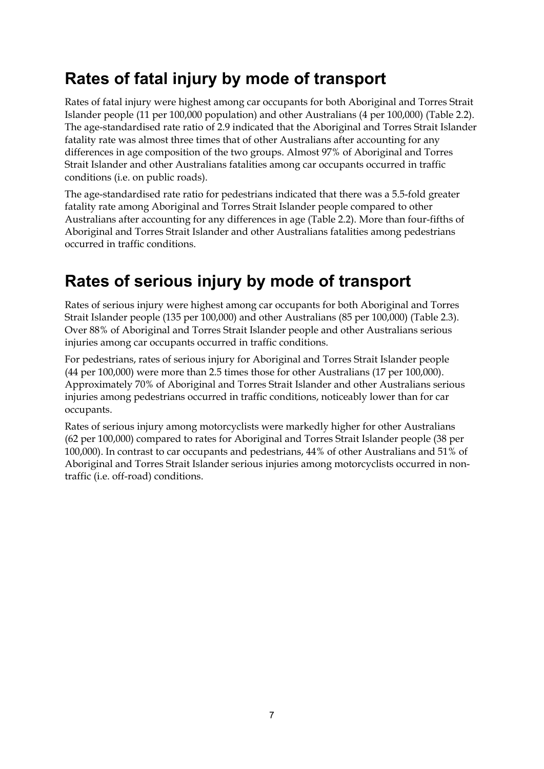### <span id="page-12-0"></span>**Rates of fatal injury by mode of transport**

Rates of fatal injury were highest among car occupants for both Aboriginal and Torres Strait Islander people (11 per 100,000 population) and other Australians (4 per 100,000) (Table 2.2). The age-standardised rate ratio of 2.9 indicated that the Aboriginal and Torres Strait Islander fatality rate was almost three times that of other Australians after accounting for any differences in age composition of the two groups. Almost 97% of Aboriginal and Torres Strait Islander and other Australians fatalities among car occupants occurred in traffic conditions (i.e. on public roads).

The age-standardised rate ratio for pedestrians indicated that there was a 5.5-fold greater fatality rate among Aboriginal and Torres Strait Islander people compared to other Australians after accounting for any differences in age (Table 2.2). More than four-fifths of Aboriginal and Torres Strait Islander and other Australians fatalities among pedestrians occurred in traffic conditions.

### <span id="page-12-1"></span>**Rates of serious injury by mode of transport**

Rates of serious injury were highest among car occupants for both Aboriginal and Torres Strait Islander people (135 per 100,000) and other Australians (85 per 100,000) (Table 2.3). Over 88% of Aboriginal and Torres Strait Islander people and other Australians serious injuries among car occupants occurred in traffic conditions.

For pedestrians, rates of serious injury for Aboriginal and Torres Strait Islander people (44 per 100,000) were more than 2.5 times those for other Australians (17 per 100,000). Approximately 70% of Aboriginal and Torres Strait Islander and other Australians serious injuries among pedestrians occurred in traffic conditions, noticeably lower than for car occupants.

Rates of serious injury among motorcyclists were markedly higher for other Australians (62 per 100,000) compared to rates for Aboriginal and Torres Strait Islander people (38 per 100,000). In contrast to car occupants and pedestrians, 44% of other Australians and 51% of Aboriginal and Torres Strait Islander serious injuries among motorcyclists occurred in nontraffic (i.e. off-road) conditions.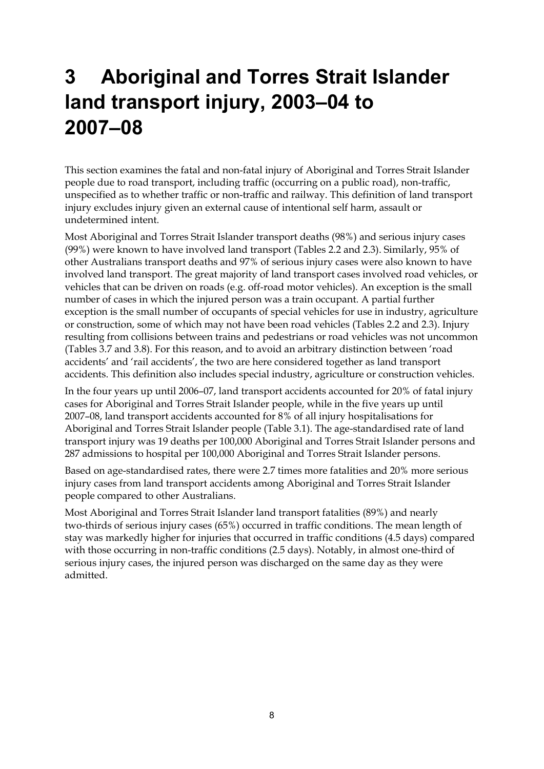# <span id="page-13-0"></span>**3 Aboriginal and Torres Strait Islander land transport injury, 2003–04 to 2007–08**

This section examines the fatal and non-fatal injury of Aboriginal and Torres Strait Islander people due to road transport, including traffic (occurring on a public road), non-traffic, unspecified as to whether traffic or non-traffic and railway. This definition of land transport injury excludes injury given an external cause of intentional self harm, assault or undetermined intent.

Most Aboriginal and Torres Strait Islander transport deaths (98%) and serious injury cases (99%) were known to have involved land transport (Tables 2.2 and 2.3). Similarly, 95% of other Australians transport deaths and 97% of serious injury cases were also known to have involved land transport. The great majority of land transport cases involved road vehicles, or vehicles that can be driven on roads (e.g. off-road motor vehicles). An exception is the small number of cases in which the injured person was a train occupant. A partial further exception is the small number of occupants of special vehicles for use in industry, agriculture or construction, some of which may not have been road vehicles (Tables 2.2 and 2.3). Injury resulting from collisions between trains and pedestrians or road vehicles was not uncommon (Tables 3.7 and 3.8). For this reason, and to avoid an arbitrary distinction between 'road accidents' and 'rail accidents', the two are here considered together as land transport accidents. This definition also includes special industry, agriculture or construction vehicles.

In the four years up until 2006–07, land transport accidents accounted for 20% of fatal injury cases for Aboriginal and Torres Strait Islander people, while in the five years up until 2007–08, land transport accidents accounted for 8% of all injury hospitalisations for Aboriginal and Torres Strait Islander people (Table 3.1). The age-standardised rate of land transport injury was 19 deaths per 100,000 Aboriginal and Torres Strait Islander persons and 287 admissions to hospital per 100,000 Aboriginal and Torres Strait Islander persons.

Based on age-standardised rates, there were 2.7 times more fatalities and 20% more serious injury cases from land transport accidents among Aboriginal and Torres Strait Islander people compared to other Australians.

Most Aboriginal and Torres Strait Islander land transport fatalities (89%) and nearly two-thirds of serious injury cases (65%) occurred in traffic conditions. The mean length of stay was markedly higher for injuries that occurred in traffic conditions (4.5 days) compared with those occurring in non-traffic conditions (2.5 days). Notably, in almost one-third of serious injury cases, the injured person was discharged on the same day as they were admitted.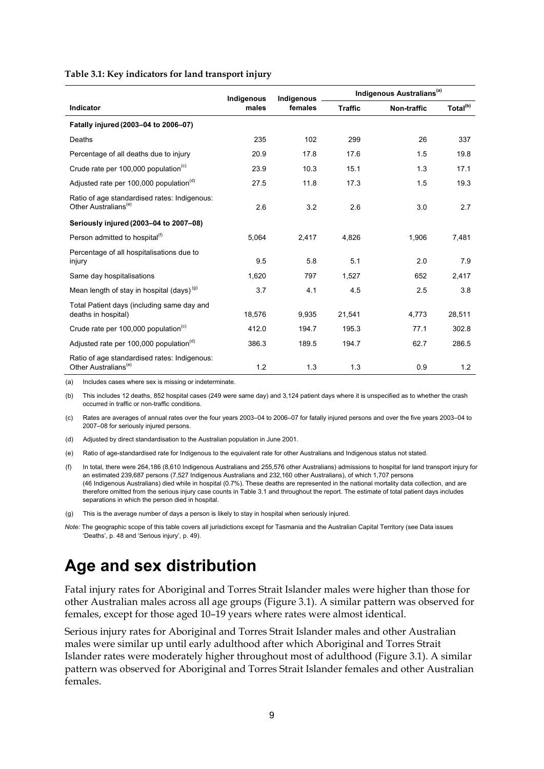#### **Table 3.1: Key indicators for land transport injury**

|                                                                                  | Indigenous | Indigenous |                | Indigenous Australians <sup>(a)</sup> |                      |
|----------------------------------------------------------------------------------|------------|------------|----------------|---------------------------------------|----------------------|
| Indicator                                                                        | males      | females    | <b>Traffic</b> | Non-traffic                           | Total <sup>(b)</sup> |
| Fatally injured (2003-04 to 2006-07)                                             |            |            |                |                                       |                      |
| Deaths                                                                           | 235        | 102        | 299            | 26                                    | 337                  |
| Percentage of all deaths due to injury                                           | 20.9       | 17.8       | 17.6           | 1.5                                   | 19.8                 |
| Crude rate per 100,000 population <sup>(c)</sup>                                 | 23.9       | 10.3       | 15.1           | 1.3                                   | 17.1                 |
| Adjusted rate per 100,000 population <sup>(d)</sup>                              | 27.5       | 11.8       | 17.3           | 1.5                                   | 19.3                 |
| Ratio of age standardised rates: Indigenous:<br>Other Australians <sup>(e)</sup> | 2.6        | 3.2        | 2.6            | 3.0                                   | 2.7                  |
| Seriously injured (2003-04 to 2007-08)                                           |            |            |                |                                       |                      |
| Person admitted to hospital <sup>(1)</sup>                                       | 5,064      | 2,417      | 4,826          | 1,906                                 | 7,481                |
| Percentage of all hospitalisations due to<br>injury                              | 9.5        | 5.8        | 5.1            | 2.0                                   | 7.9                  |
| Same day hospitalisations                                                        | 1,620      | 797        | 1,527          | 652                                   | 2,417                |
| Mean length of stay in hospital (days) <sup>(g)</sup>                            | 3.7        | 4.1        | 4.5            | 2.5                                   | 3.8                  |
| Total Patient days (including same day and<br>deaths in hospital)                | 18,576     | 9,935      | 21,541         | 4,773                                 | 28,511               |
| Crude rate per 100,000 population <sup>(c)</sup>                                 | 412.0      | 194.7      | 195.3          | 77.1                                  | 302.8                |
| Adjusted rate per 100,000 population <sup>(d)</sup>                              | 386.3      | 189.5      | 194.7          | 62.7                                  | 286.5                |
| Ratio of age standardised rates: Indigenous:<br>Other Australians <sup>(e)</sup> | 1.2        | 1.3        | 1.3            | 0.9                                   | 1.2                  |

(a) Includes cases where sex is missing or indeterminate.

(b) This includes 12 deaths, 852 hospital cases (249 were same day) and 3,124 patient days where it is unspecified as to whether the crash occurred in traffic or non-traffic conditions.

(c) Rates are averages of annual rates over the four years 2003–04 to 2006–07 for fatally injured persons and over the five years 2003–04 to 2007–08 for seriously injured persons.

- (d) Adjusted by direct standardisation to the Australian population in June 2001.
- (e) Ratio of age-standardised rate for Indigenous to the equivalent rate for other Australians and Indigenous status not stated.

(f) In total, there were 264,186 (8,610 Indigenous Australians and 255,576 other Australians) admissions to hospital for land transport injury for an estimated 239,687 persons (7,527 Indigenous Australians and 232,160 other Australians), of which 1,707 persons (46 Indigenous Australians) died while in hospital (0.7%). These deaths are represented in the national mortality data collection, and are therefore omitted from the serious injury case counts in Table 3.1 and throughout the report. The estimate of total patient days includes separations in which the person died in hospital.

(g) This is the average number of days a person is likely to stay in hospital when seriously injured.

*Note:* The geographic scope of this table covers all jurisdictions except for Tasmania and the Australian Capital Territory (see Data issues 'Deaths', p. 48 and 'Serious injury', p. 49).

### <span id="page-14-0"></span>**Age and sex distribution**

Fatal injury rates for Aboriginal and Torres Strait Islander males were higher than those for other Australian males across all age groups (Figure 3.1). A similar pattern was observed for females, except for those aged 10–19 years where rates were almost identical.

Serious injury rates for Aboriginal and Torres Strait Islander males and other Australian males were similar up until early adulthood after which Aboriginal and Torres Strait Islander rates were moderately higher throughout most of adulthood (Figure 3.1). A similar pattern was observed for Aboriginal and Torres Strait Islander females and other Australian females.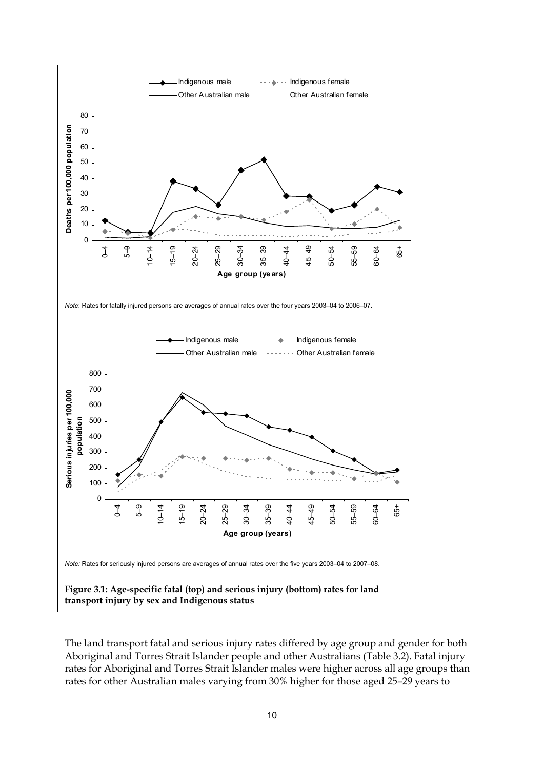

The land transport fatal and serious injury rates differed by age group and gender for both Aboriginal and Torres Strait Islander people and other Australians (Table 3.2). Fatal injury rates for Aboriginal and Torres Strait Islander males were higher across all age groups than rates for other Australian males varying from 30% higher for those aged 25–29 years to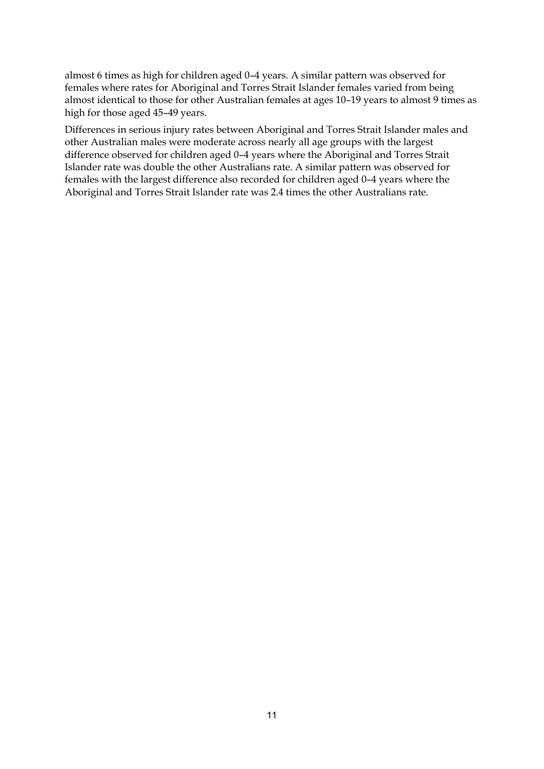almost 6 times as high for children aged 0–4 years. A similar pattern was observed for females where rates for Aboriginal and Torres Strait Islander females varied from being almost identical to those for other Australian females at ages 10–19 years to almost 9 times as high for those aged 45–49 years.

Differences in serious injury rates between Aboriginal and Torres Strait Islander males and other Australian males were moderate across nearly all age groups with the largest difference observed for children aged 0–4 years where the Aboriginal and Torres Strait Islander rate was double the other Australians rate. A similar pattern was observed for females with the largest difference also recorded for children aged 0–4 years where the Aboriginal and Torres Strait Islander rate was 2.4 times the other Australians rate.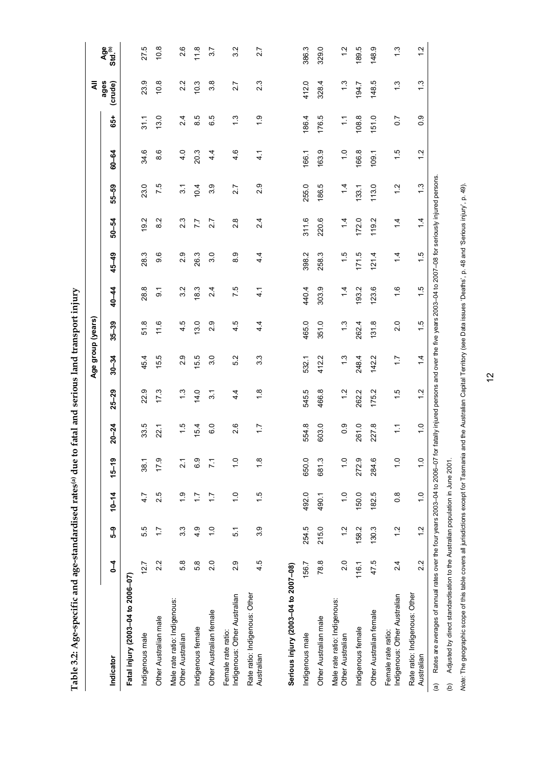|                                                                                                |       |               |               |                 |                  |                  | Age group (years)                                                                                 |               |                 |                 |                |                  |                 |                  | ₹                |                            |
|------------------------------------------------------------------------------------------------|-------|---------------|---------------|-----------------|------------------|------------------|---------------------------------------------------------------------------------------------------|---------------|-----------------|-----------------|----------------|------------------|-----------------|------------------|------------------|----------------------------|
| Indicator                                                                                      | Į     | ဌိ            | $10 - 14$     | $15 - 19$       | $20 - 24$        | $25 - 29$        | $30 - 34$                                                                                         | $35 - 39$     | 40-44           | 45-49           | 50-54          | 55-59            | 60-64           | 65+              | ages<br>(crude)  | Age<br>Std. <sup>(b)</sup> |
| Fatal injury (2003-04 to 2006-07)                                                              |       |               |               |                 |                  |                  |                                                                                                   |               |                 |                 |                |                  |                 |                  |                  |                            |
| Indigenous male                                                                                | 12.7  | 55            | 4.7           | 38.1            | 33.5             | 22.9             | 45.4                                                                                              | 51.8          | 28.8            | 28.3            | 19.2           | 23.0             | 34.6            | $\frac{1}{2}$    | 23.9             | 27.5                       |
| Other Australian male                                                                          | 2.2   | $\ddot{ }$ :  | 2.5           | 17.9            | 22.1             | 173              | 55                                                                                                | 116           | $\overline{9}$  | 9.6             | $\frac{2}{8}$  | 7.5              | 8.6             | 3.0              | 10.8             | 10.8                       |
| Male rate ratio: Indigenous:<br>Other Australian                                               | 5.8   | 33            | $\frac{0}{1}$ | $\overline{21}$ | 1.5              | 1.3              | 2.9                                                                                               | 4.5           | 3.2             | 2.9             | 2.3            | $\overline{3}$ . | 4.0             | $\overline{2.4}$ | 2.2              | 2.6                        |
| Indigenous female                                                                              | 5.8   | 4.9           | 17            | 6.9             | 15.4             | 14.0             | 5.5                                                                                               | 13.0          | 18.3            | 26.3            | 7.7            | 10.4             | 20.3            | 8.5              | 10.3             | 11.8                       |
| Other Australian female                                                                        | 2.0   | $\frac{0}{1}$ | $\ddot{ }$ :  | $\frac{1}{2}$   | 6.0              | $\overline{3}$ . | 3.0                                                                                               | 2.9           | 2.4             | 3.0             | 2.7            | 3.9              | $4\overline{4}$ | ю<br>ဖ           | 3.8              | 3.7                        |
| Indigenous: Other Australian<br>Female rate ratio:                                             | 2.9   | 51            | $\frac{0}{1}$ | $\frac{0}{1}$   | 2.6              | $4\overline{4}$  | 52                                                                                                | 4.5           | 7.5             | 8.9             | $\frac{8}{2}$  | 2.7              | 4.6             | $\frac{3}{2}$    | 2.7              | 3.2                        |
| Rate ratio: Indigenous: Other<br>Australian                                                    | 4.5   | 3.9           | $\frac{1}{1}$ | $\frac{8}{1}$   | $\overline{1.7}$ | $\frac{8}{1}$    | 3.3                                                                                               | 4.4           | $\ddot{4}$      | 4.4             | 2.4            | 2.9              | 4.1             | $\frac{0}{1}$    | $2.\overline{3}$ | 2.7                        |
|                                                                                                |       |               |               |                 |                  |                  |                                                                                                   |               |                 |                 |                |                  |                 |                  |                  |                            |
| Serious injury (2003-04 to 2007-08)                                                            |       |               |               |                 |                  |                  |                                                                                                   |               |                 |                 |                |                  |                 |                  |                  |                            |
| Indigenous male                                                                                | 156.7 | 254.5         | 492.0         | 650.0           | 554.8            | 545.5            | 532.1                                                                                             | 465.0         | 440.4           | 398.2           | 311.6          | 255.0            | 166.1           | 186.4            | 412.0            | 386.3                      |
| Other Australian male                                                                          | 78.8  | 215.0         | 490.1         | 681.3           | 603.0            | 466.8            | 412.2                                                                                             | 351.0         | 303.9           | 258.3           | 220.6          | 186.5            | 163.9           | 176.5            | 328.4            | 329.0                      |
| Male rate ratio: Indigenous:<br>Other Australian                                               | 2.0   | 1.2           | $\frac{0}{1}$ | $\frac{0}{1}$   | 0.9              | $\ddot{.}$       | 13                                                                                                | $\frac{3}{2}$ | $1\overline{4}$ | $\frac{1}{2}$   | 14             | $\overline{4}$   | $\frac{0}{1}$   | $\frac{1}{1}$    | 1.3              | $\frac{2}{1}$              |
| Indigenous female                                                                              | 116.1 | 158.2         | 150.0         | 272.9           | 261.0            | 262.2            | 248.4                                                                                             | 262.4         | 93.2            | 171.5           | 172.0          | 133.1            | 166.8           | 108.8            | 194.7            | 189.5                      |
| Other Australian female                                                                        | 47.5  | 130.3         | 182.5         | 284.6           | 227.8            | 175.2            | 142.2                                                                                             | 131.8         | 123.6           | 121.4           | 119.2          | 113.0            | 109.1           | 151.0            | 148.5            | 148.9                      |
| Indigenous: Other Australian<br>Female rate ratio:                                             | 2.4   | $\frac{2}{1}$ | $\frac{8}{2}$ | $\frac{0}{1}$   | $\tilde{L}$      | $\frac{5}{1}$    | $\ddot{ }$ :                                                                                      | $\frac{0}{2}$ | $\frac{6}{1}$   | $1\overline{4}$ | $\overline{4}$ | $\frac{2}{1}$    | 1.5             | $\overline{0}$ . | $\frac{3}{1}$    | $\frac{3}{1}$              |
| Rate ratio: Indigenous: Other<br>Australian                                                    | 2.2   | $\frac{2}{1}$ | $\frac{0}{1}$ | $\frac{0}{1}$   | $\frac{0}{1}$    | $\ddot{.}$       | $1\overline{4}$                                                                                   | $\frac{5}{1}$ | $\frac{1}{1}$   | $\frac{1}{1}$   | $\frac{4}{4}$  | $\frac{3}{2}$    | 1.2             | 0.9              | 1.3              | $\frac{2}{1}$              |
| Rates are averages of annual rates over the four years 2003-04 to 2006-07 for<br>$\widehat{a}$ |       |               |               |                 |                  |                  | fatally injured persons and over the five years 2003-04 to 2007-08 for seriously injured persons. |               |                 |                 |                |                  |                 |                  |                  |                            |

**Table 3.2: Age-specific and age-standardised rates(a) due to fatal and serious land transport injury**  Table 3.2: Age-specific and age-standardised rates<sup>(a)</sup> due to fatal and serious land transport injury

(b) Adjusted by direct standardisation to the Australian population in June 2001. (b) Adjusted by direct standardisation to the Australian population in June 2001.

Note: The geographic scope of this table covers all jurisdictions except for Tasmania and the Australian Capital Territory (see Data issues 'Deaths', p. 48 and 'Serious injury', p. 49). *Note:* The geographic scope of this table covers all jurisdictions except for Tasmania and the Australian Capital Territory (see Data issues 'Deaths', p. 48 and 'Serious injury', p. 49).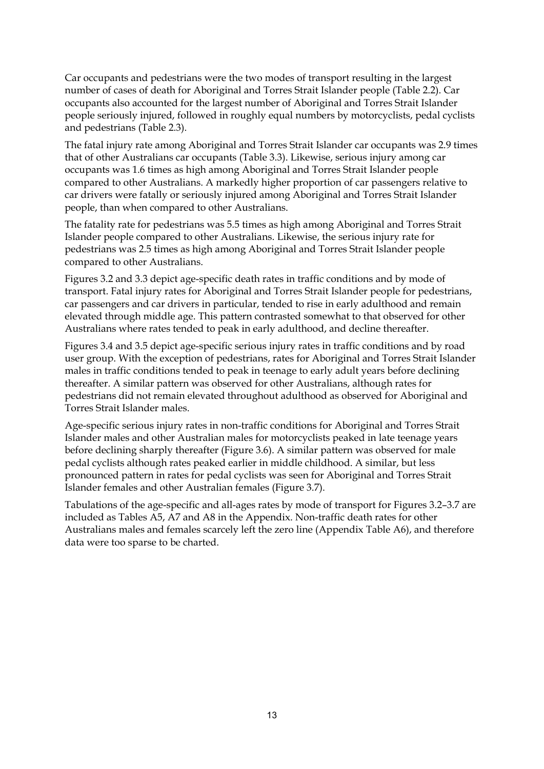Car occupants and pedestrians were the two modes of transport resulting in the largest number of cases of death for Aboriginal and Torres Strait Islander people (Table 2.2). Car occupants also accounted for the largest number of Aboriginal and Torres Strait Islander people seriously injured, followed in roughly equal numbers by motorcyclists, pedal cyclists and pedestrians (Table 2.3).

The fatal injury rate among Aboriginal and Torres Strait Islander car occupants was 2.9 times that of other Australians car occupants (Table 3.3). Likewise, serious injury among car occupants was 1.6 times as high among Aboriginal and Torres Strait Islander people compared to other Australians. A markedly higher proportion of car passengers relative to car drivers were fatally or seriously injured among Aboriginal and Torres Strait Islander people, than when compared to other Australians.

The fatality rate for pedestrians was 5.5 times as high among Aboriginal and Torres Strait Islander people compared to other Australians. Likewise, the serious injury rate for pedestrians was 2.5 times as high among Aboriginal and Torres Strait Islander people compared to other Australians.

Figures 3.2 and 3.3 depict age-specific death rates in traffic conditions and by mode of transport. Fatal injury rates for Aboriginal and Torres Strait Islander people for pedestrians, car passengers and car drivers in particular, tended to rise in early adulthood and remain elevated through middle age. This pattern contrasted somewhat to that observed for other Australians where rates tended to peak in early adulthood, and decline thereafter.

Figures 3.4 and 3.5 depict age-specific serious injury rates in traffic conditions and by road user group. With the exception of pedestrians, rates for Aboriginal and Torres Strait Islander males in traffic conditions tended to peak in teenage to early adult years before declining thereafter. A similar pattern was observed for other Australians, although rates for pedestrians did not remain elevated throughout adulthood as observed for Aboriginal and Torres Strait Islander males.

Age-specific serious injury rates in non-traffic conditions for Aboriginal and Torres Strait Islander males and other Australian males for motorcyclists peaked in late teenage years before declining sharply thereafter (Figure 3.6). A similar pattern was observed for male pedal cyclists although rates peaked earlier in middle childhood. A similar, but less pronounced pattern in rates for pedal cyclists was seen for Aboriginal and Torres Strait Islander females and other Australian females (Figure 3.7).

Tabulations of the age-specific and all-ages rates by mode of transport for Figures 3.2–3.7 are included as Tables A5, A7 and A8 in the Appendix. Non-traffic death rates for other Australians males and females scarcely left the zero line (Appendix Table A6), and therefore data were too sparse to be charted.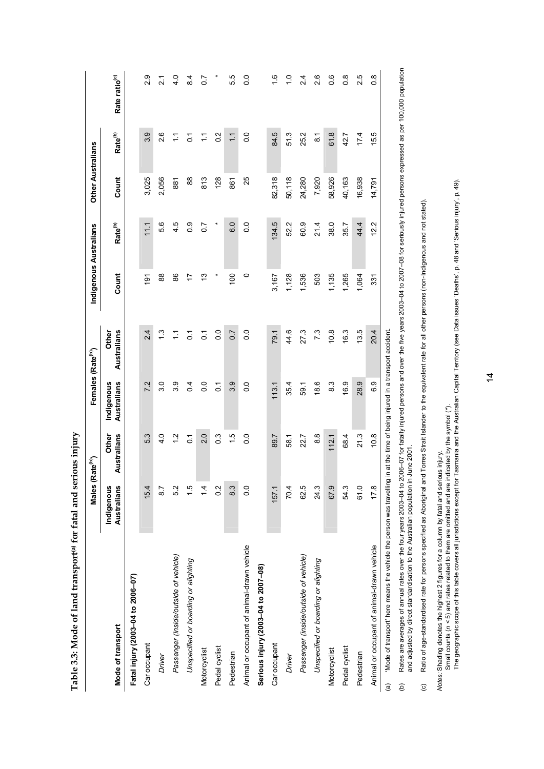|                                                                                                                                               | Males (Rate <sup>(b)</sup> ) |                      | Females (Rate <sup>(b)</sup> ) |                      | Indigenous Australians |                     | <b>Other Australians</b> |                     |                           |
|-----------------------------------------------------------------------------------------------------------------------------------------------|------------------------------|----------------------|--------------------------------|----------------------|------------------------|---------------------|--------------------------|---------------------|---------------------------|
| Mode of transport                                                                                                                             | Australians<br>Indigenous    | Other<br>Australians | Indigenous<br>Australians      | Australians<br>Other | Count                  | Rate <sup>(b)</sup> | Count                    | Rate <sup>(b)</sup> | Rate ratio <sup>(c)</sup> |
| Fatal injury (2003-04 to 2006-07)                                                                                                             |                              |                      |                                |                      |                        |                     |                          |                     |                           |
| Car occupant                                                                                                                                  | 15.4                         | 53                   | 7.2                            | 2.4                  | $\frac{5}{2}$          | 11.1                | 3,025                    | 3.9                 | 2.9                       |
| Driver                                                                                                                                        | $\overline{8}$               | $\frac{4}{1}$        | $\frac{0}{3}$                  | $\frac{3}{1}$        | 88                     | 5.6                 | 2,056                    | 2.6                 | $\frac{1}{2}$             |
| Passenger (inside/outside of vehicle)                                                                                                         | 5.2                          | $\frac{2}{1}$        | 3.9                            | Ξ                    | 86                     | 4.5                 | 887                      | Ξ                   | $\frac{4}{10}$            |
| Unspecified or boarding or alighting                                                                                                          | $\frac{5}{1}$                | $\tilde{c}$          | 0.4                            | $\overline{c}$       | 17                     | 0.0                 | 88                       | $\tilde{c}$         | $\frac{4}{3}$             |
| Motorcyclist                                                                                                                                  | $\frac{1}{4}$                | 2.0                  | $\overline{0}$                 | $\tilde{c}$          | చ                      | $\overline{0}$      | 813                      | Ξ                   | $\overline{0}$ .          |
| Pedal cyclist                                                                                                                                 | $\frac{2}{3}$                | $\frac{3}{2}$        | $\overline{c}$                 | $\overline{0}$       |                        | ×                   | 128                      | $0.\overline{2}$    |                           |
| Pedestrian                                                                                                                                    | 8.3                          | $\frac{6}{1}$        | 3.9                            | 0.7                  | $\overline{00}$        | 6.0                 | 861                      | $\tilde{\cdot}$     | 55                        |
| Animal or occupant of animal-drawn vehicle                                                                                                    | $\overline{0}$ .             | 0.0                  | $\overline{0}$                 | $\overline{0}$ .     | 0                      | $\overline{0}$ .    | 25                       | $\frac{0}{2}$       | $\frac{0}{0}$             |
| Serious injury (2003-04 to 2007-08)                                                                                                           |                              |                      |                                |                      |                        |                     |                          |                     |                           |
| Car occupant                                                                                                                                  | 157.1                        | 89.7                 | 113.1                          | 79.1                 | 3,167                  | 134.5               | 82,318                   | 84.5                | $\frac{6}{1}$             |
| <b>Driver</b>                                                                                                                                 | 70.4                         | 58.1                 | 35.4                           | 44.6                 | 1,128                  | 52.2                | 50,118                   | 51.3                | $\frac{0}{1}$             |
| Passenger (inside/outside of vehicle)                                                                                                         | 62.5                         | 22.7                 | 59.1                           | 27.3                 | 1,536                  | 60.9                | 24,280                   | 25.2                | $\frac{4}{2}$             |
| Unspecified or boarding or alighting                                                                                                          | 24.3                         | 8.8                  | 18.6                           | 7.3                  | 503                    | 21.4                | 7,920                    | $\overline{8.1}$    | 2.6                       |
| Motorcyclist                                                                                                                                  | 67.9                         | 112.1                | 83                             | 10.8                 | 1,135                  | 38.0                | 58,926                   | 61.8                | 0.6                       |
| Pedal cyclist                                                                                                                                 | 54.3                         | 68.4                 | 16.9                           | 16.3                 | 1,265                  | 35.7                | 40,163                   | 42.7                | $\frac{8}{2}$             |
| Pedestrian                                                                                                                                    | 61.0                         | 21.3                 | 28.9                           | 13.5                 | 1,064                  | 44.4                | 16,938                   | 17.4                | 2.5                       |
| Animal or occupant of animal-drawn vehicle                                                                                                    | 17.8                         | 10.8                 | 6.9                            | 20.4                 | 331                    | 12.2                | 14,791                   | 15.5                | $\frac{8}{2}$             |
| 'Mode of transport' here means the vehicle the person was travelling in at the time of being injured in a transport accident<br>$\widehat{a}$ |                              |                      |                                |                      |                        |                     |                          |                     |                           |

**Table 3.3: Mode of land transport(a) for fatal and serious injury**  Table 3.3: Mode of land transport<sup>(a)</sup> for fatal and serious injury Rates are averages of annual rates over the four years 2003–04 to 2006–07 for fatally injured persons -00 over the five years 2003–04 to 2007–08 for seriously injured persons expressed as per 100,000 population<br>and adjuste (b) Rates are averages of annual rates over the four years 2003–04 to 2006–07 for fatally injured persons and over the five years 2003–04 to 2007–08 for seriously injured persons expressed as per 100,000 population and adjusted by direct standardisation to the Australian population in June 2001.  $\hat{e}$ 

(c) Ratio of age-standardised rate for persons specified as Aboriginal and Torres Strait Islander to the equivalent rate for all other persons (non-Indigenous and not stated). Ratio of age-standardised rate for persons specified as Aboriginal and Torres Strait Islander to the equivalent rate for all other persons (non-Indigenous and not stated).  $\odot$ 

*Notes:* Shading denotes the highest 2 figures for a column by fatal and serious injury.

Small counts (*n <* 5) and rates related to them are omitted and are indicated by the symbol (\*).

Notes: Shading denotes the highest 2 figures for a column by fatal and serious injury.<br>Small counts (ת < 5) and rates related to them are omitted and are indicated by the symbol (\*).<br>The geographic scope of this table co The geographic scope of this table covers all jurisdictions except for Tasmania and the Australian Capital Territory (see Data issues 'Deaths', p. 48 and 'Serious injury', p. 49).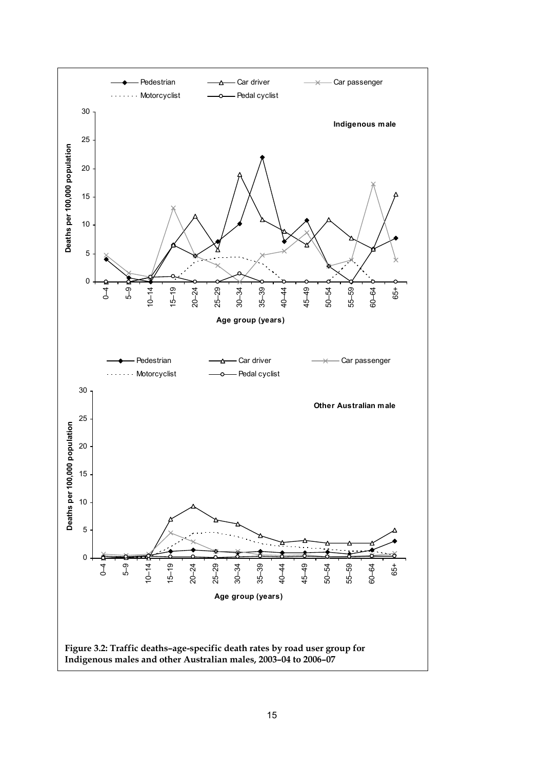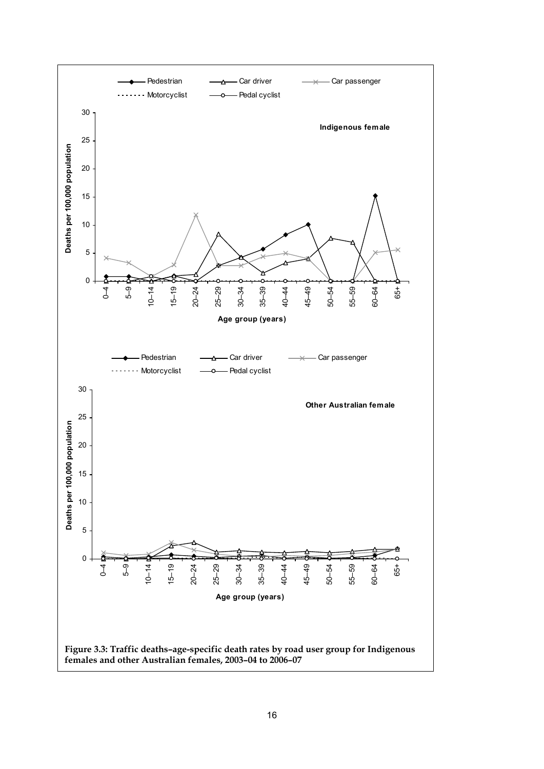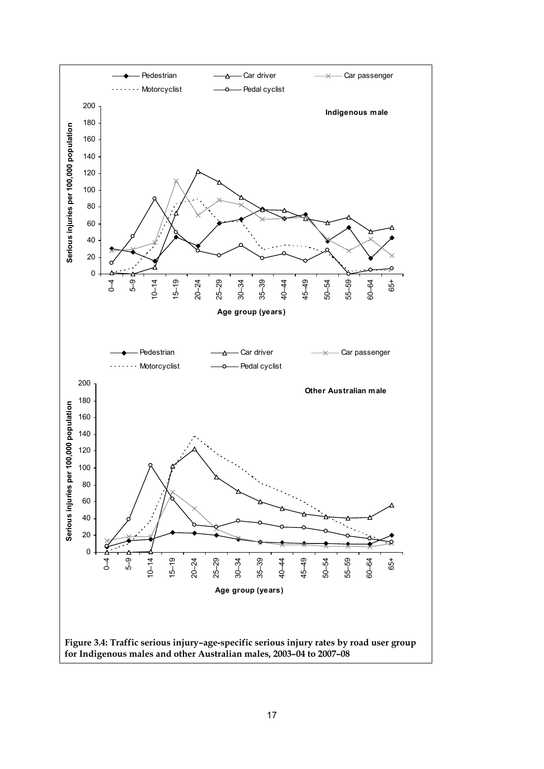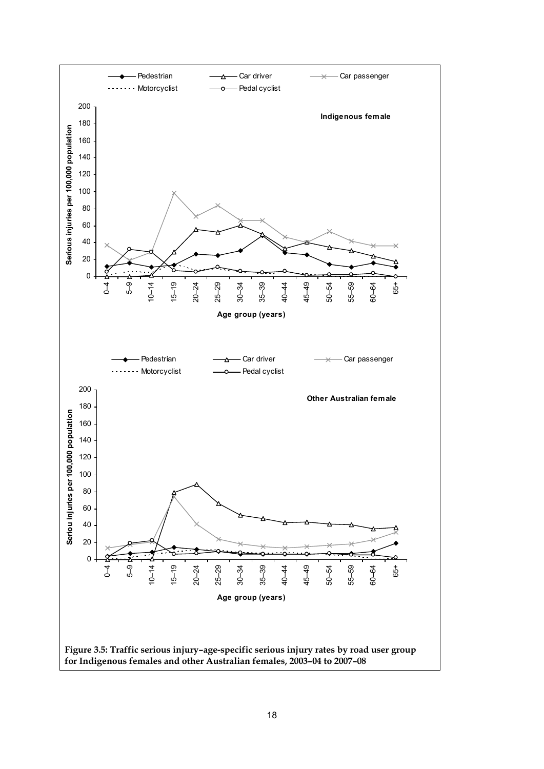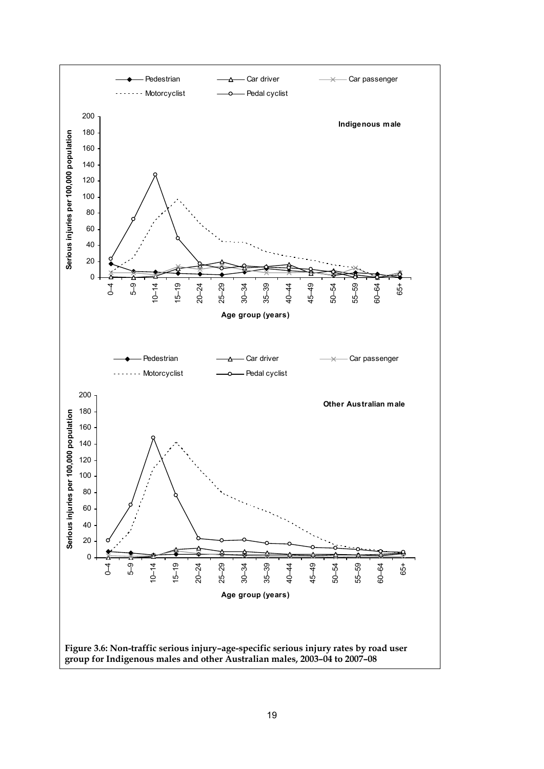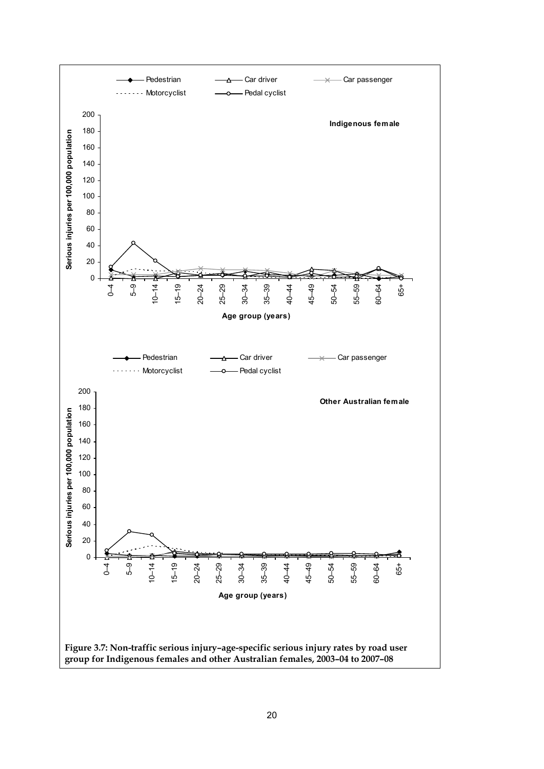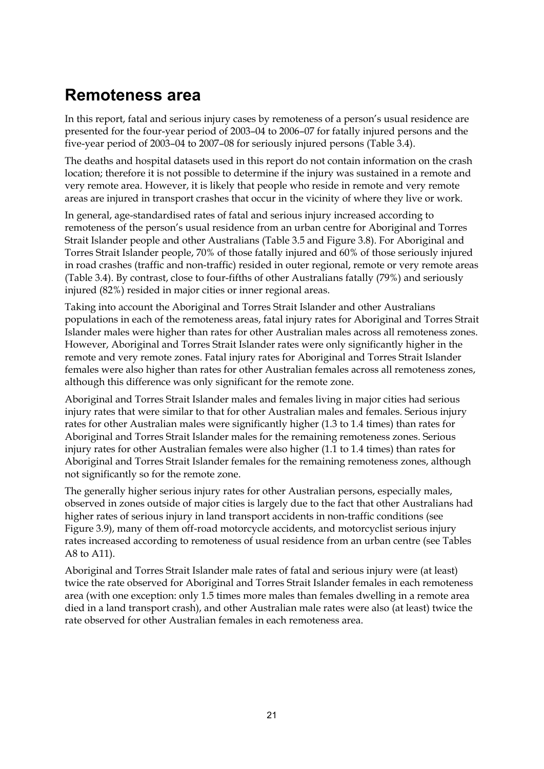### <span id="page-26-0"></span>**Remoteness area**

In this report, fatal and serious injury cases by remoteness of a person's usual residence are presented for the four-year period of 2003–04 to 2006–07 for fatally injured persons and the five-year period of 2003–04 to 2007–08 for seriously injured persons (Table 3.4).

The deaths and hospital datasets used in this report do not contain information on the crash location; therefore it is not possible to determine if the injury was sustained in a remote and very remote area. However, it is likely that people who reside in remote and very remote areas are injured in transport crashes that occur in the vicinity of where they live or work.

In general, age-standardised rates of fatal and serious injury increased according to remoteness of the person's usual residence from an urban centre for Aboriginal and Torres Strait Islander people and other Australians (Table 3.5 and Figure 3.8). For Aboriginal and Torres Strait Islander people, 70% of those fatally injured and 60% of those seriously injured in road crashes (traffic and non-traffic) resided in outer regional, remote or very remote areas (Table 3.4). By contrast, close to four-fifths of other Australians fatally (79%) and seriously injured (82%) resided in major cities or inner regional areas.

Taking into account the Aboriginal and Torres Strait Islander and other Australians populations in each of the remoteness areas, fatal injury rates for Aboriginal and Torres Strait Islander males were higher than rates for other Australian males across all remoteness zones. However, Aboriginal and Torres Strait Islander rates were only significantly higher in the remote and very remote zones. Fatal injury rates for Aboriginal and Torres Strait Islander females were also higher than rates for other Australian females across all remoteness zones, although this difference was only significant for the remote zone.

Aboriginal and Torres Strait Islander males and females living in major cities had serious injury rates that were similar to that for other Australian males and females. Serious injury rates for other Australian males were significantly higher (1.3 to 1.4 times) than rates for Aboriginal and Torres Strait Islander males for the remaining remoteness zones. Serious injury rates for other Australian females were also higher (1.1 to 1.4 times) than rates for Aboriginal and Torres Strait Islander females for the remaining remoteness zones, although not significantly so for the remote zone.

The generally higher serious injury rates for other Australian persons, especially males, observed in zones outside of major cities is largely due to the fact that other Australians had higher rates of serious injury in land transport accidents in non-traffic conditions (see Figure 3.9), many of them off-road motorcycle accidents, and motorcyclist serious injury rates increased according to remoteness of usual residence from an urban centre (see Tables A8 to A11).

Aboriginal and Torres Strait Islander male rates of fatal and serious injury were (at least) twice the rate observed for Aboriginal and Torres Strait Islander females in each remoteness area (with one exception: only 1.5 times more males than females dwelling in a remote area died in a land transport crash), and other Australian male rates were also (at least) twice the rate observed for other Australian females in each remoteness area.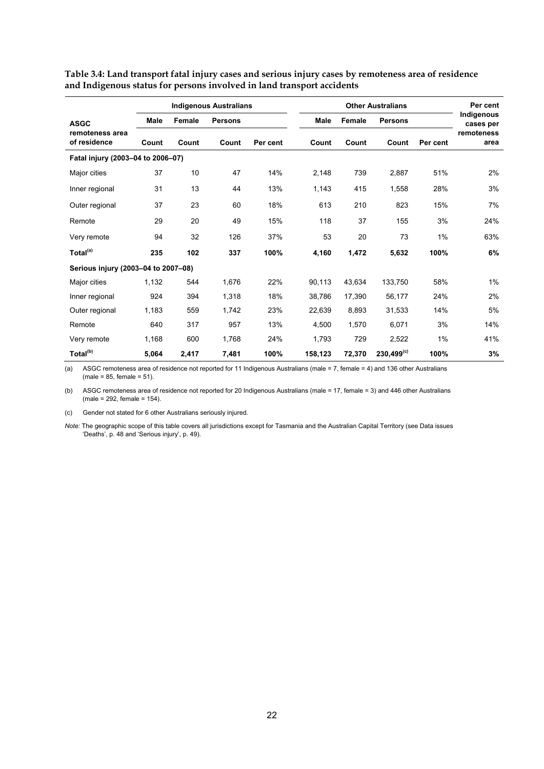|                                     |             |        | <b>Indigenous Australians</b> |          |             |        | <b>Other Australians</b> |          | Per cent                |
|-------------------------------------|-------------|--------|-------------------------------|----------|-------------|--------|--------------------------|----------|-------------------------|
| <b>ASGC</b>                         | <b>Male</b> | Female | <b>Persons</b>                |          | <b>Male</b> | Female | <b>Persons</b>           |          | Indigenous<br>cases per |
| remoteness area<br>of residence     | Count       | Count  | Count                         | Per cent | Count       | Count  | Count                    | Per cent | remoteness<br>area      |
| Fatal injury (2003-04 to 2006-07)   |             |        |                               |          |             |        |                          |          |                         |
| Major cities                        | 37          | 10     | 47                            | 14%      | 2,148       | 739    | 2,887                    | 51%      | 2%                      |
| Inner regional                      | 31          | 13     | 44                            | 13%      | 1,143       | 415    | 1,558                    | 28%      | 3%                      |
| Outer regional                      | 37          | 23     | 60                            | 18%      | 613         | 210    | 823                      | 15%      | 7%                      |
| Remote                              | 29          | 20     | 49                            | 15%      | 118         | 37     | 155                      | 3%       | 24%                     |
| Very remote                         | 94          | 32     | 126                           | 37%      | 53          | 20     | 73                       | $1\%$    | 63%                     |
| Total <sup>(a)</sup>                | 235         | 102    | 337                           | 100%     | 4,160       | 1,472  | 5,632                    | 100%     | 6%                      |
| Serious injury (2003-04 to 2007-08) |             |        |                               |          |             |        |                          |          |                         |
| Major cities                        | 1,132       | 544    | 1,676                         | 22%      | 90,113      | 43,634 | 133,750                  | 58%      | 1%                      |
| Inner regional                      | 924         | 394    | 1,318                         | 18%      | 38.786      | 17.390 | 56,177                   | 24%      | 2%                      |
| Outer regional                      | 1,183       | 559    | 1.742                         | 23%      | 22,639      | 8.893  | 31,533                   | 14%      | 5%                      |
| Remote                              | 640         | 317    | 957                           | 13%      | 4.500       | 1.570  | 6,071                    | 3%       | 14%                     |
| Very remote                         | 1,168       | 600    | 1,768                         | 24%      | 1,793       | 729    | 2,522                    | $1\%$    | 41%                     |
| Total <sup>(b)</sup>                | 5,064       | 2,417  | 7,481                         | 100%     | 158,123     | 72,370 | $230,499^{(c)}$          | 100%     | 3%                      |

**Table 3.4: Land transport fatal injury cases and serious injury cases by remoteness area of residence and Indigenous status for persons involved in land transport accidents** 

(a) ASGC remoteness area of residence not reported for 11 Indigenous Australians (male = 7, female = 4) and 136 other Australians  $(male = 85, female = 51).$ 

(b) ASGC remoteness area of residence not reported for 20 Indigenous Australians (male = 17, female = 3) and 446 other Australians (male = 292, female = 154).

(c) Gender not stated for 6 other Australians seriously injured.

*Note:* The geographic scope of this table covers all jurisdictions except for Tasmania and the Australian Capital Territory (see Data issues 'Deaths', p. 48 and 'Serious injury', p. 49).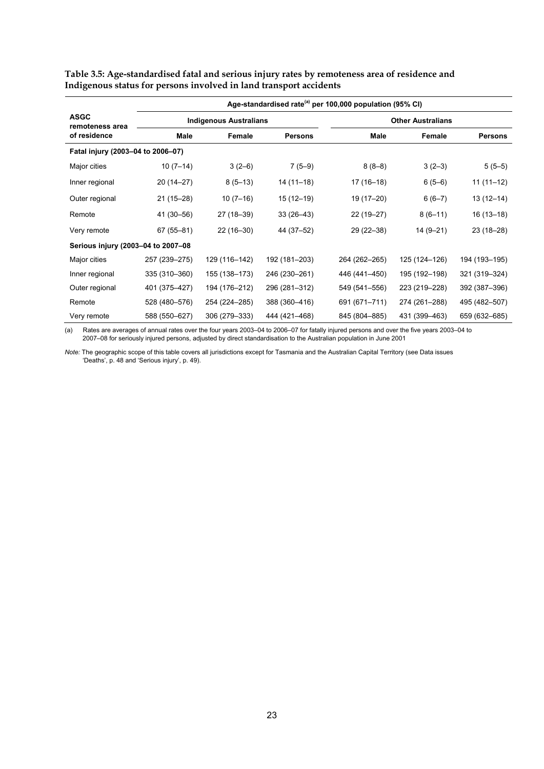|                                    |               |                               |                | Age-standardised rate <sup>(a)</sup> per 100,000 population (95% CI) |                          |                |
|------------------------------------|---------------|-------------------------------|----------------|----------------------------------------------------------------------|--------------------------|----------------|
| <b>ASGC</b><br>remoteness area     |               | <b>Indigenous Australians</b> |                |                                                                      | <b>Other Australians</b> |                |
| of residence                       | Male          | Female                        | <b>Persons</b> | Male                                                                 | Female                   | <b>Persons</b> |
| Fatal injury (2003-04 to 2006-07)  |               |                               |                |                                                                      |                          |                |
| Major cities                       | $10(7-14)$    | $3(2-6)$                      | $7(5-9)$       | $8(8-8)$                                                             | $3(2-3)$                 | $5(5-5)$       |
| Inner regional                     | 20 (14–27)    | $8(5-13)$                     | 14 (11–18)     | $17(16-18)$                                                          | $6(5-6)$                 | $11(11-12)$    |
| Outer regional                     | $21(15-28)$   | $10(7-16)$                    | 15 (12-19)     | 19 (17-20)                                                           | $6(6-7)$                 | $13(12-14)$    |
| Remote                             | 41 (30-56)    | 27 (18-39)                    | $33(26-43)$    | 22 (19-27)                                                           | $8(6-11)$                | 16 (13-18)     |
| Very remote                        | $67(55 - 81)$ | $22(16-30)$                   | 44 (37-52)     | 29 (22-38)                                                           | $14(9-21)$               | 23 (18-28)     |
| Serious injury (2003-04 to 2007-08 |               |                               |                |                                                                      |                          |                |
| Major cities                       | 257 (239-275) | 129 (116-142)                 | 192 (181-203)  | 264 (262-265)                                                        | 125 (124-126)            | 194 (193-195)  |
| Inner regional                     | 335 (310-360) | 155 (138-173)                 | 246 (230-261)  | 446 (441-450)                                                        | 195 (192-198)            | 321 (319-324)  |
| Outer regional                     | 401 (375-427) | 194 (176-212)                 | 296 (281-312)  | 549 (541-556)                                                        | 223 (219-228)            | 392 (387-396)  |
| Remote                             | 528 (480-576) | 254 (224-285)                 | 388 (360-416)  | 691 (671-711)                                                        | 274 (261-288)            | 495 (482-507)  |
| Very remote                        | 588 (550-627) | 306 (279-333)                 | 444 (421-468)  | 845 (804-885)                                                        | 431 (399-463)            | 659 (632-685)  |

**Table 3.5: Age-standardised fatal and serious injury rates by remoteness area of residence and Indigenous status for persons involved in land transport accidents** 

(a) Rates are averages of annual rates over the four years 2003–04 to 2006–07 for fatally injured persons and over the five years 2003–04 to 2007–08 for seriously injured persons, adjusted by direct standardisation to the Australian population in June 2001

*Note:* The geographic scope of this table covers all jurisdictions except for Tasmania and the Australian Capital Territory (see Data issues 'Deaths', p. 48 and 'Serious injury', p. 49).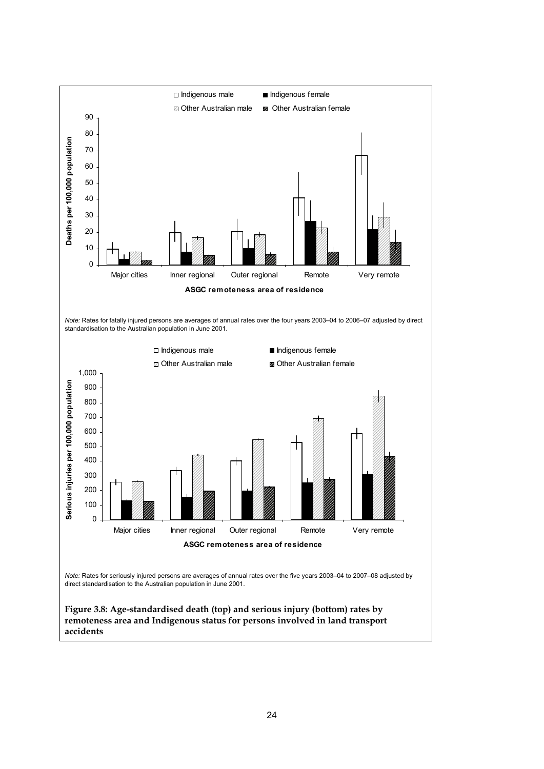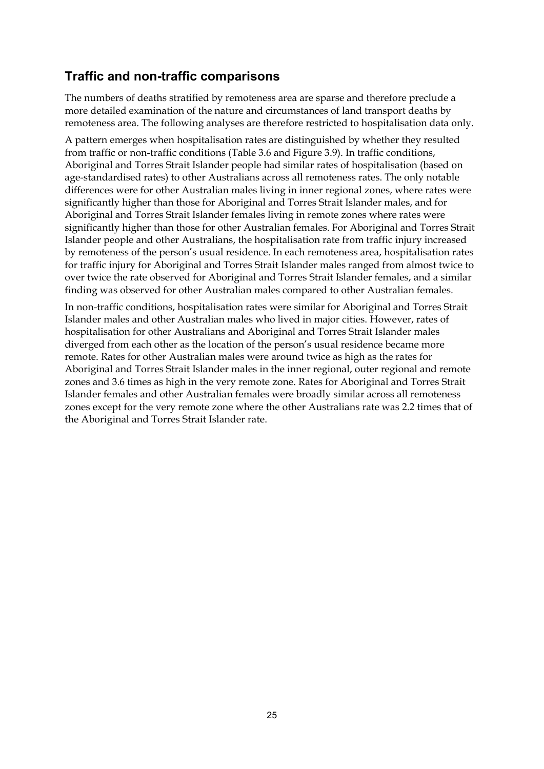### **Traffic and non-traffic comparisons**

The numbers of deaths stratified by remoteness area are sparse and therefore preclude a more detailed examination of the nature and circumstances of land transport deaths by remoteness area. The following analyses are therefore restricted to hospitalisation data only.

A pattern emerges when hospitalisation rates are distinguished by whether they resulted from traffic or non-traffic conditions (Table 3.6 and Figure 3.9). In traffic conditions, Aboriginal and Torres Strait Islander people had similar rates of hospitalisation (based on age-standardised rates) to other Australians across all remoteness rates. The only notable differences were for other Australian males living in inner regional zones, where rates were significantly higher than those for Aboriginal and Torres Strait Islander males, and for Aboriginal and Torres Strait Islander females living in remote zones where rates were significantly higher than those for other Australian females. For Aboriginal and Torres Strait Islander people and other Australians, the hospitalisation rate from traffic injury increased by remoteness of the person's usual residence. In each remoteness area, hospitalisation rates for traffic injury for Aboriginal and Torres Strait Islander males ranged from almost twice to over twice the rate observed for Aboriginal and Torres Strait Islander females, and a similar finding was observed for other Australian males compared to other Australian females.

In non-traffic conditions, hospitalisation rates were similar for Aboriginal and Torres Strait Islander males and other Australian males who lived in major cities. However, rates of hospitalisation for other Australians and Aboriginal and Torres Strait Islander males diverged from each other as the location of the person's usual residence became more remote. Rates for other Australian males were around twice as high as the rates for Aboriginal and Torres Strait Islander males in the inner regional, outer regional and remote zones and 3.6 times as high in the very remote zone. Rates for Aboriginal and Torres Strait Islander females and other Australian females were broadly similar across all remoteness zones except for the very remote zone where the other Australians rate was 2.2 times that of the Aboriginal and Torres Strait Islander rate.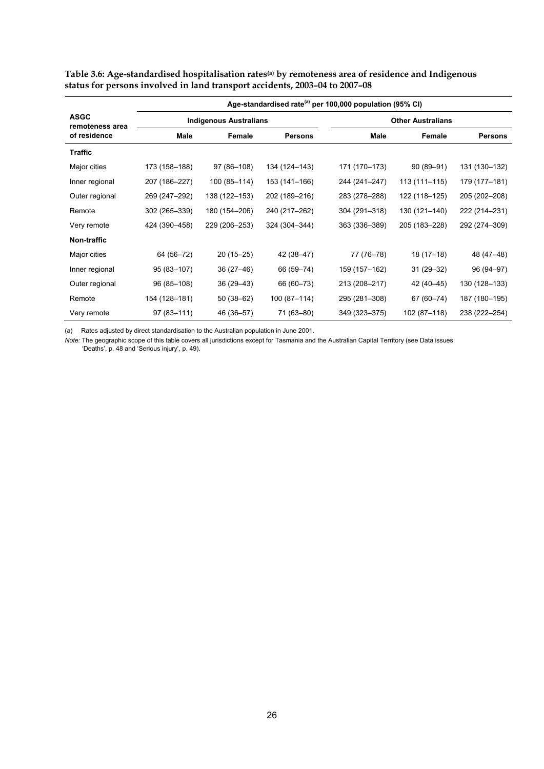|                                |                |                               |                | Age-standardised rate <sup>(a)</sup> per 100,000 population (95% CI) |                          |                |
|--------------------------------|----------------|-------------------------------|----------------|----------------------------------------------------------------------|--------------------------|----------------|
| <b>ASGC</b><br>remoteness area |                | <b>Indigenous Australians</b> |                |                                                                      | <b>Other Australians</b> |                |
| of residence                   | Male           | Female                        | <b>Persons</b> | Male                                                                 | Female                   | <b>Persons</b> |
| <b>Traffic</b>                 |                |                               |                |                                                                      |                          |                |
| Major cities                   | 173 (158-188)  | 97 (86-108)                   | 134 (124-143)  | 171 (170-173)                                                        | $90(89 - 91)$            | 131 (130-132)  |
| Inner regional                 | 207 (186-227)  | 100 (85-114)                  | 153 (141-166)  | 244 (241-247)                                                        | 113 (111–115)            | 179 (177-181)  |
| Outer regional                 | 269 (247-292)  | 138 (122-153)                 | 202 (189-216)  | 283 (278-288)                                                        | 122 (118-125)            | 205 (202-208)  |
| Remote                         | 302 (265-339)  | 180 (154-206)                 | 240 (217-262)  | 304 (291-318)                                                        | 130 (121-140)            | 222 (214-231)  |
| Very remote                    | 424 (390-458)  | 229 (206-253)                 | 324 (304-344)  | 363 (336-389)                                                        | 205 (183-228)            | 292 (274-309)  |
| Non-traffic                    |                |                               |                |                                                                      |                          |                |
| Major cities                   | 64 (56-72)     | $20(15-25)$                   | 42 (38–47)     | 77 (76-78)                                                           | 18 (17-18)               | 48 (47-48)     |
| Inner regional                 | 95 (83-107)    | $36(27-46)$                   | 66 (59-74)     | 159 (157-162)                                                        | $31(29 - 32)$            | 96 (94-97)     |
| Outer regional                 | 96 (85-108)    | $36(29 - 43)$                 | 66 (60-73)     | 213 (208-217)                                                        | 42 (40-45)               | 130 (128-133)  |
| Remote                         | 154 (128-181)  | 50 (38-62)                    | 100 (87-114)   | 295 (281-308)                                                        | 67 (60-74)               | 187 (180-195)  |
| Very remote                    | $97(83 - 111)$ | 46 (36-57)                    | 71 (63-80)     | 349 (323-375)                                                        | 102 (87-118)             | 238 (222-254)  |

Table 3.6: Age-standardised hospitalisation rates<sup>(a)</sup> by remoteness area of residence and Indigenous **status for persons involved in land transport accidents, 2003–04 to 2007–08** 

(a) Rates adjusted by direct standardisation to the Australian population in June 2001.

*Note:* The geographic scope of this table covers all jurisdictions except for Tasmania and the Australian Capital Territory (see Data issues 'Deaths', p. 48 and 'Serious injury', p. 49).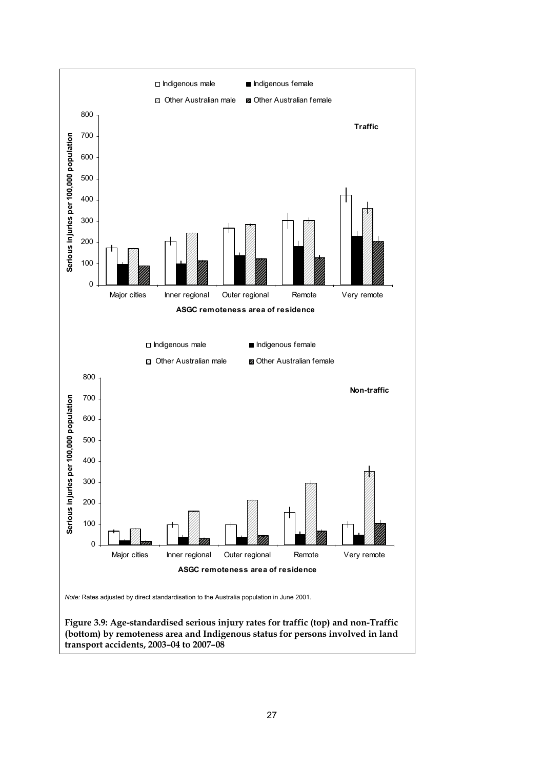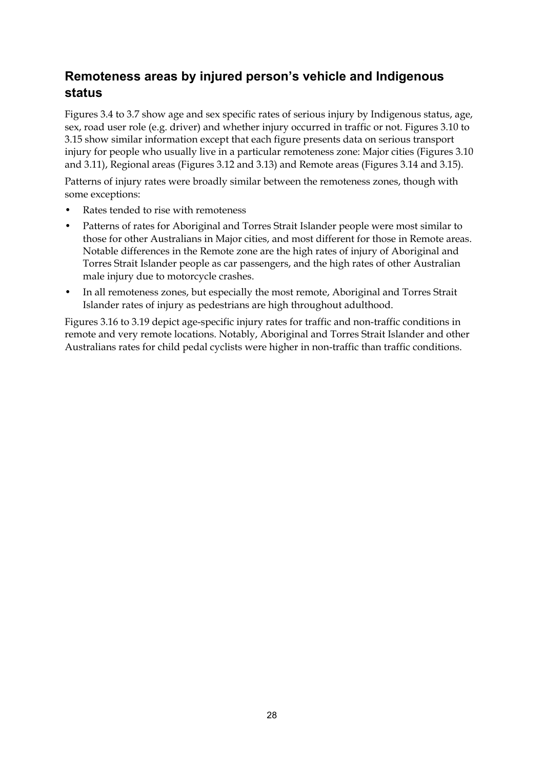### <span id="page-33-0"></span>**Remoteness areas by injured person's vehicle and Indigenous status**

Figures 3.4 to 3.7 show age and sex specific rates of serious injury by Indigenous status, age, sex, road user role (e.g. driver) and whether injury occurred in traffic or not. Figures 3.10 to 3.15 show similar information except that each figure presents data on serious transport injury for people who usually live in a particular remoteness zone: Major cities (Figures 3.10 and 3.11), Regional areas (Figures 3.12 and 3.13) and Remote areas (Figures 3.14 and 3.15).

Patterns of injury rates were broadly similar between the remoteness zones, though with some exceptions:

- Rates tended to rise with remoteness
- Patterns of rates for Aboriginal and Torres Strait Islander people were most similar to those for other Australians in Major cities, and most different for those in Remote areas. Notable differences in the Remote zone are the high rates of injury of Aboriginal and Torres Strait Islander people as car passengers, and the high rates of other Australian male injury due to motorcycle crashes.
- In all remoteness zones, but especially the most remote, Aboriginal and Torres Strait Islander rates of injury as pedestrians are high throughout adulthood.

Figures 3.16 to 3.19 depict age-specific injury rates for traffic and non-traffic conditions in remote and very remote locations. Notably, Aboriginal and Torres Strait Islander and other Australians rates for child pedal cyclists were higher in non-traffic than traffic conditions.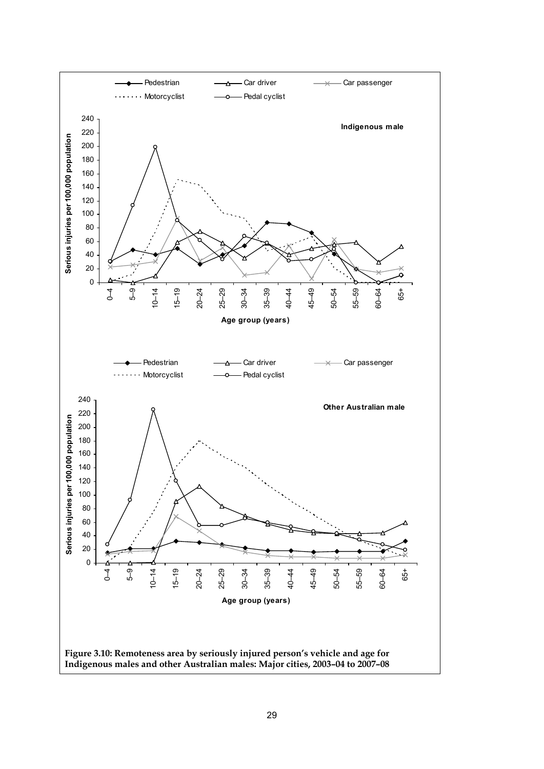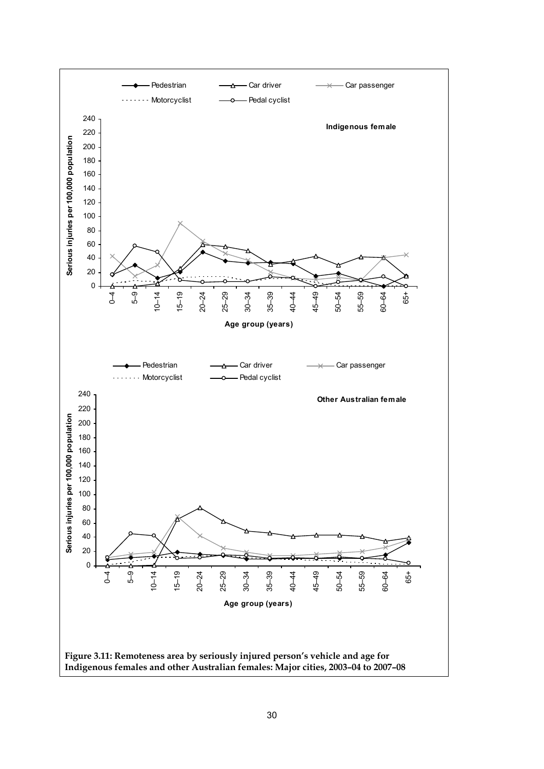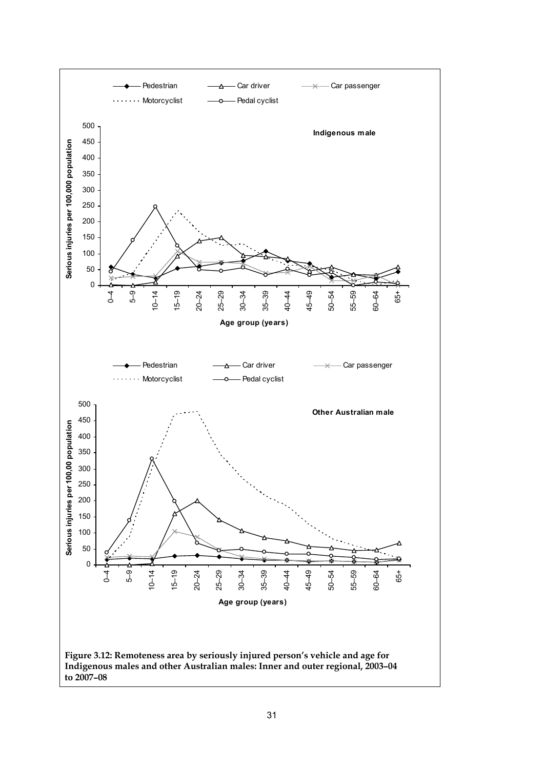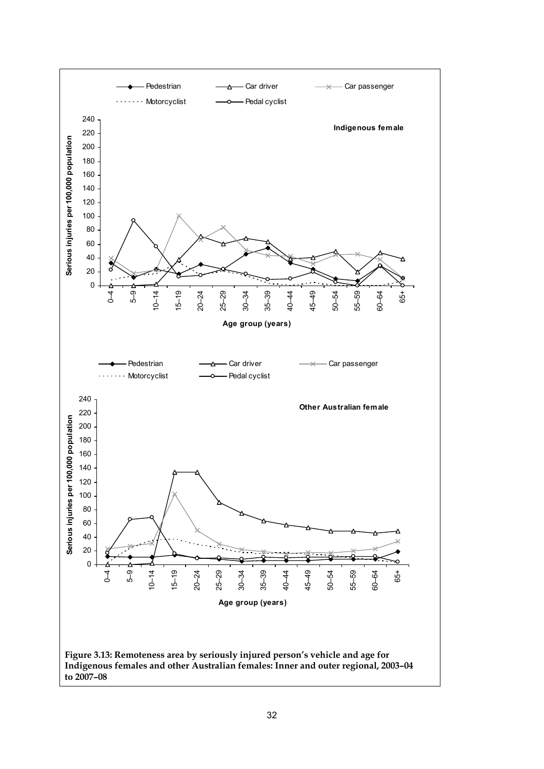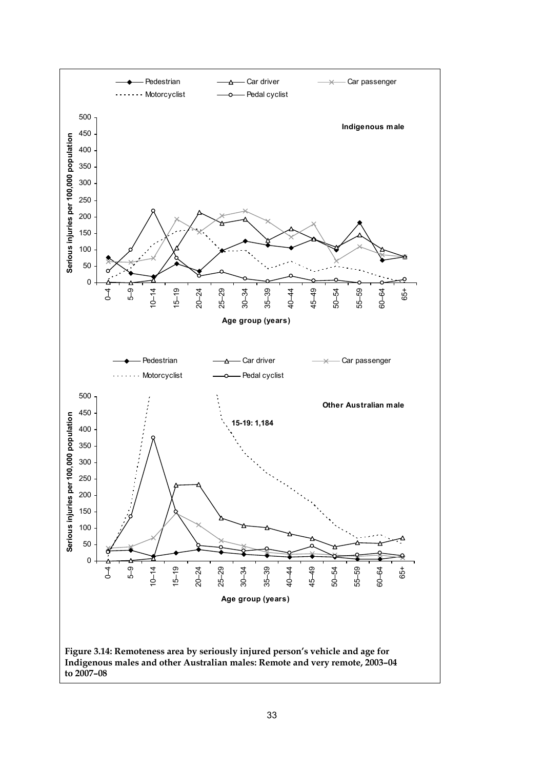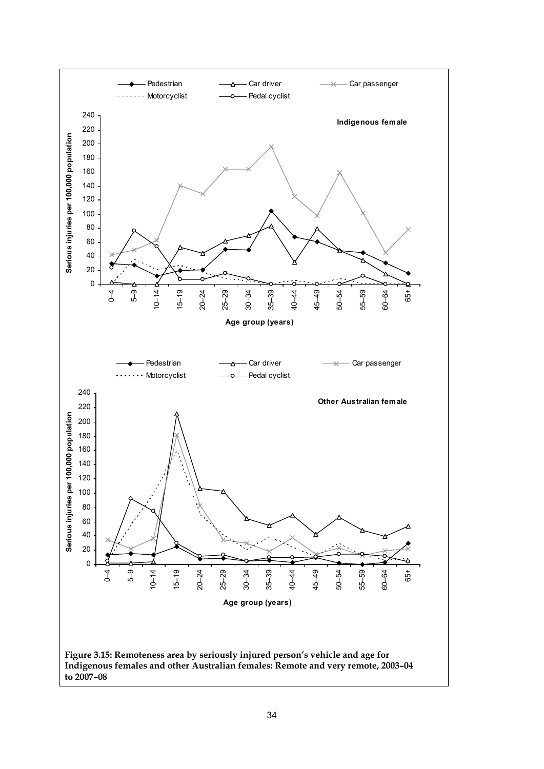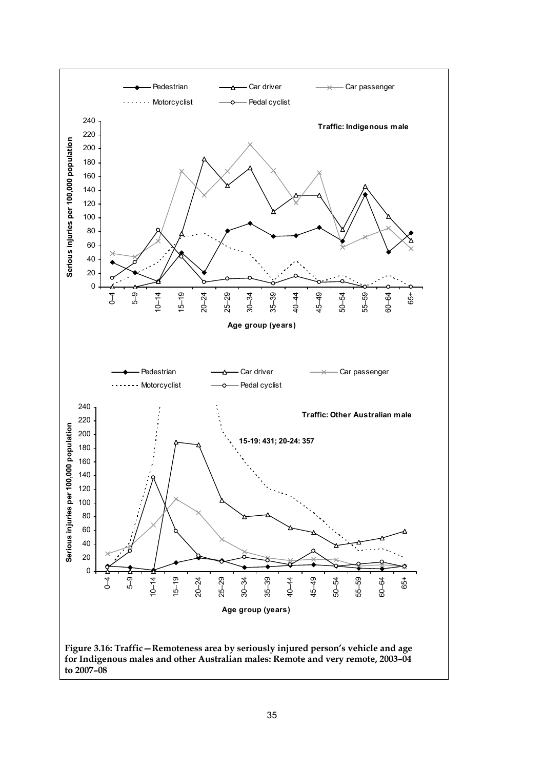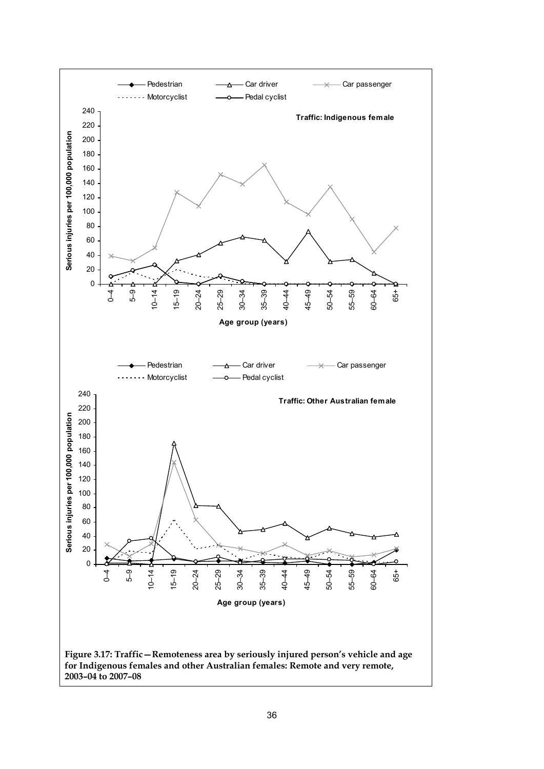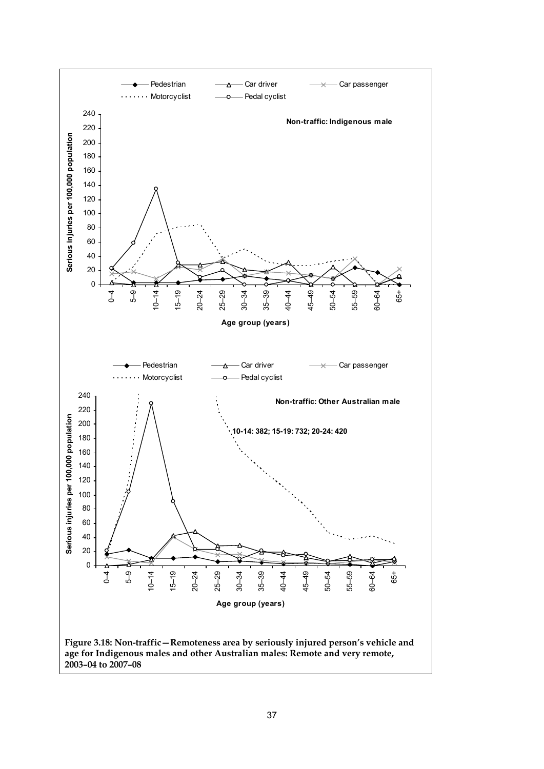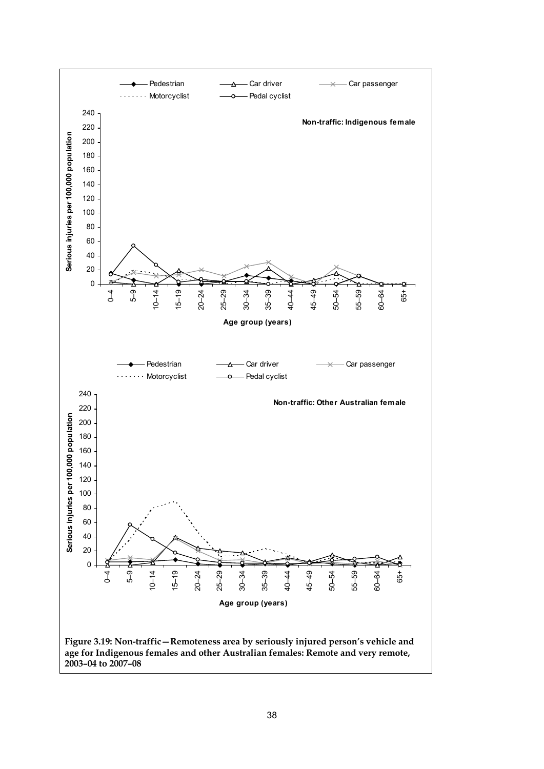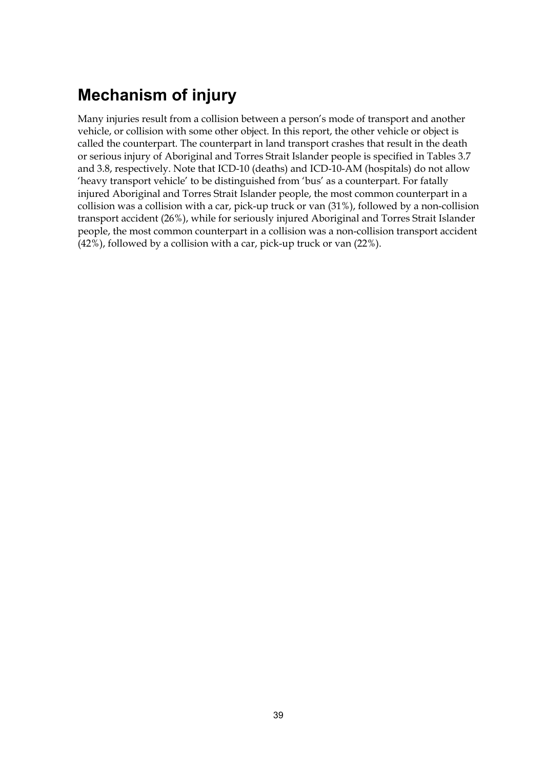## **Mechanism of injury**

Many injuries result from a collision between a person's mode of transport and another vehicle, or collision with some other object. In this report, the other vehicle or object is called the counterpart. The counterpart in land transport crashes that result in the death or serious injury of Aboriginal and Torres Strait Islander people is specified in Tables 3.7 and 3.8, respectively. Note that ICD-10 (deaths) and ICD-10-AM (hospitals) do not allow 'heavy transport vehicle' to be distinguished from 'bus' as a counterpart. For fatally injured Aboriginal and Torres Strait Islander people, the most common counterpart in a collision was a collision with a car, pick-up truck or van (31%), followed by a non-collision transport accident (26%), while for seriously injured Aboriginal and Torres Strait Islander people, the most common counterpart in a collision was a non-collision transport accident (42%), followed by a collision with a car, pick-up truck or van (22%).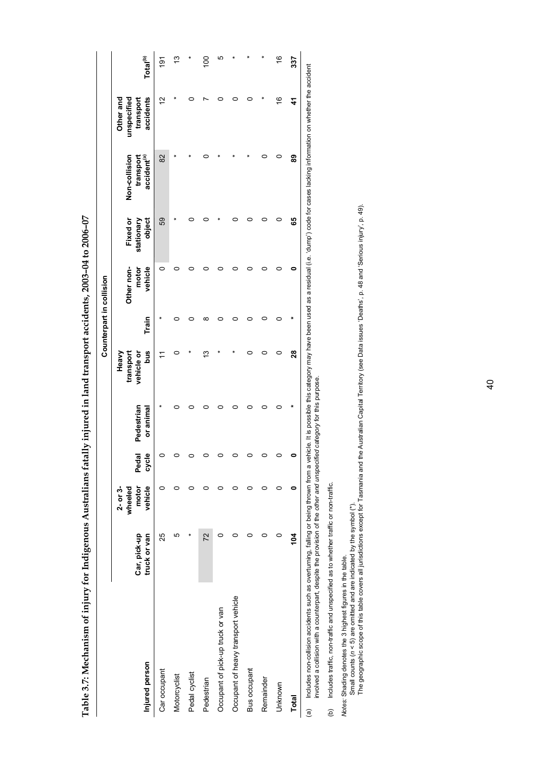Table 3.7: Mechanism of injury for Indigenous Australians fatally injured in land transport accidents, 2003-04 to 2006-07 **Table 3.7: Mechanism of injury for Indigenous Australians fatally injured in land transport accidents, 2003–04 to 2006–07** 

|                                                                                                                                                                                                                                                                                                                             |                              |                                             |                |                             |                                         |       | Counterpart in collision       |                                  |                                                       |                                                    |                      |
|-----------------------------------------------------------------------------------------------------------------------------------------------------------------------------------------------------------------------------------------------------------------------------------------------------------------------------|------------------------------|---------------------------------------------|----------------|-----------------------------|-----------------------------------------|-------|--------------------------------|----------------------------------|-------------------------------------------------------|----------------------------------------------------|----------------------|
| Injured person                                                                                                                                                                                                                                                                                                              | truck or van<br>Car, pick-up | vehicle<br>motor<br>$2 - or 3 -$<br>wheeled | cycle<br>Pedal | Pedestrian<br>or animal     | bus<br>vehicle or<br>transport<br>Heavy | Train | Other non-<br>vehicle<br>motor | Fixed or<br>object<br>stationary | Non-collision<br>accident <sup>(a)</sup><br>transport | accidents<br>Other and<br>unspecified<br>transport | Total <sup>(b)</sup> |
| Car occupant                                                                                                                                                                                                                                                                                                                | 25                           |                                             |                |                             |                                         |       | 0                              | 59                               | 82                                                    | $\tilde{c}$                                        | $\frac{1}{9}$        |
| Motorcyclist                                                                                                                                                                                                                                                                                                                | Ю                            |                                             |                |                             |                                         |       |                                |                                  |                                                       |                                                    | 13                   |
| Pedal cyclist                                                                                                                                                                                                                                                                                                               |                              |                                             |                |                             |                                         |       |                                |                                  |                                                       |                                                    |                      |
| Pedestrian                                                                                                                                                                                                                                                                                                                  | 72                           |                                             |                |                             | 13                                      | ∞     |                                |                                  |                                                       |                                                    | SOL                  |
| Occupant of pick-up truck or van                                                                                                                                                                                                                                                                                            |                              |                                             |                |                             |                                         |       |                                |                                  |                                                       |                                                    | ю                    |
| Occupant of heavy transport vehicle                                                                                                                                                                                                                                                                                         |                              |                                             |                |                             |                                         |       |                                |                                  |                                                       |                                                    |                      |
| Bus occupant                                                                                                                                                                                                                                                                                                                |                              |                                             |                |                             |                                         |       |                                |                                  |                                                       |                                                    |                      |
| Remainder                                                                                                                                                                                                                                                                                                                   |                              |                                             |                |                             |                                         |       |                                |                                  |                                                       |                                                    |                      |
| Unknown                                                                                                                                                                                                                                                                                                                     |                              |                                             |                |                             |                                         |       |                                |                                  |                                                       | 91                                                 | $\frac{6}{5}$        |
| <b>Total</b>                                                                                                                                                                                                                                                                                                                | $\frac{10}{4}$               |                                             |                |                             | 28                                      |       |                                | 89                               | 89                                                    | 4                                                  | 337                  |
| (a) Includes non-collision accidents such as overturing, falling or being thrown from a vehicle. It is possible this category may have been used as a residual (i.e. 'dump') code for cases lacking information on whether the<br>involved a collision with a counternat descrite the provision of the other and unspecific |                              |                                             |                | ad catacon, for this number |                                         |       |                                |                                  |                                                       |                                                    |                      |

involved a collision with a counterpart, despite the provision of the *other and unspecified category* for this purpose. category for this purpose. ea unspeci insigned a consistor presente the consistence of the second of the construction of the construction of the construction of the constant of the constant of the constant of the constant of the constant of the constant of the

(b) Includes traffic, non-traffic and unspecified as to whether traffic or non-traffic. (b) Includes traffic, non-traffic and unspecified as to whether traffic or non-traffic.

*Notes:* Shading denotes the 3 highest figures in the table.

Small counts (*n <* 5) are omitted and are indicated by the symbol (\*).

*Notes:* Shading denotes the 3 highest figures in the table.<br>Small counts (*n <* 5) are omitted and are indicated by the symbol (\*).<br>The geographic scope of this table covers all jurisdictions except for Tasmania and the The geographic scope of this table covers all jurisdictions except for Tasmania and the Australian Capital Territory (see Data issues 'Deaths', p. 48 and 'Serious injury', p. 49).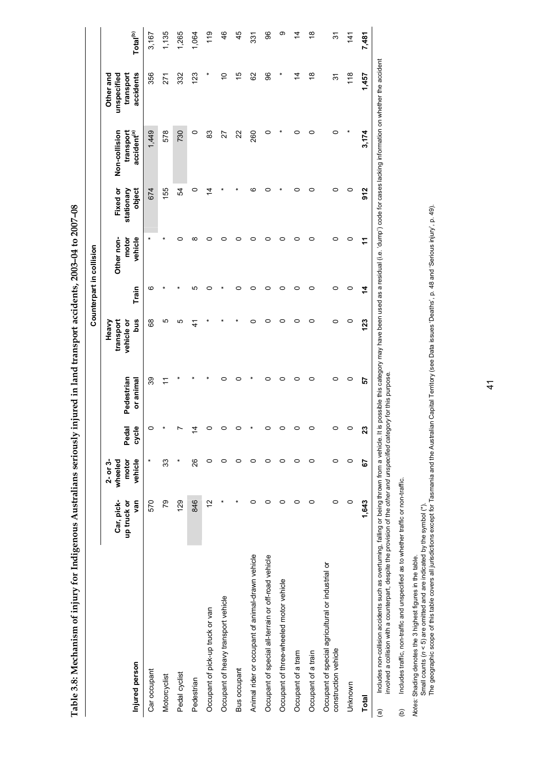**Table 3.8: Mechanism of injury for Indigenous Australians seriously injured in land transport accidents, 2003–04 to 2007–08**  Table 3.8: Mechanism of injury for Indigenous Australians seriously injured in land transport accidents, 2003-04 to 2007-08

|                                                                                                                                                                                                                                          |                                  |                                             |                |                         |                                         |       | Counterpart in collision       |                                  |                                                       |                                                                                                                                        |                      |
|------------------------------------------------------------------------------------------------------------------------------------------------------------------------------------------------------------------------------------------|----------------------------------|---------------------------------------------|----------------|-------------------------|-----------------------------------------|-------|--------------------------------|----------------------------------|-------------------------------------------------------|----------------------------------------------------------------------------------------------------------------------------------------|----------------------|
| Injured person                                                                                                                                                                                                                           | Car, pick-<br>van<br>up truck or | vehicle<br>wheeled<br>motor<br>$2 - or 3 -$ | Pedal<br>cycle | Pedestrian<br>or animal | bus<br>Heavy<br>transport<br>vehicle or | Train | Other non-<br>vehicle<br>motor | Fixed or<br>object<br>stationary | accident <sup>(a)</sup><br>Non-collision<br>transport | accidents<br>unspecified<br>transport<br>Other and                                                                                     | Total <sup>(b)</sup> |
| Car occupant                                                                                                                                                                                                                             | 570                              |                                             |                | 39                      | 89                                      | ဖ     |                                | 674                              | 1,449                                                 | 356                                                                                                                                    | 3,167                |
| Motorcyclist                                                                                                                                                                                                                             | 79                               | 33                                          |                |                         | 5                                       |       |                                | 155                              | 578                                                   | 271                                                                                                                                    | 1,135                |
| Pedal cyclist                                                                                                                                                                                                                            | 129                              | ×                                           |                |                         | ю                                       |       | c                              | 54                               | 730                                                   | 332                                                                                                                                    | 1,265                |
| Pedestrian                                                                                                                                                                                                                               | 846                              | 26                                          |                |                         | $\frac{4}{1}$                           | ഥ     | ∞                              | 0                                | $\circ$                                               | 123                                                                                                                                    | 1,064                |
| Occupant of pick-up truck or van                                                                                                                                                                                                         | 51                               | 0                                           |                |                         |                                         |       |                                | ⋣                                | 83                                                    |                                                                                                                                        | $\frac{6}{1}$        |
| Occupant of heavy transport vehicle                                                                                                                                                                                                      |                                  | 0                                           |                |                         |                                         |       |                                |                                  | 27                                                    | S                                                                                                                                      | 46                   |
| <b>Bus occupant</b>                                                                                                                                                                                                                      |                                  | 0                                           |                |                         |                                         |       | ⊂                              |                                  | 22                                                    | 10                                                                                                                                     | 45                   |
| Animal rider or occupant of animal-drawn vehicle                                                                                                                                                                                         | 0                                | 0                                           |                |                         | ⊂                                       |       | 0                              | ဖ                                | 260                                                   | 8                                                                                                                                      | 331                  |
| Occupant of special all-terrain or off-road vehicle                                                                                                                                                                                      | 0                                | 0                                           |                | ⊂                       | ⊂                                       |       | 0                              |                                  | 0                                                     | 86                                                                                                                                     | 96                   |
| Occupant of three-wheeled motor vehicle                                                                                                                                                                                                  | 0                                | 0                                           |                |                         |                                         |       | 0                              |                                  |                                                       |                                                                                                                                        | თ                    |
| Occupant of a tram                                                                                                                                                                                                                       | 0                                | 0                                           |                | ⊂                       | ⊂                                       |       | 0                              | ⊂                                | 0                                                     | $\overline{4}$                                                                                                                         | ź,                   |
| Occupant of a train                                                                                                                                                                                                                      | 0                                | 0                                           |                |                         |                                         |       | 0                              |                                  |                                                       | $\frac{8}{1}$                                                                                                                          | $\frac{8}{1}$        |
| Occupant of special agricultural or industrial or<br>construction vehicle                                                                                                                                                                | 0                                | $\circ$                                     |                | 0                       | 0                                       | 0     | 0                              | 0                                | 0                                                     | 9                                                                                                                                      | <u>રુ</u>            |
| Unknown                                                                                                                                                                                                                                  | 0                                | 0                                           | 0              | 0                       | 0                                       | 0     | 0                              | 0                                |                                                       | $\frac{18}{2}$                                                                                                                         | $\frac{4}{1}$        |
| <b>Total</b>                                                                                                                                                                                                                             | 1,643                            | 5                                           | ಔ              | 5                       | 123                                     | 4     | ÷                              | 912                              | 3,174                                                 | 1,457                                                                                                                                  | 7,481                |
| involved a collision with a counterpart, despite the provision of the other and unspecified category for this purpose.<br>Includes non-collision accidents such as overturning, falling or being thrown from a vehicle.<br>$\widehat{a}$ |                                  |                                             |                |                         |                                         |       |                                |                                  |                                                       | It is possible this category may have been used as a residual (i.e. 'dump') code for cases lacking information on whether the accident |                      |

 $\zeta$ 

Includes traffic, non-traffic and unspecified as to whether traffic or non-traffic. (b) Includes traffic, non-traffic and unspecified as to whether traffic or non-traffic.  $\widehat{e}$ 

*Notes:* Shading denotes the 3 highest figures in the table.

Small counts (*n <* 5) are omitted and are indicated by the symbol (\*).

*Notes:* Shading denotes the 3 highest figures in the table.<br>Small counts (n < 5) are omitted and are indicated by the symbol (\*).<br>The geographic scope of this table covers all jurisdictions except for Tasmania and the A The geographic scope of this table covers all jurisdictions except for Tasmania and the Australian Capital Territory (see Data issues 'Deaths', p. 48 and 'Serious injury', p. 49).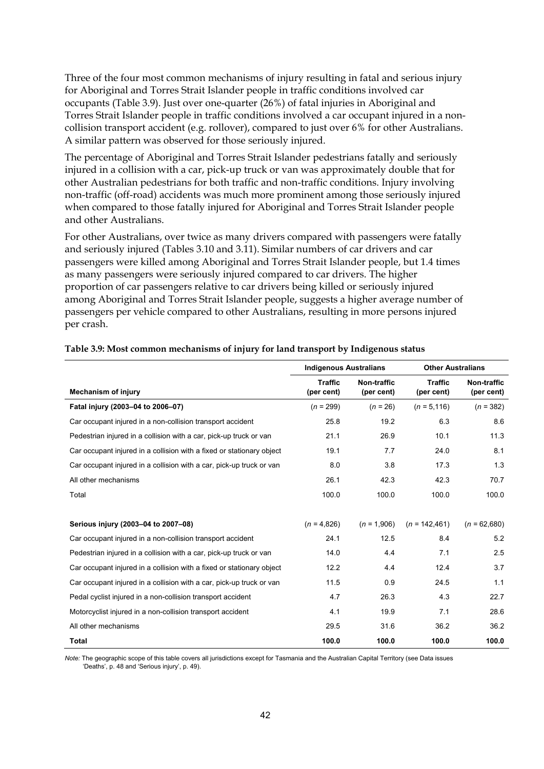Three of the four most common mechanisms of injury resulting in fatal and serious injury for Aboriginal and Torres Strait Islander people in traffic conditions involved car occupants (Table 3.9). Just over one-quarter (26%) of fatal injuries in Aboriginal and Torres Strait Islander people in traffic conditions involved a car occupant injured in a noncollision transport accident (e.g. rollover), compared to just over 6% for other Australians. A similar pattern was observed for those seriously injured.

The percentage of Aboriginal and Torres Strait Islander pedestrians fatally and seriously injured in a collision with a car, pick-up truck or van was approximately double that for other Australian pedestrians for both traffic and non-traffic conditions. Injury involving non-traffic (off-road) accidents was much more prominent among those seriously injured when compared to those fatally injured for Aboriginal and Torres Strait Islander people and other Australians.

For other Australians, over twice as many drivers compared with passengers were fatally and seriously injured (Tables 3.10 and 3.11). Similar numbers of car drivers and car passengers were killed among Aboriginal and Torres Strait Islander people, but 1.4 times as many passengers were seriously injured compared to car drivers. The higher proportion of car passengers relative to car drivers being killed or seriously injured among Aboriginal and Torres Strait Islander people, suggests a higher average number of passengers per vehicle compared to other Australians, resulting in more persons injured per crash.

|                                                                       | <b>Indigenous Australians</b> |                           | <b>Other Australians</b>     |                                  |
|-----------------------------------------------------------------------|-------------------------------|---------------------------|------------------------------|----------------------------------|
| <b>Mechanism of injury</b>                                            | <b>Traffic</b><br>(per cent)  | Non-traffic<br>(per cent) | <b>Traffic</b><br>(per cent) | <b>Non-traffic</b><br>(per cent) |
| Fatal injury (2003-04 to 2006-07)                                     | $(n = 299)$                   | $(n = 26)$                | $(n = 5, 116)$               | $(n = 382)$                      |
| Car occupant injured in a non-collision transport accident            | 25.8                          | 19.2                      | 6.3                          | 8.6                              |
| Pedestrian injured in a collision with a car, pick-up truck or van    | 21.1                          | 26.9                      | 10.1                         | 11.3                             |
| Car occupant injured in a collision with a fixed or stationary object | 19.1                          | 7.7                       | 24.0                         | 8.1                              |
| Car occupant injured in a collision with a car, pick-up truck or van  | 8.0                           | 3.8                       | 17.3                         | 1.3                              |
| All other mechanisms                                                  | 26.1                          | 42.3                      | 42.3                         | 70.7                             |
| Total                                                                 | 100.0                         | 100.0                     | 100.0                        | 100.0                            |
|                                                                       |                               |                           |                              |                                  |
| Serious injury (2003-04 to 2007-08)                                   | $(n = 4.826)$                 | $(n = 1,906)$             | $(n = 142, 461)$             | $(n = 62,680)$                   |
| Car occupant injured in a non-collision transport accident            | 24.1                          | 12.5                      | 8.4                          | 5.2                              |
| Pedestrian injured in a collision with a car, pick-up truck or van    | 14.0                          | 4.4                       | 7.1                          | 2.5                              |
| Car occupant injured in a collision with a fixed or stationary object | 12.2                          | 4.4                       | 12.4                         | 3.7                              |
| Car occupant injured in a collision with a car, pick-up truck or van  | 11.5                          | 0.9                       | 24.5                         | 1.1                              |
| Pedal cyclist injured in a non-collision transport accident           | 4.7                           | 26.3                      | 4.3                          | 22.7                             |
| Motorcyclist injured in a non-collision transport accident            | 4.1                           | 19.9                      | 7.1                          | 28.6                             |
| All other mechanisms                                                  | 29.5                          | 31.6                      | 36.2                         | 36.2                             |
| <b>Total</b>                                                          | 100.0                         | 100.0                     | 100.0                        | 100.0                            |

#### **Table 3.9: Most common mechanisms of injury for land transport by Indigenous status**

*Note:* The geographic scope of this table covers all jurisdictions except for Tasmania and the Australian Capital Territory (see Data issues 'Deaths', p. 48 and 'Serious injury', p. 49).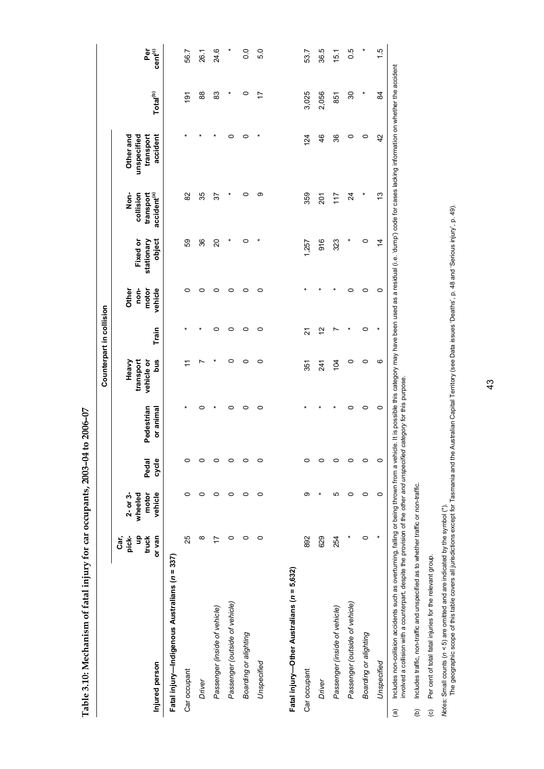|                                                                                                                                                                                                                                       |                                       |                                           |                |                         |                                         | Counterpart in collision |                                   |                                  |                                                           |                                                                                                                                            |                      |                            |
|---------------------------------------------------------------------------------------------------------------------------------------------------------------------------------------------------------------------------------------|---------------------------------------|-------------------------------------------|----------------|-------------------------|-----------------------------------------|--------------------------|-----------------------------------|----------------------------------|-----------------------------------------------------------|--------------------------------------------------------------------------------------------------------------------------------------------|----------------------|----------------------------|
| Injured person                                                                                                                                                                                                                        | pick-<br>9<br>truck<br>Car,<br>or van | motor<br>vehicle<br>$2 - or 3$<br>wheeled | cycle<br>Pedal | Pedestrian<br>or animal | bus<br>Heavy<br>transport<br>vehicle or | Train                    | non-<br>vehicle<br>motor<br>Other | Fixed or<br>stationary<br>object | Non-<br>accident <sup>(a)</sup><br>collision<br>transport | accident<br>Other and<br>unspecified<br>transport                                                                                          | Total <sup>(b)</sup> | Per<br>cent <sup>(c)</sup> |
| Fatal injury—Indigenous Australians (n = 337)                                                                                                                                                                                         |                                       |                                           |                |                         |                                         |                          |                                   |                                  |                                                           |                                                                                                                                            |                      |                            |
| Car occupant                                                                                                                                                                                                                          | 25                                    | 0                                         | 0              |                         | ≓                                       |                          | 0                                 | 59                               | 82                                                        |                                                                                                                                            | $\frac{5}{2}$        | 56.7                       |
| Driver                                                                                                                                                                                                                                | ∞                                     | 0                                         | 0              |                         |                                         |                          | ⊂                                 | 36                               | 35                                                        |                                                                                                                                            | 88                   | 26.1                       |
| Passenger (inside of vehicle)                                                                                                                                                                                                         | 17                                    | 0                                         | 0              |                         |                                         | o                        | c                                 | $\overline{c}$                   | 57                                                        |                                                                                                                                            | 83                   | 24.6                       |
| Passenger (outside of vehicle)                                                                                                                                                                                                        | o                                     | c                                         | 0              |                         | 0                                       | 0                        | c                                 | ٠                                |                                                           | 0                                                                                                                                          | $\ast$               |                            |
| Boarding or alighting                                                                                                                                                                                                                 | 0                                     | $\circ$                                   | 0              | 0                       | 0                                       | 0                        | 0                                 | 0                                | 0                                                         | 0                                                                                                                                          | 0                    | 0.0                        |
| Unspecified                                                                                                                                                                                                                           | $\circ$                               | $\circ$                                   | 0              | 0                       | $\circ$                                 | 0                        | 0                                 |                                  | ග                                                         |                                                                                                                                            | 17                   | 5.0                        |
|                                                                                                                                                                                                                                       |                                       |                                           |                |                         |                                         |                          |                                   |                                  |                                                           |                                                                                                                                            |                      |                            |
| Fatal injury—Other Australians (n = 5,632)                                                                                                                                                                                            |                                       |                                           |                |                         |                                         |                          |                                   |                                  |                                                           |                                                                                                                                            |                      |                            |
| Car occupant                                                                                                                                                                                                                          | 892                                   | တ                                         | o              |                         | 351                                     | 21                       |                                   | 1,257                            | 359                                                       | 124                                                                                                                                        | 3,025                | 53.7                       |
| Driver                                                                                                                                                                                                                                | 629                                   |                                           | o              |                         | 241                                     | $\tilde{c}$              |                                   | 916                              | $\overline{201}$                                          | 46                                                                                                                                         | 2,056                | 36.5                       |
| Passenger (inside of vehicle)                                                                                                                                                                                                         | 254                                   | 5                                         | 0              |                         | 104                                     |                          |                                   | 323                              | 117                                                       | 36                                                                                                                                         | 851                  | 15.1                       |
| Passenger (outside of vehicle)                                                                                                                                                                                                        |                                       | 0                                         | 0              |                         | 0                                       |                          | o                                 |                                  | 24                                                        | 0                                                                                                                                          | 30                   | 0.5                        |
| Boarding or alighting                                                                                                                                                                                                                 | 0                                     | $\circ$                                   | 0              | 0                       | 0                                       | 0                        | 0                                 | 0                                |                                                           | 0                                                                                                                                          |                      |                            |
| Unspecified                                                                                                                                                                                                                           |                                       | $\circ$                                   | $\circ$        | $\circ$                 | ဖ                                       |                          | $\circ$                           | $\overline{4}$                   | 5                                                         | 42                                                                                                                                         | 84                   | $\frac{5}{1}$              |
| involved a collision with a counterpart, despite the provision of the other and unspecified category for this purpose.<br>Includes non-collision accidents such as overturning, falling or being thrown from a vehic<br>$\widehat{a}$ |                                       |                                           |                |                         |                                         |                          |                                   |                                  |                                                           | le. It is possible this category may have been used as a residual (i.e. 'dump') code for cases lacking information on whether the accident |                      |                            |

**Table 3.10: Mechanism of fatal injury for car occupants, 2003–04 to 2006–07**  Table 3.10: Mechanism of fatal injury for car occupants, 2003-04 to 2006-07 involved a collision with a counterpart, despite the provision of the *other and unspecified category* for this purpose. palpa<br>P יי עישפ قر<br>ج

(b) Includes traffic, non-traffic and unspecified as to whether traffic or non-traffic. (b) Includes traffic, non-traffic and unspecified as to whether traffic or non-traffic.

Per cent of total fatal injuries for the relevant group. (c) Per cent of total fatal injuries for the relevant group.  $\ddot{c}$  *Notes:* Small counts (*n <* 5) are omitted and are indicated by the symbol (\*).

Notes: Small counts (n < 5) are omitted and are indicated by the symbol (\*).<br>The geographic scope of this table covers all jurisdictions except for Tasmania and the Australian Capital Territory (see Data issues 'Deaths', The geographic scope of this table covers all jurisdictions except for Tasmania and the Australian Capital Territory (see Data issues 'Deaths', p. 48 and 'Serious injury', p. 49).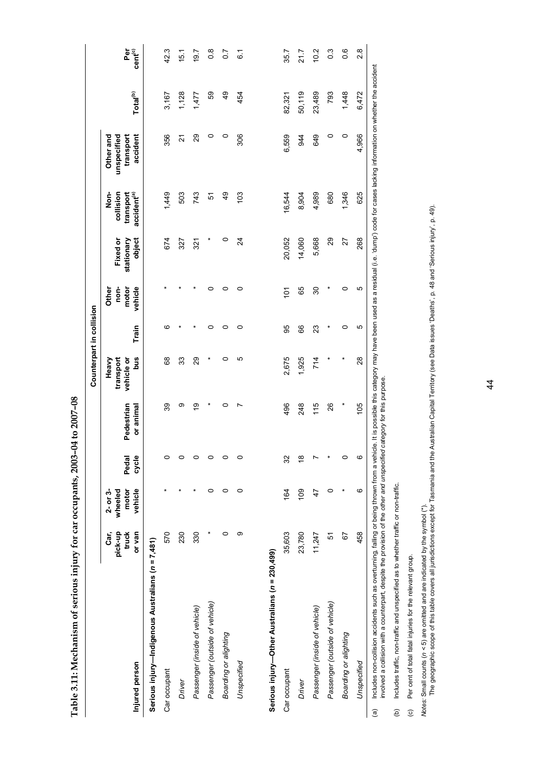| $\sim$ $\sim$ $\sim$                             |
|--------------------------------------------------|
|                                                  |
| .<br>S                                           |
|                                                  |
|                                                  |
|                                                  |
|                                                  |
|                                                  |
|                                                  |
| こうきょうりょく そうり そうよ こうしょう                           |
|                                                  |
|                                                  |
|                                                  |
|                                                  |
| ֚֚֚֓<br>֧֚֚֚֚֚֚֚֚֝֝֝֓֝<br>֧֚֚֚֚֚֚֚֚֚֚֚֚֚֚֚֝֝֝֝֝֝ |
|                                                  |
|                                                  |
|                                                  |
|                                                  |
| ֡֡֡                                              |
|                                                  |
| <br> <br>                                        |
|                                                  |
| ľ                                                |

|                                                   |                          |                                |         |            | Counterpart in collision         |       |                        |                        |                                |                                       |                      |                     |
|---------------------------------------------------|--------------------------|--------------------------------|---------|------------|----------------------------------|-------|------------------------|------------------------|--------------------------------|---------------------------------------|----------------------|---------------------|
|                                                   | pick-up<br>truck<br>Car, | motor<br>$2 - or 3$<br>wheeled | Pedal   | Pedestrian | Heavy<br>transport<br>vehicle or |       | non-<br>motor<br>Other | Fixed or<br>stationary | collision<br>Non-<br>transport | Other and<br>unspecified<br>transport |                      | Per                 |
| Injured person                                    | or van                   | vehicle                        | cycle   | or animal  | Snq                              | Train | vehicle                | object                 | accident <sup>(a)</sup>        | accident                              | Total <sup>(b)</sup> | cent <sup>(c)</sup> |
| Serious injury—Indigenous Australians (n = 7,481) |                          |                                |         |            |                                  |       |                        |                        |                                |                                       |                      |                     |
| Car occupant                                      | 570                      |                                | $\circ$ | 39         | 89                               | ဖ     |                        | 674                    | 1,449                          | 356                                   | 3,167                | 42.3                |
| Driver                                            | 230                      |                                | $\circ$ | ග          | 33                               |       |                        | 327                    | 503                            | ম                                     | 1,128                | 15.1                |
| Passenger (inside of vehicle)                     | 330                      |                                | $\circ$ | ō,         | 29                               |       |                        | 321                    | 743                            | 29                                    | 1,477                | 19.7                |
| Passenger (outside of vehicle)                    |                          | 0                              | $\circ$ | $\ast$     |                                  | 0     | 0                      |                        | 5                              | 0                                     | 89                   | $\frac{8}{2}$       |
| Boarding or alighting                             | 0                        | 0                              | $\circ$ | 0          | 0                                | 0     | 0                      | 0                      | $\frac{9}{4}$                  | 0                                     | 49                   | $\overline{0}$      |
| Unspecified                                       | თ                        | 0                              | $\circ$ | N          | 5                                | 0     | 0                      | 24                     | 103                            | 306                                   | 454                  | $\overline{6}$      |
|                                                   |                          |                                |         |            |                                  |       |                        |                        |                                |                                       |                      |                     |
| Serious injury-Other Australians (n = 230,499)    |                          |                                |         |            |                                  |       |                        |                        |                                |                                       |                      |                     |
| Car occupant                                      | 35,603                   | 164                            | 32      | 496        | 2,675                            | 95    | $\overline{101}$       | 20,052                 | 16,544                         | 6,559                                 | 82,321               | 35.7                |
| Driver                                            | 23,780                   | 109                            | ö       | 248        | 1,925                            | 66    | 65                     | 14,060                 | 8,904                          | 944                                   | 50,119               | 21.7                |
| Passenger (inside of vehicle)                     | 11,247                   | 47                             | L       | 115        | 714                              | 23    | 30                     | 5,668                  | 4,989                          | 649                                   | 23,489               | 10.2                |
| Passenger (outside of vehicle)                    | 5                        | 0                              |         | 26         |                                  |       | ×                      | $\mathbf{g}$           | 680                            | 0                                     | 793                  | $\frac{3}{2}$       |
| Boarding or alighting                             | 67                       |                                | $\circ$ | ×          |                                  | 0     | 0                      | 27                     | 1,346                          | 0                                     | 1,448                | 0.6                 |
| Unspecified                                       | 458                      | ဖ                              | $\circ$ | 105        | 28                               | Ю     | ю                      | 268                    | 625                            | 4,966                                 | 6,472                | $\frac{8}{2}$       |

Includes non-collision accidents such as overturning, falling or being thrown from a vehicle. It is possible this category may have been used as a residual (i.e. 'dump') code for cases lacking information on whether the ac a) Includes non-collision accidents such as overturning, falling or being, falling or being thrown from a vehicle, this possible this category may have been used as a residual (i.e. 'dump') code for cases lacking informati involved a collision with a counterpart, despite the provision of the other and unspecified category for this purpose. involved a collision with a counterpart, despite the provision of the *other and unspecified category* for this purpose.  $\widehat{a}$ 

(b) Includes traffic, non-traffic and unspecified as to whether traffic or non-traffic. Includes traffic, non-traffic and unspecified as to whether traffic or non-traffic.  $\widehat{e}$ 

Per cent of total fatal injuries for the relevant group. (c) Per cent of total fatal injuries for the relevant group.  $\odot$  *Notes:* Small counts (*n <* 5) are omitted and are indicated by the symbol (\*).

Notes: Small counts (n < 5) are omitted and are indicated by the symbol (\*).<br>The geographic scope of this table covers all jurisdictions except for Tasmania and the Australian Capital Territory (see Data issues 'Deaths', The geographic scope of this table covers all jurisdictions except for Tasmania and the Australian Capital Territory (see Data issues 'Deaths', p. 48 and 'Serious injury', p. 49).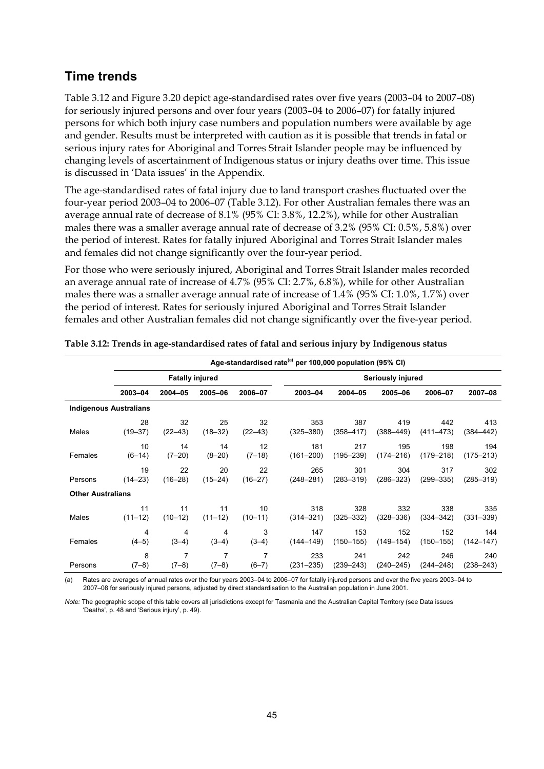#### **Time trends**

Table 3.12 and Figure 3.20 depict age-standardised rates over five years (2003–04 to 2007–08) for seriously injured persons and over four years (2003–04 to 2006–07) for fatally injured persons for which both injury case numbers and population numbers were available by age and gender. Results must be interpreted with caution as it is possible that trends in fatal or serious injury rates for Aboriginal and Torres Strait Islander people may be influenced by changing levels of ascertainment of Indigenous status or injury deaths over time. This issue is discussed in 'Data issues' in the Appendix.

The age-standardised rates of fatal injury due to land transport crashes fluctuated over the four-year period 2003–04 to 2006–07 (Table 3.12). For other Australian females there was an average annual rate of decrease of 8.1% (95% CI: 3.8%, 12.2%), while for other Australian males there was a smaller average annual rate of decrease of 3.2% (95% CI: 0.5%, 5.8%) over the period of interest. Rates for fatally injured Aboriginal and Torres Strait Islander males and females did not change significantly over the four-year period.

For those who were seriously injured, Aboriginal and Torres Strait Islander males recorded an average annual rate of increase of 4.7% (95% CI: 2.7%, 6.8%), while for other Australian males there was a smaller average annual rate of increase of 1.4% (95% CI: 1.0%, 1.7%) over the period of interest. Rates for seriously injured Aboriginal and Torres Strait Islander females and other Australian females did not change significantly over the five-year period.

|                               |             |                        |             |             | Age-standardised rate <sup>(a)</sup> per 100,000 population (95% CI) |               |                   |               |               |
|-------------------------------|-------------|------------------------|-------------|-------------|----------------------------------------------------------------------|---------------|-------------------|---------------|---------------|
|                               |             | <b>Fatally injured</b> |             |             |                                                                      |               | Seriously injured |               |               |
|                               | 2003-04     | 2004-05                | 2005-06     | 2006-07     | 2003-04                                                              | 2004-05       | 2005-06           | 2006-07       | 2007-08       |
| <b>Indigenous Australians</b> |             |                        |             |             |                                                                      |               |                   |               |               |
| Males                         | 28          | 32                     | 25          | 32          | 353                                                                  | 387           | 419               | 442           | 413           |
|                               | $(19 - 37)$ | $(22 - 43)$            | $(18 - 32)$ | $(22 - 43)$ | $(325 - 380)$                                                        | $(358 - 417)$ | $(388 - 449)$     | $(411 - 473)$ | $(384 - 442)$ |
| Females                       | 10          | 14                     | 14          | 12          | 181                                                                  | 217           | 195               | 198           | 194           |
|                               | $(6-14)$    | $(7 - 20)$             | $(8 - 20)$  | $(7-18)$    | $(161 - 200)$                                                        | $(195 - 239)$ | $(174 - 216)$     | $(179 - 218)$ | $(175 - 213)$ |
| Persons                       | 19          | 22                     | 20          | 22          | 265                                                                  | 301           | 304               | 317           | 302           |
|                               | $(14 - 23)$ | $(16 - 28)$            | $(15 - 24)$ | $(16 - 27)$ | $(248 - 281)$                                                        | $(283 - 319)$ | $(286 - 323)$     | $(299 - 335)$ | $(285 - 319)$ |
| <b>Other Australians</b>      |             |                        |             |             |                                                                      |               |                   |               |               |
| Males                         | 11          | 11                     | 11          | 10          | 318                                                                  | 328           | 332               | 338           | 335           |
|                               | $(11 - 12)$ | $(10-12)$              | $(11 - 12)$ | $(10-11)$   | $(314 - 321)$                                                        | $(325 - 332)$ | $(328 - 336)$     | $(334 - 342)$ | $(331 - 339)$ |
| Females                       | 4           | 4                      | 4           | 3           | 147                                                                  | 153           | 152               | 152           | 144           |
|                               | $(4-5)$     | $(3-4)$                | $(3-4)$     | $(3-4)$     | $(144 - 149)$                                                        | (150–155)     | $(149 - 154)$     | $(150 - 155)$ | $(142 - 147)$ |
| Persons                       | 8           | 7                      | 7           | 7           | 233                                                                  | 241           | 242               | 246           | 240           |
|                               | $(7-8)$     | $(7-8)$                | $(7-8)$     | $(6 - 7)$   | $(231 - 235)$                                                        | (239–243)     | $(240 - 245)$     | (244–248)     | $(238 - 243)$ |

**Table 3.12: Trends in age-standardised rates of fatal and serious injury by Indigenous status** 

(a) Rates are averages of annual rates over the four years 2003–04 to 2006–07 for fatally injured persons and over the five years 2003–04 to 2007–08 for seriously injured persons, adjusted by direct standardisation to the Australian population in June 2001.

*Note:* The geographic scope of this table covers all jurisdictions except for Tasmania and the Australian Capital Territory (see Data issues 'Deaths', p. 48 and 'Serious injury', p. 49).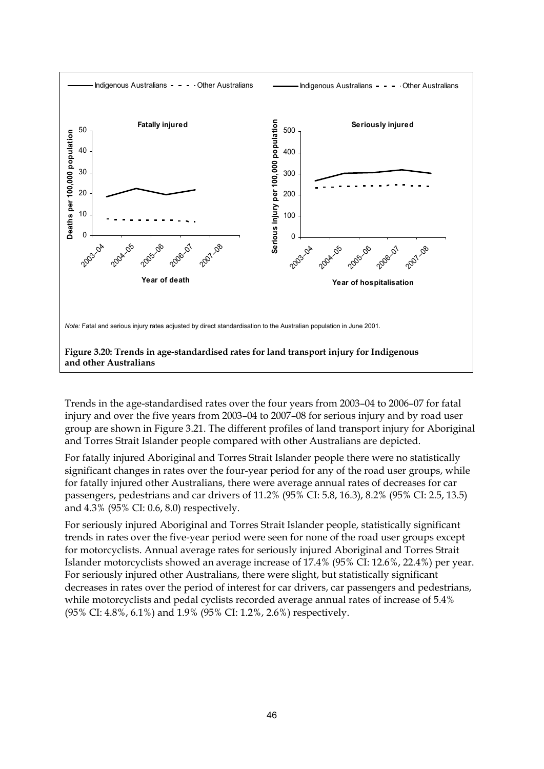

Trends in the age-standardised rates over the four years from 2003–04 to 2006–07 for fatal injury and over the five years from 2003–04 to 2007–08 for serious injury and by road user group are shown in Figure 3.21. The different profiles of land transport injury for Aboriginal and Torres Strait Islander people compared with other Australians are depicted.

For fatally injured Aboriginal and Torres Strait Islander people there were no statistically significant changes in rates over the four-year period for any of the road user groups, while for fatally injured other Australians, there were average annual rates of decreases for car passengers, pedestrians and car drivers of 11.2% (95% CI: 5.8, 16.3), 8.2% (95% CI: 2.5, 13.5) and 4.3% (95% CI: 0.6, 8.0) respectively.

For seriously injured Aboriginal and Torres Strait Islander people, statistically significant trends in rates over the five-year period were seen for none of the road user groups except for motorcyclists. Annual average rates for seriously injured Aboriginal and Torres Strait Islander motorcyclists showed an average increase of 17.4% (95% CI: 12.6%, 22.4%) per year. For seriously injured other Australians, there were slight, but statistically significant decreases in rates over the period of interest for car drivers, car passengers and pedestrians, while motorcyclists and pedal cyclists recorded average annual rates of increase of 5.4% (95% CI: 4.8%, 6.1%) and 1.9% (95% CI: 1.2%, 2.6%) respectively.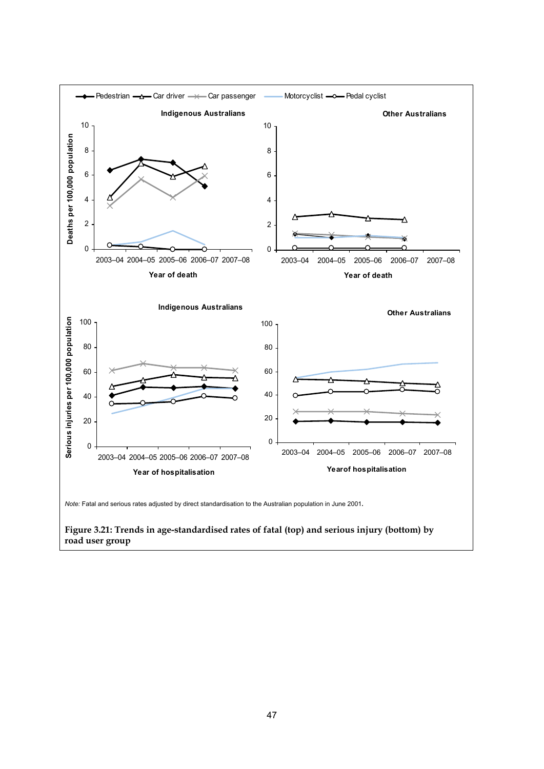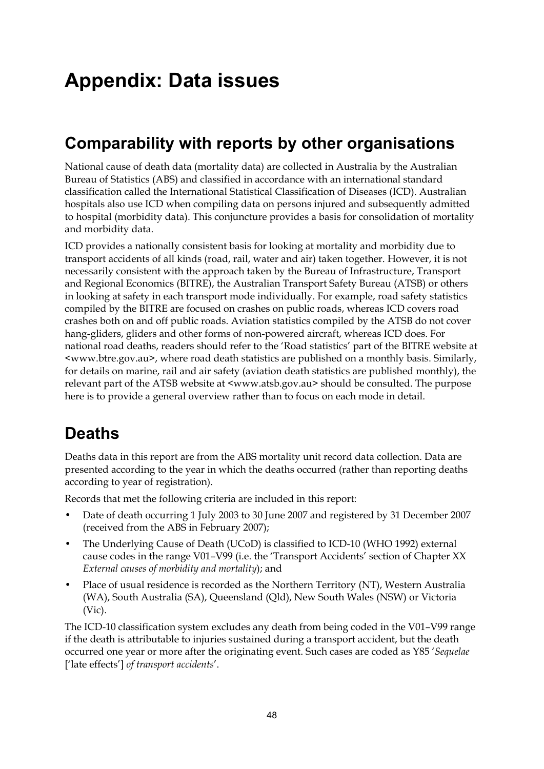# **Appendix: Data issues**

### **Comparability with reports by other organisations**

National cause of death data (mortality data) are collected in Australia by the Australian Bureau of Statistics (ABS) and classified in accordance with an international standard classification called the International Statistical Classification of Diseases (ICD). Australian hospitals also use ICD when compiling data on persons injured and subsequently admitted to hospital (morbidity data). This conjuncture provides a basis for consolidation of mortality and morbidity data.

ICD provides a nationally consistent basis for looking at mortality and morbidity due to transport accidents of all kinds (road, rail, water and air) taken together. However, it is not necessarily consistent with the approach taken by the Bureau of Infrastructure, Transport and Regional Economics (BITRE), the Australian Transport Safety Bureau (ATSB) or others in looking at safety in each transport mode individually. For example, road safety statistics compiled by the BITRE are focused on crashes on public roads, whereas ICD covers road crashes both on and off public roads. Aviation statistics compiled by the ATSB do not cover hang-gliders, gliders and other forms of non-powered aircraft, whereas ICD does. For national road deaths, readers should refer to the 'Road statistics' part of the BITRE website at <www.btre.gov.au>, where road death statistics are published on a monthly basis. Similarly, for details on marine, rail and air safety (aviation death statistics are published monthly), the relevant part of the ATSB website at  $\langle$ www.atsb.gov.au> should be consulted. The purpose here is to provide a general overview rather than to focus on each mode in detail.

### **Deaths**

Deaths data in this report are from the ABS mortality unit record data collection. Data are presented according to the year in which the deaths occurred (rather than reporting deaths according to year of registration).

Records that met the following criteria are included in this report:

- Date of death occurring 1 July 2003 to 30 June 2007 and registered by 31 December 2007 (received from the ABS in February 2007);
- The Underlying Cause of Death (UCoD) is classified to ICD-10 (WHO 1992) external cause codes in the range V01–V99 (i.e. the 'Transport Accidents' section of Chapter XX *External causes of morbidity and mortality*); and
- Place of usual residence is recorded as the Northern Territory (NT), Western Australia (WA), South Australia (SA), Queensland (Qld), New South Wales (NSW) or Victoria (Vic).

The ICD-10 classification system excludes any death from being coded in the V01–V99 range if the death is attributable to injuries sustained during a transport accident, but the death occurred one year or more after the originating event. Such cases are coded as Y85 '*Sequelae* ['late effects'] *of transport accidents*'.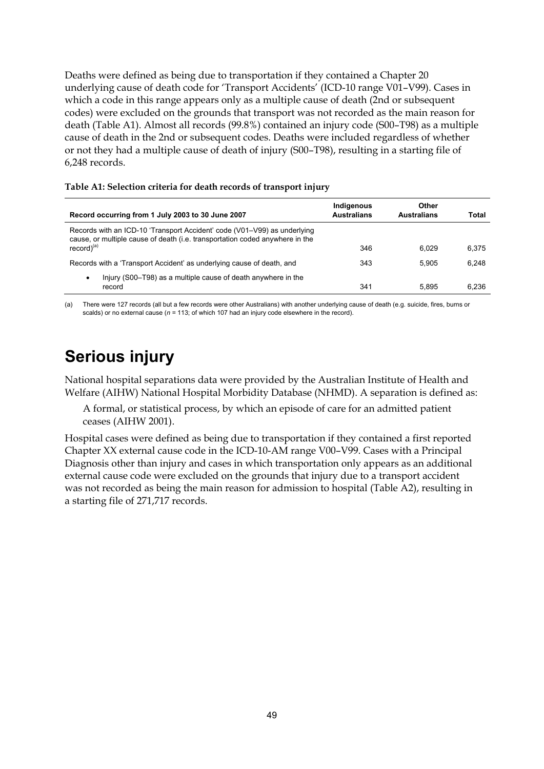Deaths were defined as being due to transportation if they contained a Chapter 20 underlying cause of death code for 'Transport Accidents' (ICD-10 range V01–V99). Cases in which a code in this range appears only as a multiple cause of death (2nd or subsequent codes) were excluded on the grounds that transport was not recorded as the main reason for death (Table A1). Almost all records (99.8%) contained an injury code (S00–T98) as a multiple cause of death in the 2nd or subsequent codes. Deaths were included regardless of whether or not they had a multiple cause of death of injury (S00–T98), resulting in a starting file of 6,248 records.

| Table A1: Selection criteria for death records of transport injury |  |
|--------------------------------------------------------------------|--|
|--------------------------------------------------------------------|--|

| Record occurring from 1 July 2003 to 30 June 2007                                                                                                                           | Indigenous<br><b>Australians</b> | Other<br><b>Australians</b> | Total |
|-----------------------------------------------------------------------------------------------------------------------------------------------------------------------------|----------------------------------|-----------------------------|-------|
| Records with an ICD-10 'Transport Accident' code (V01-V99) as underlying<br>cause, or multiple cause of death (i.e. transportation coded anywhere in the<br>$record)^{(a)}$ | 346                              | 6.029                       | 6.375 |
| Records with a 'Transport Accident' as underlying cause of death, and                                                                                                       | 343                              | 5.905                       | 6.248 |
| Injury (S00–T98) as a multiple cause of death anywhere in the<br>٠<br>record                                                                                                | 341                              | 5.895                       | 6.236 |

(a) There were 127 records (all but a few records were other Australians) with another underlying cause of death (e.g. suicide, fires, burns or scalds) or no external cause (*n =* 113; of which 107 had an injury code elsewhere in the record).

### **Serious injury**

National hospital separations data were provided by the Australian Institute of Health and Welfare (AIHW) National Hospital Morbidity Database (NHMD). A separation is defined as:

A formal, or statistical process, by which an episode of care for an admitted patient ceases (AIHW 2001).

Hospital cases were defined as being due to transportation if they contained a first reported Chapter XX external cause code in the ICD-10-AM range V00–V99. Cases with a Principal Diagnosis other than injury and cases in which transportation only appears as an additional external cause code were excluded on the grounds that injury due to a transport accident was not recorded as being the main reason for admission to hospital (Table A2), resulting in a starting file of 271,717 records.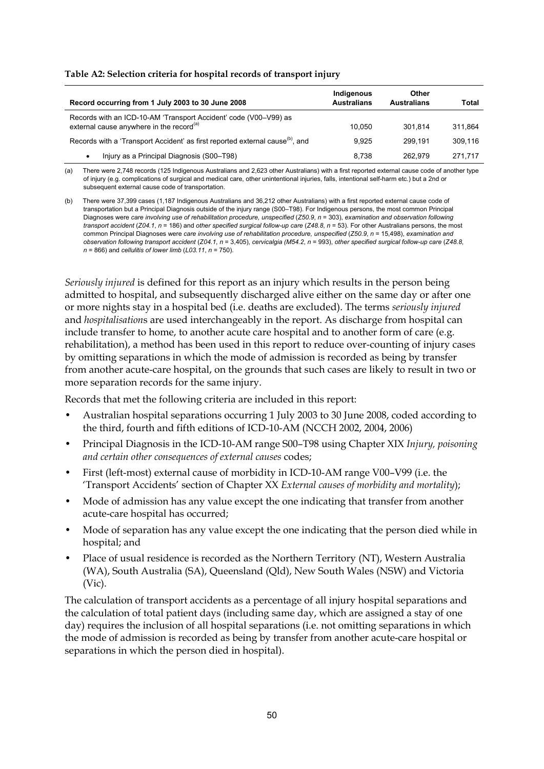| Table A2: Selection criteria for hospital records of transport injury |  |  |
|-----------------------------------------------------------------------|--|--|
|-----------------------------------------------------------------------|--|--|

| Record occurring from 1 July 2003 to 30 June 2008                                                                        | Indigenous<br><b>Australians</b> | Other<br><b>Australians</b> | Total   |
|--------------------------------------------------------------------------------------------------------------------------|----------------------------------|-----------------------------|---------|
| Records with an ICD-10-AM 'Transport Accident' code (V00-V99) as<br>external cause anywhere in the record <sup>(a)</sup> | 10.050                           | 301.814                     | 311.864 |
| Records with a 'Transport Accident' as first reported external cause <sup>(b)</sup> , and                                | 9.925                            | 299.191                     | 309.116 |
| Injury as a Principal Diagnosis (S00-T98)<br>٠                                                                           | 8.738                            | 262.979                     | 271.717 |

(a) There were 2,748 records (125 Indigenous Australians and 2,623 other Australians) with a first reported external cause code of another type of injury (e.g. complications of surgical and medical care, other unintentional injuries, falls, intentional self-harm etc.) but a 2nd or subsequent external cause code of transportation.

(b) There were 37,399 cases (1,187 Indigenous Australians and 36,212 other Australians) with a first reported external cause code of transportation but a Principal Diagnosis outside of the injury range (S00–T98). For Indigenous persons, the most common Principal Diagnoses were *care involving use of rehabilitation procedure, unspecified* (*Z50.9*, *n* = 303), *examination and observation following transport accident* (*Z04.1*, *n* = 186) and *other specified surgical follow-up care* (*Z48.8*, *n* = 53). For other Australians persons, the most common Principal Diagnoses were *care involving use of rehabilitation procedure, unspecified* (*Z50.9*, *n* = 15,498), *examination and observation following transport accident* (*Z04.1*, *n* = 3,405), *cervicalgia (M54.2*, *n* = 993), *other specified surgical follow-up care* (*Z48.8*, *n* = 866) and *cellulitis of lower limb* (*L03.11*, *n* = 750).

*Seriously injured* is defined for this report as an injury which results in the person being admitted to hospital, and subsequently discharged alive either on the same day or after one or more nights stay in a hospital bed (i.e. deaths are excluded). The terms *seriously injured* and *hospitalisation*s are used interchangeably in the report. As discharge from hospital can include transfer to home, to another acute care hospital and to another form of care (e.g. rehabilitation), a method has been used in this report to reduce over-counting of injury cases by omitting separations in which the mode of admission is recorded as being by transfer from another acute-care hospital, on the grounds that such cases are likely to result in two or more separation records for the same injury.

Records that met the following criteria are included in this report:

- Australian hospital separations occurring 1 July 2003 to 30 June 2008, coded according to the third, fourth and fifth editions of ICD-10-AM (NCCH 2002, 2004, 2006)
- Principal Diagnosis in the ICD-10-AM range S00–T98 using Chapter XIX *Injury, poisoning and certain other consequences of external causes* codes;
- First (left-most) external cause of morbidity in ICD-10-AM range V00–V99 (i.e. the 'Transport Accidents' section of Chapter XX *External causes of morbidity and mortality*);
- Mode of admission has any value except the one indicating that transfer from another acute-care hospital has occurred;
- Mode of separation has any value except the one indicating that the person died while in hospital; and
- Place of usual residence is recorded as the Northern Territory (NT), Western Australia (WA), South Australia (SA), Queensland (Qld), New South Wales (NSW) and Victoria (Vic).

The calculation of transport accidents as a percentage of all injury hospital separations and the calculation of total patient days (including same day, which are assigned a stay of one day) requires the inclusion of all hospital separations (i.e. not omitting separations in which the mode of admission is recorded as being by transfer from another acute-care hospital or separations in which the person died in hospital).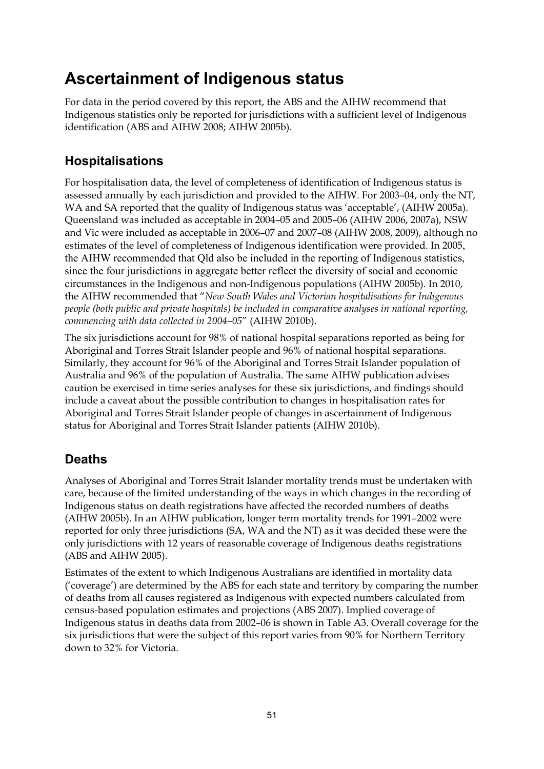### **Ascertainment of Indigenous status**

For data in the period covered by this report, the ABS and the AIHW recommend that Indigenous statistics only be reported for jurisdictions with a sufficient level of Indigenous identification (ABS and AIHW 2008; AIHW 2005b).

### **Hospitalisations**

For hospitalisation data, the level of completeness of identification of Indigenous status is assessed annually by each jurisdiction and provided to the AIHW. For 2003–04, only the NT, WA and SA reported that the quality of Indigenous status was 'acceptable', (AIHW 2005a). Queensland was included as acceptable in 2004–05 and 2005–06 (AIHW 2006, 2007a), NSW and Vic were included as acceptable in 2006–07 and 2007–08 (AIHW 2008, 2009), although no estimates of the level of completeness of Indigenous identification were provided. In 2005, the AIHW recommended that Qld also be included in the reporting of Indigenous statistics, since the four jurisdictions in aggregate better reflect the diversity of social and economic circumstances in the Indigenous and non-Indigenous populations (AIHW 2005b). In 2010, the AIHW recommended that "*New South Wales and Victorian hospitalisations for Indigenous people (both public and private hospitals) be included in comparative analyses in national reporting, commencing with data collected in 2004–05*" (AIHW 2010b).

The six jurisdictions account for 98% of national hospital separations reported as being for Aboriginal and Torres Strait Islander people and 96% of national hospital separations. Similarly, they account for 96% of the Aboriginal and Torres Strait Islander population of Australia and 96% of the population of Australia. The same AIHW publication advises caution be exercised in time series analyses for these six jurisdictions, and findings should include a caveat about the possible contribution to changes in hospitalisation rates for Aboriginal and Torres Strait Islander people of changes in ascertainment of Indigenous status for Aboriginal and Torres Strait Islander patients (AIHW 2010b).

### **Deaths**

Analyses of Aboriginal and Torres Strait Islander mortality trends must be undertaken with care, because of the limited understanding of the ways in which changes in the recording of Indigenous status on death registrations have affected the recorded numbers of deaths (AIHW 2005b). In an AIHW publication, longer term mortality trends for 1991–2002 were reported for only three jurisdictions (SA, WA and the NT) as it was decided these were the only jurisdictions with 12 years of reasonable coverage of Indigenous deaths registrations (ABS and AIHW 2005).

Estimates of the extent to which Indigenous Australians are identified in mortality data ('coverage') are determined by the ABS for each state and territory by comparing the number of deaths from all causes registered as Indigenous with expected numbers calculated from census-based population estimates and projections (ABS 2007). Implied coverage of Indigenous status in deaths data from 2002–06 is shown in Table A3. Overall coverage for the six jurisdictions that were the subject of this report varies from 90% for Northern Territory down to 32% for Victoria.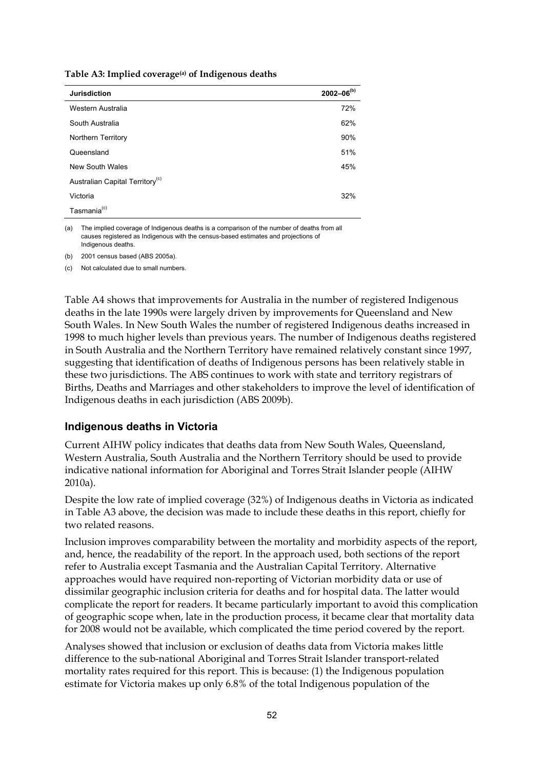**Table A3: Implied coverage(a) of Indigenous deaths** 

| <b>Jurisdiction</b>                         | $2002 - 06^{(b)}$ |
|---------------------------------------------|-------------------|
| Western Australia                           | 72%               |
| South Australia                             | 62%               |
| Northern Territory                          | 90%               |
| Queensland                                  | 51%               |
| New South Wales                             | 45%               |
| Australian Capital Territory <sup>(c)</sup> |                   |
| Victoria                                    | 32%               |
| Tasmania <sup>(c)</sup>                     |                   |

(a) The implied coverage of Indigenous deaths is a comparison of the number of deaths from all causes registered as Indigenous with the census-based estimates and projections of Indigenous deaths.

(b) 2001 census based (ABS 2005a).

(c) Not calculated due to small numbers.

Table A4 shows that improvements for Australia in the number of registered Indigenous deaths in the late 1990s were largely driven by improvements for Queensland and New South Wales. In New South Wales the number of registered Indigenous deaths increased in 1998 to much higher levels than previous years. The number of Indigenous deaths registered in South Australia and the Northern Territory have remained relatively constant since 1997, suggesting that identification of deaths of Indigenous persons has been relatively stable in these two jurisdictions. The ABS continues to work with state and territory registrars of Births, Deaths and Marriages and other stakeholders to improve the level of identification of Indigenous deaths in each jurisdiction (ABS 2009b).

#### **Indigenous deaths in Victoria**

Current AIHW policy indicates that deaths data from New South Wales, Queensland, Western Australia, South Australia and the Northern Territory should be used to provide indicative national information for Aboriginal and Torres Strait Islander people (AIHW 2010a).

Despite the low rate of implied coverage (32%) of Indigenous deaths in Victoria as indicated in Table A3 above, the decision was made to include these deaths in this report, chiefly for two related reasons.

Inclusion improves comparability between the mortality and morbidity aspects of the report, and, hence, the readability of the report. In the approach used, both sections of the report refer to Australia except Tasmania and the Australian Capital Territory. Alternative approaches would have required non-reporting of Victorian morbidity data or use of dissimilar geographic inclusion criteria for deaths and for hospital data. The latter would complicate the report for readers. It became particularly important to avoid this complication of geographic scope when, late in the production process, it became clear that mortality data for 2008 would not be available, which complicated the time period covered by the report.

Analyses showed that inclusion or exclusion of deaths data from Victoria makes little difference to the sub-national Aboriginal and Torres Strait Islander transport-related mortality rates required for this report. This is because: (1) the Indigenous population estimate for Victoria makes up only 6.8% of the total Indigenous population of the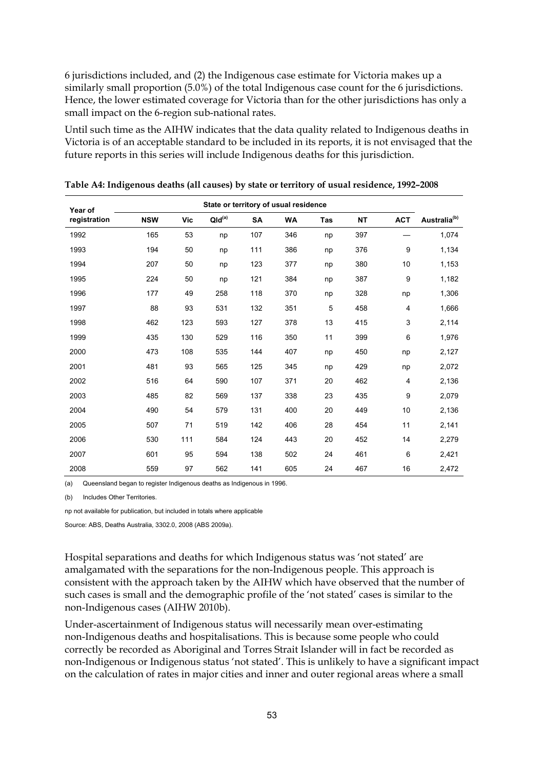6 jurisdictions included, and (2) the Indigenous case estimate for Victoria makes up a similarly small proportion (5.0%) of the total Indigenous case count for the 6 jurisdictions. Hence, the lower estimated coverage for Victoria than for the other jurisdictions has only a small impact on the 6-region sub-national rates.

Until such time as the AIHW indicates that the data quality related to Indigenous deaths in Victoria is of an acceptable standard to be included in its reports, it is not envisaged that the future reports in this series will include Indigenous deaths for this jurisdiction.

| Year of      |            |     |                    |           | State or territory of usual residence |            |           |            |                          |
|--------------|------------|-----|--------------------|-----------|---------------------------------------|------------|-----------|------------|--------------------------|
| registration | <b>NSW</b> | Vic | QId <sup>(a)</sup> | <b>SA</b> | <b>WA</b>                             | <b>Tas</b> | <b>NT</b> | <b>ACT</b> | Australia <sup>(b)</sup> |
| 1992         | 165        | 53  | np                 | 107       | 346                                   | np         | 397       |            | 1,074                    |
| 1993         | 194        | 50  | np                 | 111       | 386                                   | np         | 376       | 9          | 1,134                    |
| 1994         | 207        | 50  | np                 | 123       | 377                                   | np         | 380       | 10         | 1,153                    |
| 1995         | 224        | 50  | np                 | 121       | 384                                   | np         | 387       | 9          | 1,182                    |
| 1996         | 177        | 49  | 258                | 118       | 370                                   | np         | 328       | np         | 1,306                    |
| 1997         | 88         | 93  | 531                | 132       | 351                                   | 5          | 458       | 4          | 1,666                    |
| 1998         | 462        | 123 | 593                | 127       | 378                                   | 13         | 415       | 3          | 2,114                    |
| 1999         | 435        | 130 | 529                | 116       | 350                                   | 11         | 399       | 6          | 1,976                    |
| 2000         | 473        | 108 | 535                | 144       | 407                                   | np         | 450       | np         | 2,127                    |
| 2001         | 481        | 93  | 565                | 125       | 345                                   | np         | 429       | np         | 2,072                    |
| 2002         | 516        | 64  | 590                | 107       | 371                                   | 20         | 462       | 4          | 2,136                    |
| 2003         | 485        | 82  | 569                | 137       | 338                                   | 23         | 435       | 9          | 2,079                    |
| 2004         | 490        | 54  | 579                | 131       | 400                                   | 20         | 449       | 10         | 2,136                    |
| 2005         | 507        | 71  | 519                | 142       | 406                                   | 28         | 454       | 11         | 2,141                    |
| 2006         | 530        | 111 | 584                | 124       | 443                                   | 20         | 452       | 14         | 2,279                    |
| 2007         | 601        | 95  | 594                | 138       | 502                                   | 24         | 461       | 6          | 2,421                    |
| 2008         | 559        | 97  | 562                | 141       | 605                                   | 24         | 467       | 16         | 2,472                    |

**Table A4: Indigenous deaths (all causes) by state or territory of usual residence, 1992–2008** 

(a) Queensland began to register Indigenous deaths as Indigenous in 1996.

(b) Includes Other Territories.

np not available for publication, but included in totals where applicable

Source: ABS, Deaths Australia, 3302.0, 2008 (ABS 2009a).

Hospital separations and deaths for which Indigenous status was 'not stated' are amalgamated with the separations for the non-Indigenous people. This approach is consistent with the approach taken by the AIHW which have observed that the number of such cases is small and the demographic profile of the 'not stated' cases is similar to the non-Indigenous cases (AIHW 2010b).

Under-ascertainment of Indigenous status will necessarily mean over-estimating non-Indigenous deaths and hospitalisations. This is because some people who could correctly be recorded as Aboriginal and Torres Strait Islander will in fact be recorded as non-Indigenous or Indigenous status 'not stated'. This is unlikely to have a significant impact on the calculation of rates in major cities and inner and outer regional areas where a small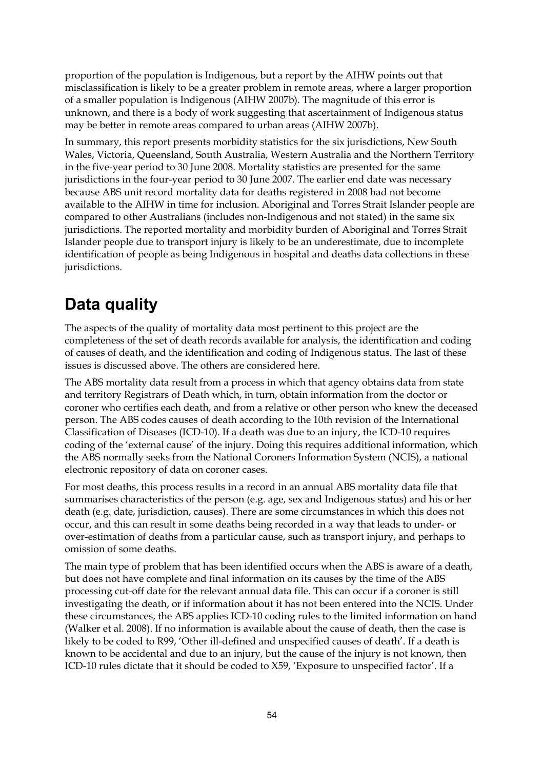proportion of the population is Indigenous, but a report by the AIHW points out that misclassification is likely to be a greater problem in remote areas, where a larger proportion of a smaller population is Indigenous (AIHW 2007b). The magnitude of this error is unknown, and there is a body of work suggesting that ascertainment of Indigenous status may be better in remote areas compared to urban areas (AIHW 2007b).

In summary, this report presents morbidity statistics for the six jurisdictions, New South Wales, Victoria, Queensland, South Australia, Western Australia and the Northern Territory in the five-year period to 30 June 2008. Mortality statistics are presented for the same jurisdictions in the four-year period to 30 June 2007. The earlier end date was necessary because ABS unit record mortality data for deaths registered in 2008 had not become available to the AIHW in time for inclusion. Aboriginal and Torres Strait Islander people are compared to other Australians (includes non-Indigenous and not stated) in the same six jurisdictions. The reported mortality and morbidity burden of Aboriginal and Torres Strait Islander people due to transport injury is likely to be an underestimate, due to incomplete identification of people as being Indigenous in hospital and deaths data collections in these jurisdictions.

## **Data quality**

The aspects of the quality of mortality data most pertinent to this project are the completeness of the set of death records available for analysis, the identification and coding of causes of death, and the identification and coding of Indigenous status. The last of these issues is discussed above. The others are considered here.

The ABS mortality data result from a process in which that agency obtains data from state and territory Registrars of Death which, in turn, obtain information from the doctor or coroner who certifies each death, and from a relative or other person who knew the deceased person. The ABS codes causes of death according to the 10th revision of the International Classification of Diseases (ICD-10). If a death was due to an injury, the ICD-10 requires coding of the 'external cause' of the injury. Doing this requires additional information, which the ABS normally seeks from the National Coroners Information System (NCIS), a national electronic repository of data on coroner cases.

For most deaths, this process results in a record in an annual ABS mortality data file that summarises characteristics of the person (e.g. age, sex and Indigenous status) and his or her death (e.g. date, jurisdiction, causes). There are some circumstances in which this does not occur, and this can result in some deaths being recorded in a way that leads to under- or over-estimation of deaths from a particular cause, such as transport injury, and perhaps to omission of some deaths.

The main type of problem that has been identified occurs when the ABS is aware of a death, but does not have complete and final information on its causes by the time of the ABS processing cut-off date for the relevant annual data file. This can occur if a coroner is still investigating the death, or if information about it has not been entered into the NCIS. Under these circumstances, the ABS applies ICD-10 coding rules to the limited information on hand (Walker et al. 2008). If no information is available about the cause of death, then the case is likely to be coded to R99, 'Other ill-defined and unspecified causes of death'. If a death is known to be accidental and due to an injury, but the cause of the injury is not known, then ICD-10 rules dictate that it should be coded to X59, 'Exposure to unspecified factor'. If a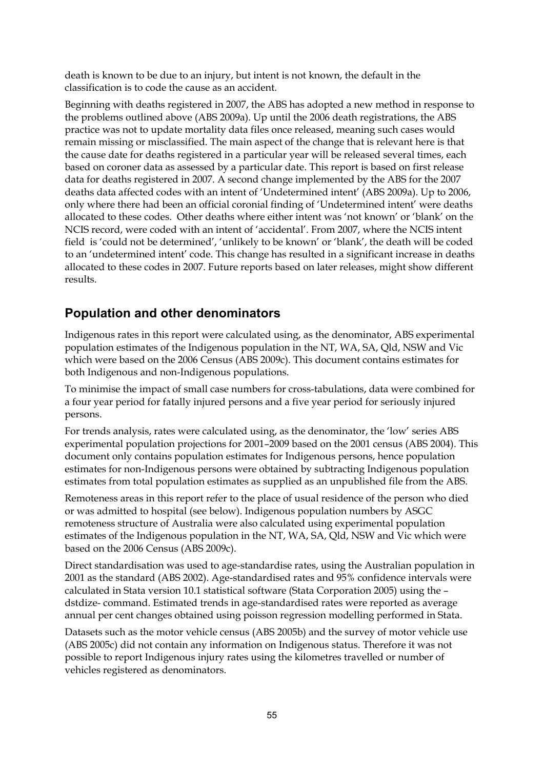death is known to be due to an injury, but intent is not known, the default in the classification is to code the cause as an accident.

Beginning with deaths registered in 2007, the ABS has adopted a new method in response to the problems outlined above (ABS 2009a). Up until the 2006 death registrations, the ABS practice was not to update mortality data files once released, meaning such cases would remain missing or misclassified. The main aspect of the change that is relevant here is that the cause date for deaths registered in a particular year will be released several times, each based on coroner data as assessed by a particular date. This report is based on first release data for deaths registered in 2007. A second change implemented by the ABS for the 2007 deaths data affected codes with an intent of 'Undetermined intent' (ABS 2009a). Up to 2006, only where there had been an official coronial finding of 'Undetermined intent' were deaths allocated to these codes. Other deaths where either intent was 'not known' or 'blank' on the NCIS record, were coded with an intent of 'accidental'. From 2007, where the NCIS intent field is 'could not be determined', 'unlikely to be known' or 'blank', the death will be coded to an 'undetermined intent' code. This change has resulted in a significant increase in deaths allocated to these codes in 2007. Future reports based on later releases, might show different results.

#### **Population and other denominators**

Indigenous rates in this report were calculated using, as the denominator, ABS experimental population estimates of the Indigenous population in the NT, WA, SA, Qld, NSW and Vic which were based on the 2006 Census (ABS 2009c). This document contains estimates for both Indigenous and non-Indigenous populations.

To minimise the impact of small case numbers for cross-tabulations, data were combined for a four year period for fatally injured persons and a five year period for seriously injured persons.

For trends analysis, rates were calculated using, as the denominator, the 'low' series ABS experimental population projections for 2001–2009 based on the 2001 census (ABS 2004). This document only contains population estimates for Indigenous persons, hence population estimates for non-Indigenous persons were obtained by subtracting Indigenous population estimates from total population estimates as supplied as an unpublished file from the ABS.

Remoteness areas in this report refer to the place of usual residence of the person who died or was admitted to hospital (see below). Indigenous population numbers by ASGC remoteness structure of Australia were also calculated using experimental population estimates of the Indigenous population in the NT, WA, SA, Qld, NSW and Vic which were based on the 2006 Census (ABS 2009c).

Direct standardisation was used to age-standardise rates, using the Australian population in 2001 as the standard (ABS 2002). Age-standardised rates and 95% confidence intervals were calculated in Stata version 10.1 statistical software (Stata Corporation 2005) using the – dstdize- command. Estimated trends in age-standardised rates were reported as average annual per cent changes obtained using poisson regression modelling performed in Stata.

Datasets such as the motor vehicle census (ABS 2005b) and the survey of motor vehicle use (ABS 2005c) did not contain any information on Indigenous status. Therefore it was not possible to report Indigenous injury rates using the kilometres travelled or number of vehicles registered as denominators.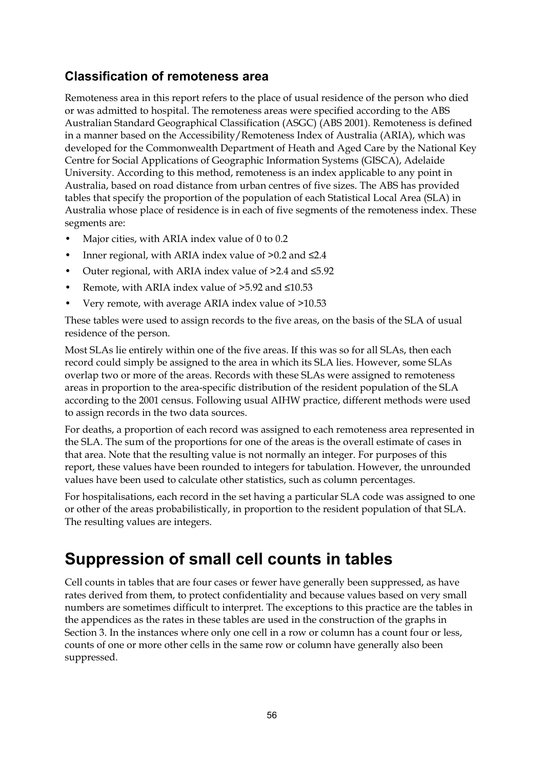### **Classification of remoteness area**

Remoteness area in this report refers to the place of usual residence of the person who died or was admitted to hospital. The remoteness areas were specified according to the ABS Australian Standard Geographical Classification (ASGC) (ABS 2001). Remoteness is defined in a manner based on the Accessibility/Remoteness Index of Australia (ARIA), which was developed for the Commonwealth Department of Heath and Aged Care by the National Key Centre for Social Applications of Geographic Information Systems (GISCA), Adelaide University. According to this method, remoteness is an index applicable to any point in Australia, based on road distance from urban centres of five sizes. The ABS has provided tables that specify the proportion of the population of each Statistical Local Area (SLA) in Australia whose place of residence is in each of five segments of the remoteness index. These segments are:

- Major cities, with ARIA index value of 0 to 0.2
- Inner regional, with ARIA index value of  $>0.2$  and  $\leq 2.4$
- Outer regional, with ARIA index value of >2.4 and ≤5.92
- Remote, with ARIA index value of  $>5.92$  and  $\leq 10.53$
- Very remote, with average ARIA index value of >10.53

These tables were used to assign records to the five areas, on the basis of the SLA of usual residence of the person.

Most SLAs lie entirely within one of the five areas. If this was so for all SLAs, then each record could simply be assigned to the area in which its SLA lies. However, some SLAs overlap two or more of the areas. Records with these SLAs were assigned to remoteness areas in proportion to the area-specific distribution of the resident population of the SLA according to the 2001 census. Following usual AIHW practice, different methods were used to assign records in the two data sources.

For deaths, a proportion of each record was assigned to each remoteness area represented in the SLA. The sum of the proportions for one of the areas is the overall estimate of cases in that area. Note that the resulting value is not normally an integer. For purposes of this report, these values have been rounded to integers for tabulation. However, the unrounded values have been used to calculate other statistics, such as column percentages.

For hospitalisations, each record in the set having a particular SLA code was assigned to one or other of the areas probabilistically, in proportion to the resident population of that SLA. The resulting values are integers.

### **Suppression of small cell counts in tables**

Cell counts in tables that are four cases or fewer have generally been suppressed, as have rates derived from them, to protect confidentiality and because values based on very small numbers are sometimes difficult to interpret. The exceptions to this practice are the tables in the appendices as the rates in these tables are used in the construction of the graphs in Section 3. In the instances where only one cell in a row or column has a count four or less, counts of one or more other cells in the same row or column have generally also been suppressed.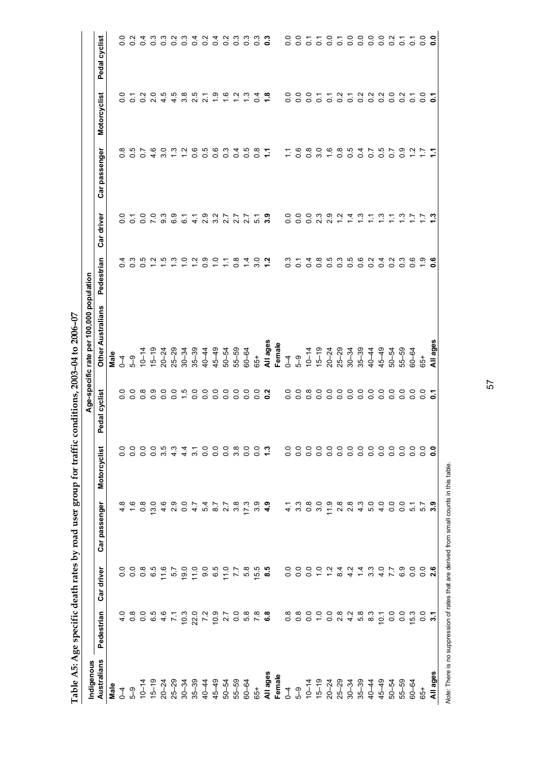| Indigenous         |               |                      |                         |                                                    |                    | Age-specific rate per 100,000 population |                |                  |                           |                      |                   |
|--------------------|---------------|----------------------|-------------------------|----------------------------------------------------|--------------------|------------------------------------------|----------------|------------------|---------------------------|----------------------|-------------------|
| Australians        | Pedestrian    | Car driver           | Car passenger           | Motorcyclist                                       | Pedal cyclist      | <b>Other Australians</b>                 | Pedestrian     | Car driver       | Car passenger             | Motorcyclist         | Pedal cyclist     |
| Male               |               |                      |                         |                                                    |                    | Male                                     |                |                  |                           |                      |                   |
|                    | Q<br>4        |                      | $\infty$<br>4           | $\overline{0}$                                     | $\circ$<br>Õ       | $\overline{1}$                           | 4<br>0         | $\frac{0}{2}$    | ∞<br>$\circ$              | 0<br>ö               | $\circ$<br>ö      |
| ქ ს<br>1 თ         |               |                      | $\frac{6}{1}$           | $\frac{0}{0}$                                      | $\circ$<br>0       | $\frac{6}{5}$                            | က္<br>0        | $\overline{c}$   | гÚ<br>$\circ$             | $\overline{c}$       | 0.2               |
|                    |               |                      | $\frac{8}{2}$           |                                                    | $\infty$           | $10 - 14$                                | πö             | $\overline{0}$ . | $\overline{ }$<br>$\circ$ | $\overline{0}$       | $\overline{0}$    |
|                    |               |                      | 13.0                    | 000000                                             | တ                  | $5 - 19$                                 | Ņ              | $\overline{7.0}$ | ဖ<br>4.                   | 2.0                  | $0.\overline{3}$  |
|                    |               | 11.6                 | 4.6                     |                                                    | 0                  | $20 - 24$                                | ယ္             | 9.3              | o<br>ო                    | 4.5                  | $\frac{3}{2}$     |
|                    | $4.6$<br>7.1  | 57                   | $\frac{3}{2}$           |                                                    | Q<br>0             | $25 - 29$                                | က              | 6.9              | ო                         | 4.5                  | $\overline{0}$    |
|                    |               | 19.0                 | 0.4                     | $\frac{4}{4}$                                      | rù.                | $30 - 34$                                | Q              | $\tilde{6}$      | Ņ                         | $3.\overline{8}$     | $\frac{3}{2}$     |
|                    |               | 11.0                 |                         | $\overline{3}$                                     | Q<br>Ö             | $35 - 39$                                | Ņ              | π.<br>4          | ဖ<br>O                    | ယ္<br>$\sim$         | $\frac{4}{1}$     |
|                    |               | 0<br>0<br>0<br>0     | 5 8 7<br>4 7 7<br>4 7 7 |                                                    | $\circ$<br>0       | 40-44                                    | တ<br>Ö         | 2.9              | ယ္<br>Ö                   | $\mathbf{a}$         | $\frac{2}{3}$     |
|                    |               |                      |                         |                                                    | $\circ$<br>o       | $45 - 49$                                | o              | 3.2              | ပ္ပ<br>Ö                  | $\frac{5}{1}$        | 0.4               |
|                    |               | $\frac{0}{11}$       |                         |                                                    | 0<br>0             | $50 - 54$                                | Ξ              | 2.7              | ო<br>Ö                    | ةِ                   | $\frac{2}{3}$     |
|                    |               | $\overline{77}$      | 3.8                     |                                                    | Q<br>ö             | 55-59                                    | $\frac{8}{2}$  | 27               | 4<br>ö                    | $\frac{2}{1}$        | 0.3               |
|                    |               | 5.8                  | 17.3                    |                                                    | $\overline{0}$     | $60 - 64$                                | $\overline{4}$ | 27               | cs                        | $\frac{3}{2}$        | 0.3               |
|                    |               | 15.5                 | ာ <b>၁<br/>၁၁၀</b>      |                                                    | 0.0                | 65+                                      | o<br>S         | $\overline{5}$   | $\frac{8}{2}$             | $\overline{0.4}$     | $\overline{0}$ .3 |
|                    |               | 8.5                  |                         | ಼                                                  | ּאִ<br>ö           | All ages                                 | $\ddot{ }$     | 3.9              |                           | $\ddot{•}$           | $\ddot{\rm o}$    |
|                    |               |                      |                         |                                                    |                    | Female                                   |                |                  |                           |                      |                   |
|                    |               |                      | $\frac{1}{4}$           | $\overline{0}$ .                                   | $\frac{0}{0}$      | $\overline{1}$                           | $\frac{3}{2}$  | 0.0              | ≌                         | 0.0                  | $\overline{0}$ .  |
|                    |               |                      | 3.3                     | $\rm ^{0.0}$                                       | o<br>ö             | $5-9$                                    | $\overline{c}$ | $\overline{0}$   | $\frac{6}{1}$             | $\overline{0}$       | ိ                 |
|                    |               | $\frac{0}{2}$        | 0.8                     | 0.0                                                | œ<br>0             | $10 - 14$                                | ᠽ<br>ö         | $\frac{0}{0}$    | $\frac{8}{1}$             | $\frac{0}{0}$        | 5                 |
|                    |               | $\frac{1}{2}$        | 3.0                     | $\overline{0}$ .                                   | $\circ$<br>0       | $ 5 - 19$                                | ہ<br>0         | 2.3              | o<br>ω,                   | $\overline{c}$       | $\overline{c}$    |
|                    | 0.804         | $\frac{2}{\sqrt{2}}$ | $\frac{9}{1}$           | $\overline{0}$ .                                   | $\circ$<br>$\circ$ | $20 - 24$                                | ယ<br>Ö         | 2.9              | $\frac{6}{1}$             | $\overline{c}$       | $\overline{0}$    |
|                    |               | $\frac{4}{4}$        |                         |                                                    | $\circ$<br>$\circ$ | $25 - 29$                                | ო<br>0         | $\frac{2}{1}$    | œ<br>ö                    | $\overline{0.2}$     | $\overline{c}$    |
|                    |               | $\frac{2}{4}$        | 8<br>20<br>20           | $\begin{array}{c} 0.0800 \\ 0.0800 \\ \end{array}$ | $\circ$<br>0       | $30 - 34$                                | ယ္<br>$\circ$  | $\frac{4}{1}$    | $\frac{5}{2}$             | $\overline{c}$       | $\overline{0}$    |
|                    | မ္မ           | $\frac{4}{4}$        | $\frac{3}{4}$           |                                                    | $\circ$<br>0       | $35 - 39$                                | co<br>0        | $\frac{3}{2}$    | 4<br>Õ                    | $\frac{2}{\sqrt{2}}$ | $\overline{0}$    |
|                    | $\frac{3}{8}$ | 3.3                  | $\frac{0}{5}$           |                                                    | o<br>0             | $40 - 44$                                | 0              | Ξ                | $\overline{0}$            | $\overline{0.2}$     | $\overline{0.0}$  |
| $45 - 49$<br>50-54 | $\frac{1}{2}$ | $\frac{0}{4}$        | $\frac{0}{4}$           | $\frac{0}{2}$                                      | $\circ$<br>0       | $45 - 49$                                | 4<br>0         | $\ddot{c}$       | c<br>O                    | $\frac{2}{5}$        | $\overline{0}$    |
|                    | $\frac{0}{2}$ | 7.7                  | 0.0                     | 0.0                                                | 0<br>$\circ$       | $50 - 54$                                | N<br>$\circ$   | ᡓ                | $\overline{0}$            | $\overline{0}$ .     | $\frac{2}{5}$     |
| $55 - 59$          | o.o           | 6.9                  | $\overline{0}$ .        | $\overline{0}$ .                                   | 0<br>Ö             | 55-59                                    | ო<br>$\circ$   | $\frac{3}{1}$    | တ္<br>Ö                   | $\frac{2}{5}$        | $\overline{c}$    |
| $60 - 64$          | 15.3          | $\frac{0}{0}$        | $\overline{5}$          | $\overline{0}$ .                                   | Q<br>ö             | $60 - 64$                                | ဖ<br>$\circ$   |                  |                           | 5                    | $\overline{c}$    |
| $65+$              | $\frac{5}{3}$ | $\circ$              | 5.7                     | $\overline{0}$ .                                   | Q<br>Ö             | $65 +$                                   | တ္             |                  |                           | $\overline{0}$       | ိ                 |
| All ages           |               | $\mathbf{a}$         | း.                      | း                                                  |                    | All ages                                 | co             |                  |                           | ö                    | ိ                 |

Table A5: Age specific death rates by road user group for traffic conditions, 2003-04 to 2006-07 **Table A5: Age specific death rates by road user group for traffic conditions, 2003–04 to 2006–07** 

Franchia Control Corression of rates that are derived from small counts in this table.<br>Note: There is no suppression of rates that are derived from small counts in this table. *Note:* There is no suppression of rates that are derived from small counts in this table.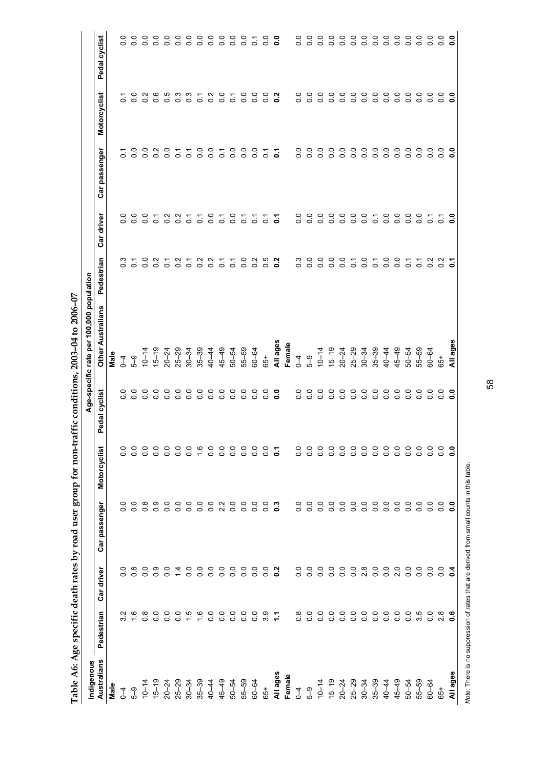| Indigenous         |                  |                              |                  |               |                  | Age-specific rate per 100,000 population |                  |                    |                  |                  |                  |
|--------------------|------------------|------------------------------|------------------|---------------|------------------|------------------------------------------|------------------|--------------------|------------------|------------------|------------------|
| Australians        | Pedestrian       | Car driver                   | Car passenger    | Motorcyclist  | Pedal cyclist    | <b>Other Australians</b>                 | Pedestrian       | Car driver         | Car passenger    | Motorcyclist     | Pedal cyclist    |
| Male               |                  |                              |                  |               |                  | Male                                     |                  |                    |                  |                  |                  |
| $\overline{1}$     |                  | $\circ$<br>ö                 | $\frac{0}{2}$    | 0             | $\overline{0}$ . | $\sqrt{4}$                               | $\frac{3}{2}$    | $\circ$<br>$\circ$ | $\overline{c}$   | Ö                | $\overline{0}$   |
| $5-9$              | $\frac{6}{1}$    | $\frac{8}{2}$                | $\overline{0}$   | $\frac{0}{0}$ | $\overline{0}$   | $\frac{6}{5}$                            | $\overline{c}$   | $\overline{0}$     | $\overline{0}$   | $\overline{0}$   | $\overline{0}$   |
| $10 - 14$          | $\frac{8}{0}$    | Ö                            | $\frac{8}{2}$    | o             | $\overline{0}$   | $10 - 14$                                | $\overline{0}$   | $\overline{0}$     | $\overline{0}$   | $\sim$<br>Ö      | $\overline{0}$ . |
| $15 - 19$          | $\overline{0}$   | ္ပီ                          | $\frac{0}{2}$    | o             | $\overline{0}$   | $15 - 19$                                | $\frac{2}{3}$    | $\overline{c}$     | $\overline{0}$   | 0.6              | $\frac{0}{0}$    |
| $20 - 24$          | $\overline{0}$   | ိ                            | $\frac{0}{0}$    | Q             | $\overline{0}$   | $20 - 24$                                | $\overline{c}$   | $\frac{2}{5}$      | $\overline{0}$   | $\frac{5}{2}$    | $\frac{0}{0}$    |
| $25 - 29$          | $\frac{0}{0}$    | 4                            | $\overline{0}$   | Q             | $\overline{0}$   | $25 - 29$                                | $\frac{2}{2}$    | $\frac{2}{5}$      | $\overline{c}$   | $\frac{3}{2}$    | $\overline{0}$   |
| $30 - 34$          | $\ddot{1}$       | $\frac{0}{0}$                | $\overline{0}$   | 0             | $\overline{0}$   | $30 - 34$                                | $\overline{0}$   | $\overline{c}$     | $\overline{c}$   | $0.\overline{3}$ | $\overline{0}$   |
| $35 - 39$          | $\frac{6}{1}$    | $\frac{0}{0}$                | $\overline{0}$   | ဖ             | $\overline{0}$   | $35 - 39$                                | $\frac{2}{5}$    | $\overline{0}$     | $\overline{0}$   | ⊤.<br>O          | $\overline{0}$   |
| $45-49$            | $\frac{0}{0}$    | Q<br>ö                       | $\frac{0}{2}$    | Q<br>0        | $\overline{0}$   | 40-44                                    | $\frac{2}{5}$    | $\frac{0}{2}$      | $\overline{0}$ . | $\frac{2}{5}$    | $\frac{0}{0}$    |
|                    | $\frac{0}{2}$    | $\frac{0}{2}$                | 2 <sup>2</sup>   | ိ             | $\overline{0}$   | $45 - 49$                                | $\overline{c}$   | $\overline{O}$     | Ö                | $\frac{0}{0}$    | $\frac{0}{0}$    |
| 50-54              | $\frac{0}{0}$    | $\frac{0}{0}$                | $\frac{0}{0}$    | ိ             | $\overline{0}$   | $50 - 54$                                | $\overline{0}$   | $\frac{0}{0}$      | $\overline{0}$   | $\overline{0}$ . | $\frac{0}{0}$    |
| 55-59<br>60-64     | $\overline{0}$ . | $\frac{0}{0}$                | $\overline{0}$ . | $\frac{0}{0}$ | $\overline{0}$   | 55-59                                    | $\overline{0}$   | $\overline{c}$     | o.o              | $\overline{0}$   | $\frac{0}{0}$    |
|                    | $\overline{0}$   | $\overline{0}$               | $\overline{0}$   | ိ             | $\overline{0}$   | $60 - 64$                                | $\overline{0}$   | $\overline{c}$     | $\overline{0}$   | $\frac{0}{0}$    | $\overline{c}$   |
| $65+$              | 3.9              | $\overline{0}$               | $\overline{0}$   |               | $\overline{0}$   | 65+                                      | 0.5              | $\overline{c}$     | $\overline{0}$   | $\overline{0}$   | $\frac{0}{0}$    |
|                    | Ξ                | $\frac{2}{5}$                | $\frac{3}{2}$    |               | <b>C</b>         | All ages                                 | $\frac{2}{3}$    | $\overline{5}$     | $\overline{c}$   | $\frac{2}{3}$    | °.               |
| All ages<br>Female |                  |                              |                  |               |                  | Female                                   |                  |                    |                  |                  |                  |
| $\overline{1}$     | $\frac{8}{2}$    | o<br>ö                       | $\overline{0}$   |               | $\overline{0}$ . | $\overline{1}$                           | $0.\overline{3}$ | $\overline{0}$ .   | $\frac{0}{0}$    | P<br>ö           | $\frac{0}{0}$    |
| $5\overline{6}$    | 0.0              | ိ                            | 0.0              |               | $\overline{0}$   | $5-9$                                    | $\overline{0}$ . | $\overline{0}$     | $\frac{0}{0}$    | $\frac{0}{0}$    | $\frac{0}{0}$    |
| $10 - 14$          | $\overline{0}$   | ိ                            | $\overline{0}$ . | c             | $\overline{0}$   | $10 - 14$                                | $\overline{0}$   | $\frac{0}{0}$      | $\overline{0}$   | Q<br>ö           | $\frac{0}{0}$    |
| $15 - 19$          | $\frac{0}{0}$    | $\frac{0}{0}$                | $\frac{0}{0}$    | o             | $\overline{0}$   | $15 - 19$                                | $\overline{0}$   | Q<br>ö             | $\overline{0}$   | Q<br>Ö           | $\frac{0}{0}$    |
| $20 - 24$          | $\overline{0}$ . | $\frac{0}{2}$                | $\overline{0}$ . | ိ             | 0.0              | $20 - 24$                                | $\overline{0}$ . | $\overline{0}$ .   | $\circ$<br>ö     | Q<br>$\circ$     | $\frac{0}{0}$    |
| $25 - 29$<br>30-34 | $\overline{0}$   | $\frac{0}{0}$                | $\frac{0}{2}$    | ိ             | $\overline{0}$ . | $25 - 29$                                | $\tilde{\circ}$  | $\overline{0}$ .   | ∘<br>Ö           | o<br>ö           | $\frac{0}{0}$    |
|                    | $\overline{0}$ . | $\frac{8}{2}$                | $\overline{0}$ . | Q<br>ö        | $\overline{0}$ . | $30 - 34$                                | $\frac{0}{0}$    | $\overline{0}$     | $\overline{0}$   | q<br>o           | $\frac{0}{0}$    |
| $35 - 39$          | $\overline{0}$   | $\frac{0}{0}$                | $\overline{0}$ . | ိ             | $\overline{0}$   | $35 - 39$                                | $\overline{c}$   | $\overline{0}$     | $\overline{0}$   | $\frac{0}{0}$    | $\frac{0}{0}$    |
| $40 - 44$          | $\overline{0}$   | $\frac{0}{0}$                | $\overline{0}$   | o<br>Ö        | $\overline{0}$   | 40-44                                    | $\overline{0}$   | $\frac{0}{0}$      | $\overline{0}$   | Q<br>ö           | $\frac{0}{0}$    |
| $45 - 49$          | $\frac{0}{0}$    | Q<br>$\overline{\mathsf{N}}$ | $\frac{0}{0}$    | o             | $\overline{0}$   | $45 - 49$                                | $\overline{0}$   | $\overline{0}$     | $\overline{0}$   | ∘<br>ö           | $\frac{0}{0}$    |
| $50 - 54$          | $\overline{0}$   | ိ                            | $\overline{0}$ . | 0             | 0.0              | $50 - 54$                                | $\overline{c}$   | $\frac{0}{0}$      | 0<br>Ö           | 0<br>0           | $\frac{0}{0}$    |
| $55 - 59$          | 3.5              | $\frac{0}{2}$                | $\overline{0}$ . | q             | $\overline{0}$ . | $55 - 59$                                | ္င               | $\frac{0}{0}$      | 0<br>ö           | o<br>$\circ$     | $\frac{0}{0}$    |
| $60 - 64$          | $\frac{0}{0}$    | $\frac{0}{0}$                | $\frac{0}{0}$    | Q<br>ö        | $\frac{0}{0}$    | $60 - 64$                                | ိ                | $\overline{0}$     | 0<br>ö           | Q<br>ö           | $\frac{0}{0}$    |
| $65+$              | Ń                | ö                            | ိ                |               | $\frac{0}{0}$    | $65+$                                    | း                | $\overline{c}$     | 0<br>ö           | $\frac{0}{0}$    | $\frac{0}{0}$    |
| All ages           | o                |                              |                  |               | $\overline{0}$   | All ages                                 | ្ដ               |                    | ö                | c<br>c           | ္ပိ              |

Table A6: Age specific death rates by road user group for non-traffic conditions, 2003-04 to 2006-07 **Table A6: Age specific death rates by road user group for non-traffic conditions, 2003–04 to 2006–07** 

Note: There is no suppression of rates that are derived from small counts in this table. *Note:* There is no suppression of rates that are derived from small counts in this table.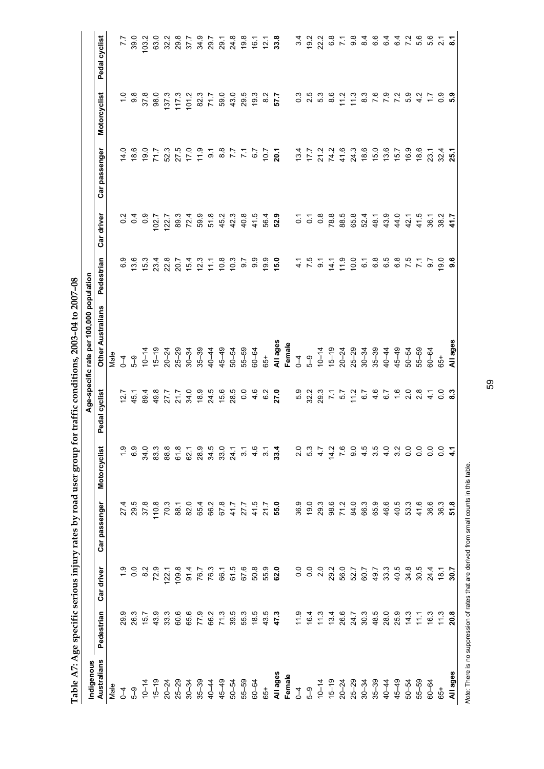| Indigenous  |                                      |                                           |                             |                           |                          | Age-specific rate per 100,000 population |                  |                                                           |                        |                                |                                           |
|-------------|--------------------------------------|-------------------------------------------|-----------------------------|---------------------------|--------------------------|------------------------------------------|------------------|-----------------------------------------------------------|------------------------|--------------------------------|-------------------------------------------|
| Australians | Pedestrian                           | Car driver                                | Car passenger               | Motorcyclist              | Pedal cyclist            | <b>Other Australians</b>                 | Pedestrian       | Car driver                                                | Car passenger          | <b>Motorcyclist</b>            | Pedal cyclist                             |
| Male        |                                      |                                           |                             |                           |                          | Male                                     |                  |                                                           |                        |                                |                                           |
| $\sqrt{4}$  | 29.9                                 |                                           | 27.4                        | $\ddot{ }$                | 12.7                     | $\overline{1}$                           | 6.9              |                                                           | 14.0                   |                                | 7.7                                       |
| ნ<br>ა      | 26.3                                 | 0.0                                       | 29.5                        | 6.9                       | 45.1                     | $\sqrt{9}$                               | 13.6             | $\begin{array}{ccc}\n0 & 0 & 0 \\ 0 & 0 & 0\n\end{array}$ | 18.6                   | $\frac{0}{0}$<br>$\frac{8}{0}$ | 39.0                                      |
|             | 15.7                                 | $\frac{2}{8}$                             | 37.8                        | 34.0                      | 89.4                     | $10 - 14$                                | 15.3             |                                                           | 19.0                   | 37.8                           | 103.2                                     |
|             |                                      |                                           |                             |                           |                          | $15 - 19$                                |                  | 102.7                                                     | 71.7                   | 98.0                           | 63.0                                      |
|             | $43.3$<br>$33.3$                     | 72.1<br>122.1<br>109.8                    | $\frac{10.8}{70.3}$         |                           | 49.8<br>27.7             |                                          | 23.4<br>22.8     | 122.7                                                     | 52.3                   | 137.3                          | 32.2                                      |
|             | 60.6                                 |                                           | 88.1                        |                           | 21.7                     | $20 - 24$<br>$25 - 29$                   | 20.7             | 89.3                                                      |                        | 117.3                          | 29.8                                      |
|             | 65.6                                 |                                           | 82.0                        |                           | 34.0                     |                                          | 15.4             | 72.4                                                      | $27.5$<br>17.0<br>11.9 | 101.2                          | 37.7                                      |
|             | 77.9                                 |                                           | 654                         |                           | 18.9                     | $30 - 34$<br>$35 - 39$                   | 12.3             | 599                                                       |                        | 82.3                           | 34.9                                      |
|             | 66.2                                 |                                           |                             | 0<br>8 3 5 9 7<br>8 9 8 9 | 24.5                     | $40 - 44$                                | 11.1             |                                                           |                        | 71.7                           | 29.7                                      |
|             | 71.3                                 |                                           | 66.2<br>67.8                |                           | 15.6                     | $45 - 49$                                | 10.8             | 51.8<br>45.2                                              | $7,780$<br>$7,780$     | 59.0                           | 29.1                                      |
|             | 39.5                                 |                                           | 41.7                        |                           | 28.5                     | $50 - 54$                                | 10.3             | 42.3                                                      |                        | 43.0                           | 24.8                                      |
|             |                                      |                                           | 27.7                        | $\overline{3}$ .          | 0.0                      | 55-59                                    | 0.7              | 40.8                                                      |                        | 29.5                           |                                           |
|             |                                      |                                           | 41.5                        | 4.6                       | 4.6                      | $60 - 64$                                | 9.9              | 41.5                                                      | 67                     | 19.3                           |                                           |
|             | 55.5<br>58.5<br>59.7<br>59.7         |                                           | 21.7                        | $\frac{2}{3}$             | 6.2                      | $65+$                                    | 19.9             | 56.4                                                      | 10.7                   | $\frac{8}{2}$                  | $9.8$<br>$9.7$<br>$1.7$<br>$2.8$<br>$3.3$ |
|             |                                      |                                           | 55.0                        | 33.4                      | 27.0                     |                                          | 15.0             | 52.9                                                      | 20.1                   | 57.7                           |                                           |
|             |                                      |                                           |                             |                           |                          | All ages<br>Female                       |                  |                                                           |                        |                                |                                           |
|             |                                      |                                           |                             | 2.0                       | 5.9                      | $\sqrt{4}$                               | $\frac{4}{1}$    | $\overline{c}$                                            | 13.4                   |                                | 34                                        |
|             |                                      | $\begin{array}{c} 0.0 \\ 0.0 \end{array}$ | 9<br>9 9 9 9<br>9 9 9 9 9 1 | 5.3                       | 32.3<br>29.3             |                                          | 7.5              | $\overline{c}$                                            | 177                    | 0.3<br>2.5                     | 19.2                                      |
|             |                                      | 2.0                                       |                             | 4.7                       |                          | $5-9$<br>10-14                           | $\overline{9}$ . | $0.\overline{8}$                                          | 21.2                   | 5.3                            | 22.2                                      |
|             | $1611100$<br>$16111100$<br>$1611100$ | 29.0<br>26.0<br>52.7                      | 98.6<br>71.2                | 14.2                      |                          | $15 - 19$                                | 14.1             | 78.8                                                      | 74.2                   | $\frac{6}{8}$                  | 6.8                                       |
|             |                                      |                                           |                             | $\overline{7}$ 6          |                          |                                          |                  | 88.5                                                      | 41.6                   | $\frac{2}{11}$                 |                                           |
|             | 24.7                                 |                                           | 84.0                        | 0.6                       | $7.7$<br>5.7<br>17<br>17 |                                          | $11.9$<br>10.0   | 65.8                                                      |                        | $\frac{3}{11}$                 | စ္တီ                                      |
|             |                                      | 60.7                                      | 66.3                        | 4.5                       | 6.7                      |                                          | $\tilde{\circ}$  | 52.4                                                      | 24.3<br>18.6           | ္လိ                            | $\overline{8}$                            |
|             | $30.50$<br>$36.50$<br>$38.0$         | 49.7                                      | 65.9                        | 3.5                       | $4.\overline{6}$         |                                          | 6.8              | 48.1                                                      | 15.0                   | 7.6                            | 6.6                                       |
|             |                                      | 33.3                                      | 46.6                        | 4.0                       | 6.7                      |                                          | 6.5              | 43.9                                                      | 13.6                   | $\overline{7}$ .9              | $6\overline{4}$                           |
|             | 25.9                                 | 40.5                                      | 40.5                        | 3.2                       | $\frac{6}{1}$            |                                          | 8<br>6<br>7<br>7 | 44.0                                                      | 15.7                   | $\frac{5}{2}$                  | $6\overline{4}$                           |
|             | 14.3                                 | 34.8                                      | 53.3                        | $\frac{0}{0}$             | 2.0                      | $50 - 54$                                |                  | 42.1                                                      | 16.9                   | 5.9                            |                                           |
|             | 11.1                                 | 30.5                                      | 41.6                        | $\frac{0}{0}$             | 2.8                      | 55-59                                    | $\frac{1}{2}$    | $41.5$<br>36.1                                            | 18.6                   | $\frac{2}{4}$                  | 5.6                                       |
| $60 - 64$   | 16.3                                 | 24.4                                      | 36.6                        | $\overline{0}$            | $\frac{1}{4}$            | 60-64                                    | $\frac{6}{2}$    |                                                           | 23.1                   | 1.7                            | 5.6                                       |
| $65+$       | $\frac{3}{11}$                       | $18.7$<br>30.7                            | 36.3                        | $\frac{0}{0}$             | ី <b>ះ</b>               | 65+                                      | 19.0             | $38.2$<br>41.7                                            | 32.4                   | ိ                              | $\sim$                                    |
| All ages    | 20.8                                 |                                           | 51.8                        |                           |                          | All ages                                 | 9.6              |                                                           | 25.1                   | <b>.</b><br>5.9                |                                           |

Table A7: Age specific serious injury rates by road user group for traffic conditions, 2003-04 to 2007-08 **Table A7: Age specific serious injury rates by road user group for traffic conditions, 2003–04 to 2007–08** 

Note: There is no suppression of rates that are derived from small counts in this table. *Note:* There is no suppression of rates that are derived from small counts in this table.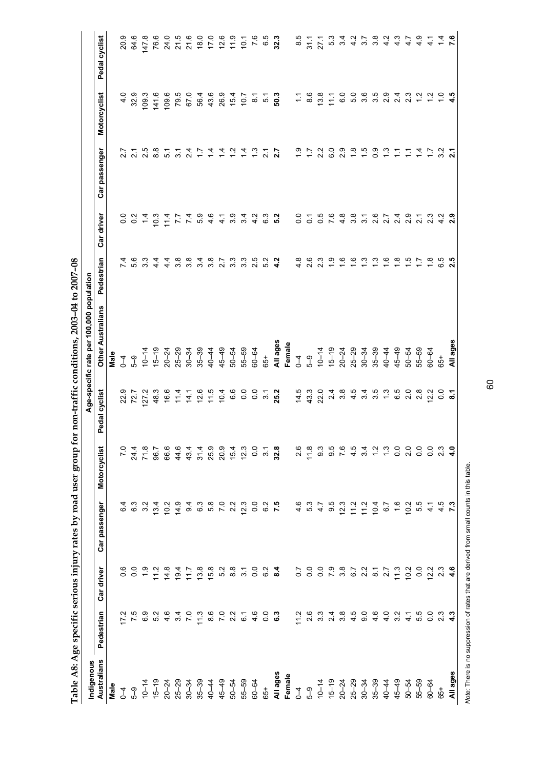| Indigenous  |                                                                         |                                                        |                                     |                                                                                                     |                           | Age-specific rate per 100,000 population                                                                                                                                                                                                                                                      |                      |                            |                                      |                           |                            |
|-------------|-------------------------------------------------------------------------|--------------------------------------------------------|-------------------------------------|-----------------------------------------------------------------------------------------------------|---------------------------|-----------------------------------------------------------------------------------------------------------------------------------------------------------------------------------------------------------------------------------------------------------------------------------------------|----------------------|----------------------------|--------------------------------------|---------------------------|----------------------------|
| Australians | Pedestrian                                                              | Car driver                                             | Car passenger                       | Motorcyclist                                                                                        | Pedal cyclist             | <b>Other Australians</b>                                                                                                                                                                                                                                                                      | Pedestrian           | Car driver                 | Car passenger                        | Motorcyclist              | Pedal cyclist              |
| Male        |                                                                         |                                                        |                                     |                                                                                                     |                           | Male                                                                                                                                                                                                                                                                                          |                      |                            |                                      |                           |                            |
| $\sqrt{4}$  | $\mathbf{\Omega}$<br>$\overline{L}$                                     |                                                        |                                     | $\overline{2}$                                                                                      |                           | $\overline{1}$                                                                                                                                                                                                                                                                                |                      |                            | 2.7                                  | $\frac{0}{4}$             | 20.9                       |
| 59          | $\frac{5}{2}$                                                           | $\begin{smallmatrix} 6 & 0 \\ 0 & 0 \end{smallmatrix}$ | 6<br>6<br>6<br>6                    |                                                                                                     | 22.5<br>72.7<br>72.7      | $5 - 9$                                                                                                                                                                                                                                                                                       | 5.6                  | $0.04$<br>$0.04$           | $\overline{2}$ .                     | 32.9                      | 64.6                       |
|             | <u>ေ</u>                                                                |                                                        | 3.2                                 |                                                                                                     |                           | $10 - 14$                                                                                                                                                                                                                                                                                     |                      |                            |                                      | 109.3                     | 147.8                      |
|             | ro 4<br>10                                                              |                                                        |                                     | $\begin{array}{cccccc} 21 & 2 & 0 & 6 & 4 \\ 4 & 0 & 0 & 0 & 0 \\ 4 & 0 & 0 & 0 & 0 \\ \end{array}$ |                           |                                                                                                                                                                                                                                                                                               |                      | $10.3$<br>$7.7$<br>$7.7$   | 5<br>20<br>20                        | 141.6                     |                            |
|             |                                                                         |                                                        |                                     |                                                                                                     |                           |                                                                                                                                                                                                                                                                                               | 4<br>4               |                            |                                      | 109.6                     |                            |
|             | 34                                                                      |                                                        |                                     |                                                                                                     |                           |                                                                                                                                                                                                                                                                                               | 3.8                  |                            | 5. 7<br>5. 7                         | 79.5                      |                            |
|             | $\overline{7.0}$                                                        |                                                        | c 6 4 0 0<br>4 0 0 4 0<br>4 0 0 4 0 |                                                                                                     |                           |                                                                                                                                                                                                                                                                                               | 3.8                  |                            |                                      | 67.0                      |                            |
|             | 11.3                                                                    | 13.8                                                   |                                     | 4 4 9 9 4 9<br>4 4 9 9 4 9<br>4 9 9 9 4 9                                                           |                           |                                                                                                                                                                                                                                                                                               | က                    | r n 4 4 ω ω<br>4 ω α 4 ω α | 2 1 1 1 1 2 1 2 1<br>2 1 1 1 2 2 2 2 | 56.4                      |                            |
|             |                                                                         |                                                        |                                     |                                                                                                     |                           |                                                                                                                                                                                                                                                                                               | œ<br>$\sim$          |                            |                                      |                           |                            |
|             |                                                                         |                                                        | 5. 0<br>7. 0                        |                                                                                                     |                           |                                                                                                                                                                                                                                                                                               | $\overline{2.7}$     |                            |                                      |                           |                            |
|             |                                                                         |                                                        | 2.2                                 |                                                                                                     |                           |                                                                                                                                                                                                                                                                                               | 33                   |                            |                                      | $4894$<br>$7694$<br>$107$ |                            |
|             |                                                                         |                                                        | 12.3                                |                                                                                                     |                           | 50-54<br>55-59                                                                                                                                                                                                                                                                                | 3.3                  |                            |                                      |                           |                            |
|             |                                                                         |                                                        |                                     | 0.0                                                                                                 |                           | 60-64                                                                                                                                                                                                                                                                                         | 2.5                  | $\frac{2}{4}$              |                                      | $\sum_{i=1}^{n}$          |                            |
|             |                                                                         |                                                        | $0.28$<br>$0.25$<br>$7.5$           | $\overline{3}$ .                                                                                    |                           | 65+                                                                                                                                                                                                                                                                                           | 52                   | ္မိ                        | $\frac{1}{2}$                        | 5<br>50.3                 |                            |
|             |                                                                         |                                                        |                                     | 32.8                                                                                                | 25.2                      |                                                                                                                                                                                                                                                                                               | 4.2                  | 5.2                        | 2.7                                  |                           |                            |
|             |                                                                         |                                                        |                                     |                                                                                                     |                           | All ages<br>Female                                                                                                                                                                                                                                                                            |                      |                            |                                      |                           |                            |
|             |                                                                         |                                                        |                                     | 2.6                                                                                                 |                           |                                                                                                                                                                                                                                                                                               | $\frac{8}{4}$        | $\frac{0}{2}$              | $\frac{5}{1}$                        |                           |                            |
|             | $\begin{array}{ccc} 2 & 0 & 0 \\ 7 & 0 & 0 \\ 1 & 0 & 0 \\ \end{array}$ |                                                        |                                     | 11.8                                                                                                | $14.3$<br>$4.3$<br>$22.0$ | $\begin{array}{c}\n0 & 0 \\ 0 & 0 \\ 0 & 4\n\end{array}$                                                                                                                                                                                                                                      |                      | $\overline{0}$             |                                      | $7.68$<br>$0.8$           |                            |
|             |                                                                         |                                                        |                                     | 9.3                                                                                                 |                           |                                                                                                                                                                                                                                                                                               |                      | 0.5                        |                                      |                           |                            |
|             | $\begin{array}{c} 4 & 8 \\ 7 & 8 \end{array}$                           | ONA POODRPAFP<br>OOM DOOPRDON                          |                                     | 9.6                                                                                                 | 2.4                       | $\begin{array}{l} 0.4 & 0.4 & 0.4 & 0.4 \\ -0.4 & 0.4 & 0.4 & 0.4 \\ -0.4 & 0.4 & 0.4 & 0.4 \\ 0.4 & 0.4 & 0.4 & 0.4 \\ 0.4 & 0.4 & 0.4 & 0.4 \\ 0.4 & 0.4 & 0.4 & 0.4 \\ 0.4 & 0.4 & 0.4 & 0.4 \\ 0.4 & 0.4 & 0.4 & 0.4 \\ 0.4 & 0.4 & 0.4 & 0.4 \\ 0.4 & 0.4 & 0.4 & 0.4 \\ 0.4 & 0.4 & 0.$ |                      |                            | C.G                                  | 11.1                      | $8077709407$<br>$0.779407$ |
|             |                                                                         |                                                        |                                     | 7.6                                                                                                 |                           |                                                                                                                                                                                                                                                                                               | $\frac{6}{1}$        |                            | $\frac{8}{2}$                        |                           |                            |
|             | $\begin{array}{c} 0.06 \\ 0.07 \\ 0.07 \end{array}$                     |                                                        |                                     | $\frac{4}{5}$                                                                                       |                           |                                                                                                                                                                                                                                                                                               | $\frac{6}{1}$        | $0, 8, 8$<br>$0, 8, 8$     |                                      | OO C C C<br>C C C C C     |                            |
|             |                                                                         |                                                        |                                     | 34                                                                                                  |                           |                                                                                                                                                                                                                                                                                               | $\tilde{\mathbf{C}}$ | $\overline{3}$ .           | $rac{60}{10}$ is                     |                           |                            |
|             |                                                                         |                                                        |                                     | $\frac{1}{2}$                                                                                       |                           |                                                                                                                                                                                                                                                                                               | $\ddot{\circ}$       | 2.6                        | $\frac{8}{2}$                        |                           | 3.8                        |
|             | 4.0                                                                     |                                                        | $\overline{6}$ .7                   | $\frac{3}{2}$                                                                                       |                           |                                                                                                                                                                                                                                                                                               | ဇ                    | $\overline{2.7}$           | ಼                                    | $\frac{8}{2}$             |                            |
|             | 32                                                                      | $130000$<br>$150000$                                   | 1.6                                 | $\overline{0}$                                                                                      |                           |                                                                                                                                                                                                                                                                                               | $\infty$             | 2.4                        |                                      | $\overline{24}$           | a d d d<br>V d d d         |
|             | $\overline{4}$                                                          |                                                        | 10.2                                | 2.0                                                                                                 | 2.0                       | $50 - 54$                                                                                                                                                                                                                                                                                     | ယ္                   | 2.9                        | 등 등                                  | $\frac{3}{2}$             |                            |
|             | ယ္<br>Ю                                                                 |                                                        | 5.5                                 | $\frac{0}{2}$                                                                                       | ್ಷ<br>2                   | $55 - 59$                                                                                                                                                                                                                                                                                     |                      |                            |                                      |                           |                            |
|             | Q<br>$\circ$                                                            |                                                        | $\frac{1}{4}$                       | $\overline{0}$                                                                                      | 12.2                      | $60 - 64$                                                                                                                                                                                                                                                                                     |                      |                            | $\frac{1}{4}$ $\frac{1}{6}$          |                           | $\frac{4}{1}$              |
| $65+$       | $\sim$                                                                  | $2.3$<br>$4.6$                                         | ю                                   | 2.3                                                                                                 | °0                        | 65+                                                                                                                                                                                                                                                                                           |                      |                            | $\frac{2}{3}$                        |                           |                            |
| All ages    |                                                                         |                                                        |                                     |                                                                                                     | ្ល                        | All ages                                                                                                                                                                                                                                                                                      |                      |                            |                                      |                           | $\frac{4}{4}$ 6            |

Table A8: Age specific serious injury rates by road user group for non-traffic conditions, 2003-04 to 2007-08 **Table A8: Age specific serious injury rates by road user group for non-traffic conditions, 2003–04 to 2007–08** 

Note: There is no suppression of rates that are derived from small counts in this table. *Note:* There is no suppression of rates that are derived from small counts in this table.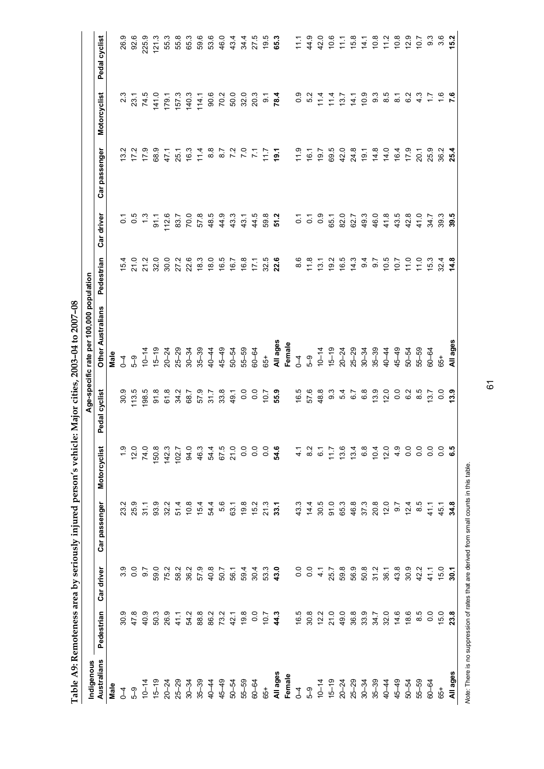| Indigenous                          |                |                |               |                 |                | Age-specific rate per 100,000 population |               |                  |                |                    |               |
|-------------------------------------|----------------|----------------|---------------|-----------------|----------------|------------------------------------------|---------------|------------------|----------------|--------------------|---------------|
| Australians                         | Pedestrian     | Car driver     | Car passenger | Motorcyclist    | Pedal cyclist  | <b>Other Australians</b>                 | Pedestrian    | Car driver       | Car passenger  | Motorcyclist       | Pedal cyclist |
| Male                                |                |                |               |                 |                | Male                                     |               |                  |                |                    |               |
| $\overline{1}$                      | 30.9           | 3.9            | 23.2          |                 | 30.9           | $\overline{1}$                           | 15.4          | $\overline{0}$   | 13.2           |                    | 26.9          |
| 59                                  | 47.8           | 0.0            | 259           | 12.0            | 113.5          | $5 - 9$                                  | 21.0          | $\frac{5}{0}$    | 17.2           | 23.1               | 92.6          |
| $10 - 14$                           | 40.9           | 9.7            | 31.1          | 74.0            | 198.5          | $10 - 14$                                | 21.2          | $\frac{3}{2}$    | 17.9           | 74.5               | 225.9         |
| $15 - 19$                           | 50.3           | 59.0           | 93.9          | 150.8           | 91.8           | $15 - 19$                                | 32.0          | 51               | 68.9           | 141.0              | 121.3         |
|                                     | 26.9           | 75.2           | 32.2          | 142.3           | 61.8           | $20 - 24$                                | 30.0          | 112.6            | 47.1           | 179.1              | 55.3          |
|                                     | 41.1           | 58.2           | 51.4          | 102.7           | 34.2           | $25 - 29$                                | 27.2          | 83.7             | 25.1           | 157.3              | 55.8          |
| $20 - 24$<br>$25 - 29$<br>$30 - 34$ | 54.2           | 36.2           | 10.8          | 94.0            | 68.7           | $30 - 34$                                | 22.6          | 70.0             | 16.3           | 140.3              | 65.3          |
| $35 - 39$                           | 88.8           | 57.9           | 15.4          | 46.3            | 57.9           | $35 - 39$                                | 18.3          | 57.8             | 11.4           | 114.1              | 59.6          |
| $40 - 44$                           | 86.2           | 40.8           | 54.4          | 54.4            | 31.7           | $40 - 44$                                | 18.0          | 48.5             | $\frac{8}{8}$  | 90.6               | 53.6          |
| $45 - 49$                           | 73.2           | 50.7           | 5.6           |                 | 33.8           | $45 - 49$                                | 16.5          |                  |                | 70.2               | 46.0          |
| 50-54                               | 42.1           | 56.1           | 63.1          | 67.5<br>21.0    | 49.1           | $50 - 54$                                | 16.7          | 43.3             | $87$<br>72     | 50.0               | 43.4          |
| $55 - 59$                           | 19.8           | 59.4           | 19.8          | 0.0             | $\overline{0}$ | $55 - 59$                                | 16.8          | 43.1             | $\overline{2}$ | 32.0               | 34.4          |
| $60 - 64$                           | 0.0            | 30.4           | 15.2          | 0.0             | 0.0            | $60 - 64$                                | 17.1          | 44.5             | $\tilde{z}$    | 20.3               | 27.5          |
| $65+$                               | 7.01           | 53.3           | 21.3          | 0.0             | 10.7           | $65+$                                    | 32.5          | 59.8             | 717            | $\overline{\circ}$ | 19.5          |
| All ages                            | 44.3           | 43.0           | 33.1          | 54.6            | 55.9           | All ages                                 | 22.6          | 51.2             | 19.1           | 78.4               | 65.3          |
| Female                              |                |                |               |                 |                | Female                                   |               |                  |                |                    |               |
| $\overline{1}$                      | 16.5           | $\overline{0}$ | 43.3          | $\frac{1}{4}$   | 16.5           | $\overline{1}$                           | 8.6           | $\overline{c}$   | 11.9           | 0.9                | 71.7          |
| 5–9                                 | 30.8           | 0.0            | 14.4          | $\frac{2}{8}$   | 57.6           | 5–3                                      | 11.8          | $\overline{c}$   | 16.1           | 52                 | 44.9          |
| $10 - 14$                           | 12.2           | $\frac{1}{4}$  | 30.5          | $\tilde{\circ}$ | 48.8           | $10 - 14$                                | 13.1          | $\overline{0}$ . | 7.61           | 11.4               | 42.0          |
|                                     | 21.0           | 25.7           | 91.0          | 11.7            | 9.3            | $15 - 19$                                | 19.2          | 65.1             | 69.5           | 11.4               | 10.6          |
| $15-29$<br>$20-24$<br>$25-29$       | 49.0           | 59.8           | 65.3          | 13.6            | 54             |                                          | 16.5          | 82.0             | 42.0           | 13.7               |               |
|                                     | 36.8           | 56.9           | 46.8          | 13.4            | 67             | $20 - 24$<br>$25 - 29$<br>$30 - 34$      | 14.3          | 62.7             | 24.8           | $\frac{1}{4}$      | $1.7$ $6.8$   |
| $30 - 34$                           | 33.9           | 50.8           | 37.3          | 6.8             | $\frac{8}{3}$  |                                          | $\frac{4}{3}$ | 49.3             | 19.1           | 10.9               | 14.1          |
| $35 - 39$                           | 34.7           | 31.2           | 20.8          | 10.4            | 13.9           | $35 - 39$                                | 0.7           | 46.0             | 14.8           | 9.3                | 10.8          |
| 40-44                               | 32.0           | 36.1           | 12.0          | 12.0            | 12.0           | $40 - 44$                                | 10.5          | 41.8             | 14.0           | 8.5                | 11.2          |
| 45–49                               | 14.6           | 43.8           | 6.7           | 4.9             | $\overline{0}$ | $45 - 49$                                | 7.01          | 43.5             | 16.4           | $\overline{\circ}$ | 10.8          |
| 50-54                               | 18.6           | 30.9           | 12.4          | $\overline{0}$  | $\frac{2}{6}$  | 50-54                                    | 11.0          | 42.8             | 17.9           | 62                 | 12.9          |
| 55-59                               | 8.5            | 42.2           | $\frac{5}{8}$ | $\frac{0}{2}$   | 8.5            | 55-59                                    | 11.0          | 41.0             | 20.1           | 4.3                | 7.01          |
| 60-64                               | $\overline{0}$ | 41.1           | 41.7          | $\overline{0}$  | 13.7           | $60 - 64$                                | 15.3          | 34.7             | 25.9           | 47                 | 3.3           |
| $65 +$                              | 15.0           | 15.0           | 45.1          | $\overline{0}$  | $\overline{0}$ | 65+                                      | 32.4          | 39.3             | 36.2           | $\frac{6}{1}$      | 3.6           |
| All ages                            | 23.8           | $\overline{5}$ | 34.8          | <b>G.5</b>      | 13.9           | All ages                                 | 14.8          | 39.5             | 25.4           |                    | 15.2          |

Table A9: Remoteness area by seriously injured person's vehicle: Major cities, 2003-04 to 2007-08 **Table A9: Remoteness area by seriously injured person's vehicle: Major cities, 2003–04 to 2007–08** 

Note: There is no suppression of rates that are derived from small counts in this table. *Note:* There is no suppression of rates that are derived from small counts in this table.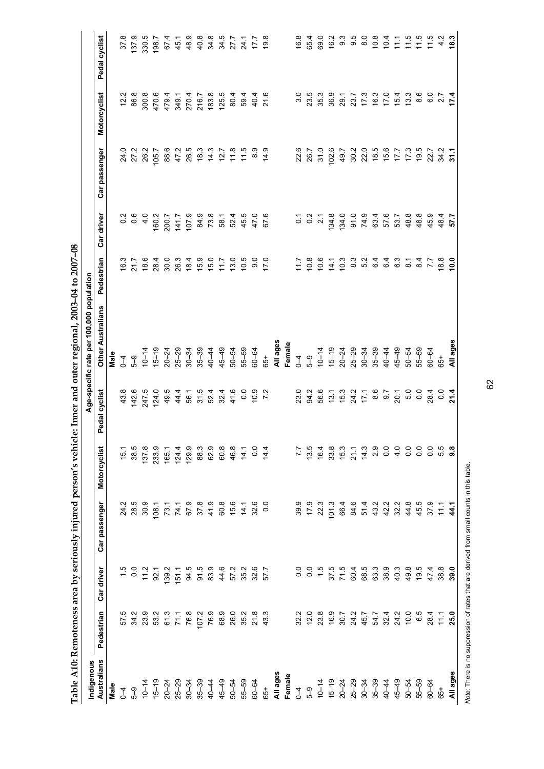| Indigenous  |                                      |                 |                  |                         |                                                                                                               | Age-specific rate per 100,000 population            |                                           |                                             |                  |                                      |                                                                        |
|-------------|--------------------------------------|-----------------|------------------|-------------------------|---------------------------------------------------------------------------------------------------------------|-----------------------------------------------------|-------------------------------------------|---------------------------------------------|------------------|--------------------------------------|------------------------------------------------------------------------|
| Australians | Pedestrian                           | Car driver      | Car passenger    | Motorcyclist            | Pedal cyclist                                                                                                 | <b>Other Australians</b>                            | Pedestrian                                | Car driver                                  | Car passenger    | Motorcyclist                         | Pedal cyclist                                                          |
| Male        |                                      |                 |                  |                         |                                                                                                               | Male                                                |                                           |                                             |                  |                                      |                                                                        |
| $\sqrt{4}$  |                                      |                 | 24.2             | 15.1                    |                                                                                                               | $\overline{1}$                                      | 16.3                                      |                                             |                  | 12.2                                 | 378                                                                    |
| ე<br>ქ      | 57 37 32<br>57 32 31                 | $\frac{15}{10}$ | 28.5             | 38.5                    | 43.8<br>142.6                                                                                                 | $5-9$                                               | 21.7                                      | $\begin{array}{c}\n0.8 \\ 0.8\n\end{array}$ | 24.0<br>27.2     | 86.8                                 | 137.9                                                                  |
|             |                                      |                 | 30.9             | 137.8                   | 247.5                                                                                                         | $10 - 14$                                           |                                           | $\frac{1}{4}$                               | 26.2             | 300.8                                | 330.5                                                                  |
|             | 53.2                                 | $11.2$<br>92.1  | 108.1            | 233.9<br>165.1<br>124.4 | 124.0                                                                                                         | $15 - 19$                                           | 8<br>8<br>8<br>8<br>8<br>8<br>8<br>8<br>8 | 160.2                                       | 105.7            | 470.6                                | 198.7                                                                  |
|             | 61.3                                 | 139.2           | 73.1             |                         | 49.5                                                                                                          |                                                     |                                           | 200.7                                       | 88.6             |                                      | 67.4                                                                   |
|             | 71.1                                 | 151.1           |                  |                         | 44.4                                                                                                          |                                                     |                                           | 141.7                                       | 47.2             |                                      | 45.1                                                                   |
|             | 76.8                                 | 94.5            |                  | 129.9                   | 56.1                                                                                                          | $20 - 24$<br>$25 - 29$<br>$30 - 34$                 | $18.4$<br>$15.9$                          | 107.9                                       | 26.5             | $479700$<br>$799700$<br>$4747$       | 48.9                                                                   |
|             | 107.2                                | 91.5            |                  | 88.3                    |                                                                                                               | $35 - 39$<br>40-44                                  |                                           | 84.9                                        |                  |                                      | 40.8                                                                   |
|             | 76.9                                 | 83.9            |                  | 62.9                    |                                                                                                               |                                                     |                                           |                                             |                  | 183.8                                |                                                                        |
|             | 68.9                                 | 44.6            |                  | 60.8                    |                                                                                                               | $45 - 49$                                           |                                           | 73.8<br>58.1                                |                  | 125.5                                |                                                                        |
|             | 26.0                                 | 57.2            |                  | 46.8                    |                                                                                                               | 50-54                                               | $15.0$<br>$17.7$<br>$13.0$                |                                             |                  | 80.4                                 |                                                                        |
|             | 35.2                                 | 35.2            |                  | $\frac{1}{4}$           |                                                                                                               | 55-59                                               | 10.5                                      | $645000$<br>$45000$<br>$6000$               |                  | 59.4                                 | 24.1                                                                   |
|             | 21.8                                 | 32.6<br>57.7    |                  | 0.4                     | $10.9$<br>7.2                                                                                                 | 60-64                                               | ္ပ္တ                                      |                                             |                  | $404$<br>21.6                        | 17.7                                                                   |
|             | 43.3                                 |                 |                  |                         |                                                                                                               | 65+                                                 | 17.0                                      |                                             |                  |                                      | 19.8                                                                   |
|             |                                      |                 |                  |                         |                                                                                                               | All ages<br>Female                                  |                                           |                                             |                  |                                      |                                                                        |
|             |                                      |                 |                  |                         |                                                                                                               |                                                     |                                           |                                             |                  |                                      |                                                                        |
|             |                                      | $\overline{0}$  | 39.9             | $\overline{z}$          |                                                                                                               |                                                     |                                           | $\overline{0}$ .                            | 22.6<br>26.7     | 3.0                                  | 16.8                                                                   |
|             | 32.2<br>12.0                         | $\overline{0}$  | 17.9             | 13.5                    |                                                                                                               | $10-4$<br>$5-9$<br>$4$                              | $7.8$<br>$7.7$<br>$9.9$                   | $\overline{0}$                              |                  | 23.5                                 | 65.4                                                                   |
|             | 23.8                                 | $\frac{15}{1}$  | 22.3             | 16.4                    |                                                                                                               |                                                     |                                           | $\overline{21}$                             | 31.0             | 35.3                                 | 69.0                                                                   |
|             | 16.9                                 |                 | 101.3            | 33.8                    | 2 3 4 5 5 7 6 7 6 7 6 7 6 7 6 7 7 8 9 7 7 8 9 7 7 8 9 7 8 9 7 8 9 7 8 9 7 8 9 7 8 9 7 8 9 7 8 9 7 8 9 7 8 9 7 | $15-19$<br>$20-24$<br>$25-29$<br>$35-39$<br>$35-39$ | 14.1                                      | 134.8                                       | 102.6            | 36.9                                 | 16.2                                                                   |
|             |                                      | 37.5<br>71.5    | 66.4             | 15.3                    |                                                                                                               |                                                     | 10.3                                      | 134.0                                       | 49.7             |                                      |                                                                        |
|             | 7<br>20<br>24<br>30<br>30<br>45<br>2 | 60.4            | 84.6             | 21.1                    |                                                                                                               |                                                     |                                           |                                             |                  |                                      | က္က<br>တက                                                              |
|             |                                      | 68.5            | 51.4             | 14.3                    |                                                                                                               |                                                     | ຕ<br>ຜູ້<br>ຜູ້                           | 91.0<br>74.9                                |                  |                                      | $\frac{0}{8}$                                                          |
|             | 54.7                                 | 63.3            | 43.2             | 2.9                     |                                                                                                               |                                                     | $6\overline{4}$                           |                                             |                  | 29.1<br>23.7<br>24.7<br>25.9<br>25.9 | 10.8                                                                   |
|             | $32.4$<br>$24.2$                     | 38.9            |                  | $\overline{0}$          | 5.7                                                                                                           |                                                     | 64                                        |                                             |                  |                                      | 10.4                                                                   |
|             |                                      | 40.3            | 42.2<br>32.2     | $\frac{0}{4}$           | $2004$<br>$28004$                                                                                             | $45 - 49$                                           | <u>င်</u>                                 |                                             |                  | 15.4                                 | $\begin{array}{ccc}\n1 & 1 & 1 \\ 1 & 1 & 1 \\ 1 & 1 & 1\n\end{array}$ |
|             | $0.562$<br>$0.54$                    | 49.8            |                  | $\overline{0}$ .        |                                                                                                               | $50 - 54$                                           | $\overline{8}$ .                          |                                             |                  | 13.3                                 |                                                                        |
|             |                                      | 19.5            | $4500$<br>$4500$ | Q                       |                                                                                                               | 55-59<br>60-64                                      | $\frac{8}{4}$                             |                                             |                  | 8.6                                  |                                                                        |
|             |                                      | 47.4            |                  | $\overline{0}$ .        |                                                                                                               |                                                     | $\overline{77}$                           | 45.9                                        |                  | $\overline{6}$ .0                    |                                                                        |
| $65+$       | $\frac{1}{2}$                        | 38.8            |                  |                         | $0.0$<br>21.4                                                                                                 | 65+                                                 | 18.9                                      | 48.4<br>57.7                                | $34.7$<br>$31.1$ | $\frac{27}{17.4}$                    | $\frac{2}{4}$                                                          |
| All ages    | 25.0                                 | 39.0            | $\frac{1}{2}$ 4  |                         |                                                                                                               | All ages                                            |                                           |                                             |                  |                                      | 18.3                                                                   |

Table A10: Remoteness area by seriously injured person's vehicle: Inner and outer regional, 2003-04 to 2007-08 **Table A10: Remoteness area by seriously injured person's vehicle: Inner and outer regional, 2003–04 to 2007–08** 

62

Note: There is no suppression of rates that are derived from small counts in this table. *Note:* There is no suppression of rates that are derived from small counts in this table.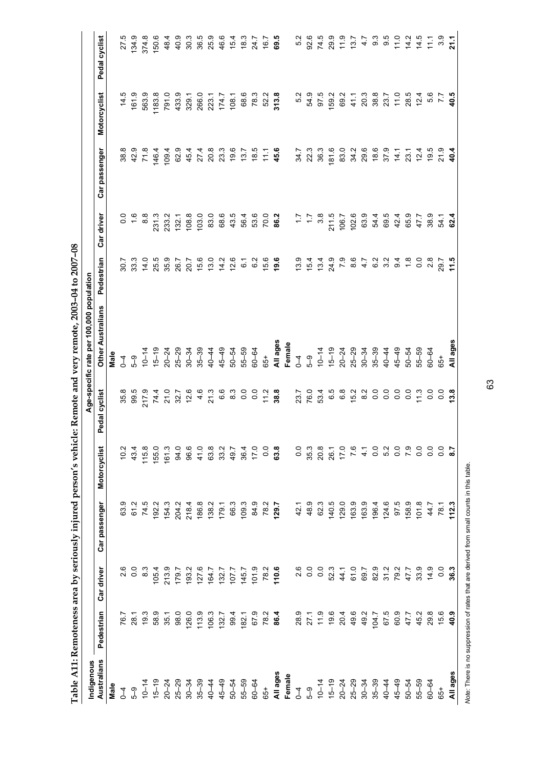| Indigenous                          |                |                |                      |                          |                              | Age-specific rate per 100,000 population         |                                 |                                                     |                                   |                                        |                            |
|-------------------------------------|----------------|----------------|----------------------|--------------------------|------------------------------|--------------------------------------------------|---------------------------------|-----------------------------------------------------|-----------------------------------|----------------------------------------|----------------------------|
| Australians                         | Pedestrian     | Car driver     | Car passenger        | Motorcyclist             | Pedal cyclist                | <b>Other Australians</b>                         | Pedestrian                      | Car driver                                          | Car passenger                     | Motorcyclist                           | Pedal cyclist              |
| Male                                |                |                |                      |                          |                              | Male                                             |                                 |                                                     |                                   |                                        |                            |
| $\sqrt{4}$                          | 76.7           | 2.6            | 63.9                 | 10.2                     |                              |                                                  | SO.7                            |                                                     |                                   | 14.5                                   | 275                        |
| <b>ე</b>                            | 28.1           | $\overline{0}$ | 61.2                 | 43.4                     | 35.5<br>99.5                 | $\frac{6}{4}$ or $\frac{6}{4}$                   | 33.3                            | 0.6                                                 | $38.9$<br>42.9                    | 161.9                                  | 134.9                      |
| $10 - 14$                           | 19.3           | $\frac{3}{8}$  | 74.5                 | 115.8                    | 217.9                        |                                                  | 14.0                            | $\frac{8}{3}$                                       | 71.8                              | 563.9                                  | 374.8                      |
| $15 - 19$                           | 58.9           | 105.4          | 192.2                | 155.0                    |                              |                                                  | 25.5                            |                                                     | 146.4                             | 1183.8                                 | 150.6                      |
|                                     | 35.1           | 213.9          | 154.3                | 161.3                    | 74.4<br>21.0<br>22.7<br>12.6 |                                                  | 35.9<br>26.7                    | 231.3<br>233.2                                      | 109.4                             |                                        | 48.4                       |
|                                     | 98.0           | 179.7          | 204.2                | 94.0                     |                              |                                                  |                                 | 132.1                                               | 62.9                              | 791.0<br>433.9                         | 40.9                       |
| $20 - 24$<br>$25 - 29$<br>$30 - 34$ | 126.0          | 193.2          | 218.4                | 96.6                     |                              | $797878787848666$ $9978878948666$ $997888999666$ | 20.7                            | 108.8                                               |                                   | 329.1                                  | 30.3                       |
| $35 - 39$                           | 113.9          | 127.6          | 186.8                | 41.0                     | 4.6                          |                                                  | 15.6                            | 103.0                                               |                                   | 266.0                                  | 36.5                       |
| $40 - 44$                           | 106.3          | 164.7          | 138.2                | 63.8                     | 21.3                         |                                                  | 13.0                            | 83.0                                                |                                   |                                        | 25.9                       |
| $45 - 49$                           | 132.7          |                | 179.1                | 33.2                     |                              |                                                  |                                 | 68.6                                                |                                   |                                        |                            |
|                                     | 994            | 132.7<br>107.7 | 66.3                 | 49.7                     |                              |                                                  | $14.2$<br>$2.6$                 | 43.5                                                |                                   | 223.1<br>174.7<br>108.1                | $46.4$<br>$16.3$<br>$18.3$ |
| $50 - 54$<br>$55 - 59$<br>$50 - 64$ | 182.1          | 145.7          | 109.3                | 36.4                     | 6.80000000000                |                                                  | 6.1                             | 56.4                                                |                                   | 68.6                                   |                            |
|                                     | 679            | 101.9          | 84.9                 | 17.0                     |                              | $60 - 64$                                        | 6.2                             |                                                     |                                   | 78.3                                   | 24.7                       |
| 65+                                 |                |                | 78.2                 | $\overline{0}$           |                              | 65+                                              | 15.6                            | 53.0<br>70. <b>2</b><br>86.2                        |                                   | 52.2                                   | 16.7                       |
|                                     | $78.2$<br>86.4 | 78.2<br>110.6  | 129.7                | 63.8                     |                              |                                                  | 19.6                            |                                                     |                                   | 313.8                                  | 69.5                       |
| All ages<br>Female                  |                |                |                      |                          |                              | All ages<br>Female                               |                                 |                                                     |                                   |                                        |                            |
|                                     |                | 2.6            | 42.1                 | 0.0                      |                              | $\overline{1}$                                   | 13.9                            |                                                     | 34.7                              | 5.2                                    | 5.2                        |
|                                     | 28.9<br>27.1   | 0.0            | 48.9                 | 35.3                     | 23.7<br>76.0<br>53.4         |                                                  | $15.4$<br>$13.4$                | $7 + 3$<br>$7 + 3$<br>$7 + 3$<br>$7 + 2$<br>$7 + 2$ | 22.3                              | 54.9                                   | 92.6                       |
|                                     | 11.9           | 0.0            | 62.3                 | 20.8                     |                              | $5-9$<br>10-14                                   |                                 |                                                     | 36.3                              | 97.5                                   | 74.5                       |
|                                     | 19.6           | 52.3           | 140.5                |                          | 6.5                          |                                                  | 24.9                            |                                                     | 181.6                             | 59.2                                   | 29.9                       |
|                                     | 20.4           | 44.1           | 129.0                |                          |                              |                                                  |                                 | 106.7                                               | 83.0                              | 69.2                                   |                            |
|                                     | 49.6           | 61.0           | 163.9                | 26.1<br>17.0<br>7.0      | 6.8<br>15.2                  |                                                  |                                 | 102.6                                               |                                   |                                        | $1.9$<br>$1.37$<br>$4.7$   |
|                                     | 49.2           | 69.7           | 163.9                | $\frac{1}{4}$            | $\frac{2}{8}$                |                                                  |                                 | 63.9                                                |                                   |                                        |                            |
|                                     | 104.7          | 82.9           | 196.4                | $\overline{0}$           | $\overline{0}$               |                                                  |                                 | 54.4                                                |                                   |                                        | $9.\overline{3}$           |
| $40 - 44$                           | 67.5           | 31.2           | 124.6                | 5.2                      | 0.0                          |                                                  | 7<br>2007<br>2010<br>2010       | 69.5                                                |                                   | $77.8870954$<br>$78.87284$<br>$78.724$ | 9.5                        |
| $45 - 49$                           | 60.9           | 79.2           | 97.5                 | $\frac{0}{0}$            | 0.0                          |                                                  |                                 |                                                     | 14.1                              |                                        | 11.0                       |
| $50 - 54$                           | 47.7           | 47.7           | 158.9                | $\overline{7}$ .9        |                              | $50 - 54$<br>$55 - 59$<br>$60 - 64$              | $\frac{8}{10}$ or $\frac{1}{2}$ | $48079$<br>$4979$<br>$4979$                         | $23.1$<br>$7.4$<br>$7.5$<br>$7.5$ |                                        | <u>4 4 7</u><br>4 4        |
| $55 - 59$                           | 45.2           | 33.9           | 101.8                | $\frac{0}{2}$            | $0.70$<br>$0.70$             |                                                  |                                 |                                                     |                                   |                                        |                            |
| $60 - 64$                           | 29.8           | 14.9           | 44.7                 | $\overline{0}$           |                              |                                                  | $\frac{8}{2}$                   |                                                     |                                   | 5.6                                    | $\frac{1}{11}$             |
| $65+$                               | $15.9$<br>40.9 | 0.0            | 78.1<br><b>112.3</b> | ိ                        | 0.8                          | 65+                                              | $29.7$<br>11.5                  | 54.1<br>62.4                                        | $21.9$<br>40.4                    | $7.7$<br>40.5                          | 3.9                        |
| All ages                            |                | 36.3           |                      | $\overline{\phantom{a}}$ |                              | All ages                                         |                                 |                                                     |                                   |                                        | $\frac{1}{2}$              |

Table A11: Remoteness area by seriously injured person's vehicle: Remote and very remote, 2003-04 to 2007-08 **Table A11: Remoteness area by seriously injured person's vehicle: Remote and very remote, 2003–04 to 2007–08** 

Note: There is no suppression of rates that are derived from small counts in this table. *Note:* There is no suppression of rates that are derived from small counts in this table.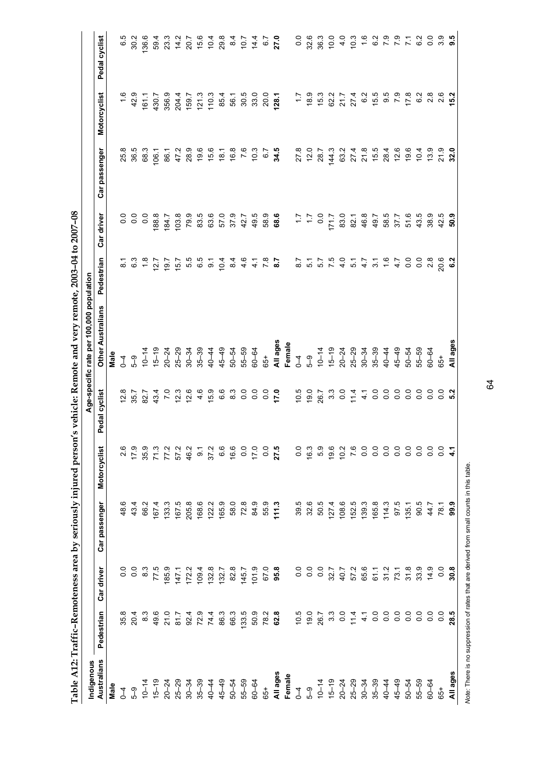|               |                            |                  | Table A12: Traffic-Remoteness area by seriously injured person' |                                                                       |                                     | 's vehicle: Remote and very remote, 2003-04 to 2007-08 |                                 |              |                                                                                                                                                                                                                                                                                                 |                                  |                                            |
|---------------|----------------------------|------------------|-----------------------------------------------------------------|-----------------------------------------------------------------------|-------------------------------------|--------------------------------------------------------|---------------------------------|--------------|-------------------------------------------------------------------------------------------------------------------------------------------------------------------------------------------------------------------------------------------------------------------------------------------------|----------------------------------|--------------------------------------------|
| Indigenous    |                            |                  |                                                                 |                                                                       |                                     | Age-specific rate per 100,000 population               |                                 |              |                                                                                                                                                                                                                                                                                                 |                                  |                                            |
| Australians   | Pedestrian                 | Car driver       | Car passenger                                                   | Motorcyclist                                                          | Pedal cyclist                       | <b>Other Australians</b>                               | Pedestrian                      | Car driver   | Car passenger                                                                                                                                                                                                                                                                                   | Motorcyclist                     | Pedal cyclist                              |
| Male          |                            |                  |                                                                 |                                                                       |                                     | Male                                                   |                                 |              |                                                                                                                                                                                                                                                                                                 |                                  |                                            |
| $\zeta$       | 35.8                       | $\frac{0}{0}$    | ဖ<br>48                                                         | 2.6                                                                   | 12.8                                | $\overline{1}$                                         | $\overline{8}$                  |              | 25.8                                                                                                                                                                                                                                                                                            |                                  | 65                                         |
| 59            | 20.4                       | 0.0              | 43.4                                                            | 17.9                                                                  | 35.7                                | $5-9$                                                  | 6.3                             |              | 36.5                                                                                                                                                                                                                                                                                            | $1.6$<br>42.9                    | 30.2                                       |
| $10 - 14$     | $\frac{3}{8}$              | 8.3              | 66.2                                                            | 35.9                                                                  | 82.7                                | $10 - 14$                                              | $\frac{8}{1}$                   |              | 68.3                                                                                                                                                                                                                                                                                            | 161.1                            | 136.6                                      |
| $15 - 19$     | 49.6                       | 77.5             | 1674                                                            | 71.3                                                                  | 43.4                                | $15 - 19$                                              | 12.7                            | 188.8        | 106.1                                                                                                                                                                                                                                                                                           | 430.7                            |                                            |
| $20 - 24$     | 21.0                       | 185.9            | 133.3                                                           | 77.2                                                                  | $\overline{2}$                      | $20 - 24$<br>$25 - 29$                                 | 19.7                            | 184.7        | 86.1                                                                                                                                                                                                                                                                                            | 356.9                            | 594<br>23.3                                |
| $25 - 29$     | 81.7                       | 147.1            | 167.5                                                           | 57.2                                                                  | 12.3                                |                                                        | 15.7                            | 103.8        | 47.2                                                                                                                                                                                                                                                                                            | 204.4                            | 14.2                                       |
| $30 - 34$     | 92.4                       | 172.2            | 205.8                                                           | 46.2                                                                  | 12.6                                | $30 - 34$                                              |                                 | 79.9         | 28.9                                                                                                                                                                                                                                                                                            | 159.7                            |                                            |
| $35 - 39$     | 72.9                       | 109.4            | 168.6                                                           | $\overline{9}$                                                        | 4.6                                 | $35 - 39$                                              | 5<br>5<br>6<br>6                | 83.5         |                                                                                                                                                                                                                                                                                                 | 121.3                            |                                            |
| 40-44         | 74.4                       | 132.8            | 122.2                                                           | 37.2                                                                  | 15.9                                | $40 - 44$                                              | ္တြ                             | 63.6         |                                                                                                                                                                                                                                                                                                 | 110.3                            |                                            |
| $45 - 49$     | 86.3                       | 132.7            | 165.9                                                           | 6.6                                                                   | 6.6                                 | $45 - 49$                                              | 10.4                            | 57.0         | $9.6$<br>$9.6$<br>$9.7$<br>$9.8$<br>$7.6$<br><br><br><br><br><br><br><br><br><br><br><br><br><br>                                                                                                                                                                                               | 85.4                             | $20.7$<br>$7.6$<br>$7.6$<br>$7.8$<br>$7.8$ |
| $50 - 54$     | 66.3                       | 82.8             | 58.0                                                            | 16.6                                                                  | ္ထိ                                 | $50 - 54$                                              | 84                              | 37.9         |                                                                                                                                                                                                                                                                                                 | 56.1                             | $8\overline{4}$                            |
| $55 - 59$     | 133.5                      | 145.7            | 72.8                                                            | 0.0                                                                   | $\overline{0}$                      | 55-59                                                  | $44 \times 8$<br>$46 - 8$       | 42.7         |                                                                                                                                                                                                                                                                                                 | 30.5                             | 70.7                                       |
| $60 - 64$     | 50.9                       | 101.9            | 84.9                                                            | 17.0                                                                  | $\overline{0}$                      | $60 - 64$                                              |                                 | 49.5         | 10.3                                                                                                                                                                                                                                                                                            | 33.0                             | 14.4                                       |
| 65+           | 78.2                       | 67.0             | 55.9                                                            | $\overline{0}$ .                                                      | $0.0$<br>17.0                       | $65+$                                                  |                                 | 58.9<br>68.  | $6.7$<br>34.5                                                                                                                                                                                                                                                                                   | 20.0                             |                                            |
| All ages      | 62.8                       | 95.8             | 111.3                                                           | 27.5                                                                  |                                     | All ages                                               |                                 |              |                                                                                                                                                                                                                                                                                                 | 128.1                            | $6.7$<br>27.0                              |
| Female        |                            |                  |                                                                 |                                                                       |                                     | Female                                                 |                                 |              |                                                                                                                                                                                                                                                                                                 |                                  |                                            |
| $\mathcal{L}$ |                            | 0.0              | 39.5                                                            | $\overline{0}$ .                                                      |                                     | $\overline{1}$                                         |                                 |              |                                                                                                                                                                                                                                                                                                 |                                  |                                            |
| 5–3           |                            | $\frac{0}{2}$    | 32.6                                                            | 16.3                                                                  | $10.5$<br>$19.0$                    |                                                        |                                 |              | 27.8<br>12.0                                                                                                                                                                                                                                                                                    |                                  | $0.0$<br>32.6                              |
| $10 - 14$     | $79.0$<br>$79.0$<br>$26.7$ | $\overline{0}$ . | 50.5                                                            | 5.9                                                                   | 26.7                                | $5-9$<br>10-14                                         | $777$<br>5.7<br>5.7<br>9.9<br>9 | $0.5 + 0.0$  | 28.7                                                                                                                                                                                                                                                                                            | $7.7$<br>$9.9$<br>$1.7$<br>$1.7$ | 36.3                                       |
| $15 - 19$     | $3.\overline{3}$           | 32.7             | 127.4                                                           | 19.6                                                                  | $3.\overline{3}$                    |                                                        |                                 | 171.7        | 144.3                                                                                                                                                                                                                                                                                           | 62.2                             | 10.0                                       |
| $20 - 24$     | $\overline{0}$             | 40.7             | 108.6                                                           | 10.2                                                                  | 0.0                                 | $15-19$<br>$20-24$<br>$25-29$<br>$35-39$               | 4.0                             | 83.0         | 63.2                                                                                                                                                                                                                                                                                            | 21.7                             | 4.0                                        |
| $25 - 29$     |                            | 57.2             | 152.5                                                           | 7.6                                                                   | 11.4                                |                                                        | 5.1                             | 82.1         | $27.4$<br>$21.8$                                                                                                                                                                                                                                                                                | 27.4                             | 10.3                                       |
| $30 - 34$     |                            | 65.6             | 139.3                                                           | $\overline{0}$                                                        | $\frac{1}{4}$                       |                                                        |                                 | 46.8         |                                                                                                                                                                                                                                                                                                 |                                  | $\frac{6}{1}$                              |
| $35 - 39$     |                            | 61.1             | 165.8                                                           |                                                                       | $\overline{0}$ .                    |                                                        | $49.7670$<br>$77.670$           | 49.7         |                                                                                                                                                                                                                                                                                                 | $6.2$<br>$6.5$                   |                                            |
| $40 - 44$     |                            | 31.2             | 114.3                                                           |                                                                       |                                     | $40 - 44$                                              |                                 |              |                                                                                                                                                                                                                                                                                                 |                                  |                                            |
| $45 - 49$     |                            | 73.1             | 97.5                                                            |                                                                       | $rac{8}{5}$ $rac{8}{5}$ $rac{8}{5}$ | $45 - 49$                                              |                                 | 58.5<br>37.7 |                                                                                                                                                                                                                                                                                                 | 8 7 7<br>9 7 7 8                 |                                            |
| $50 - 54$     | 74000000                   | 31.8             | 135.1                                                           | $\begin{array}{c} 0 & 0 & 0 & 0 & 0 \\ 0 & 0 & 0 & 0 & 0 \end{array}$ |                                     | $50 - 54$                                              |                                 | 51.6         | $\begin{array}{cccccc} 1.5 & 0.7 & 0.7 & 0.7 \\ 0.7 & 0.7 & 0.7 & 0.7 \\ 0.7 & 0.7 & 0.7 & 0.7 \\ 0.7 & 0.7 & 0.7 & 0.7 \\ 0.7 & 0.7 & 0.7 & 0.7 \\ 0.7 & 0.7 & 0.7 & 0.7 \\ 0.7 & 0.7 & 0.7 & 0.7 \\ 0.7 & 0.7 & 0.7 & 0.7 \\ 0.7 & 0.7 & 0.7 & 0.7 \\ 0.7 & 0.7 & 0.7 & 0.7 \\ 0.7 & 0.7 & 0$ |                                  | 7 7 7 7<br>0 7 7 9<br>0 7 7 9              |
| $55 - 59$     |                            | 33.9             | 90.5                                                            |                                                                       | $\overline{0}$                      | 55-59                                                  | $\overline{0}$                  | 43.5         |                                                                                                                                                                                                                                                                                                 | 6.2                              | 6.2                                        |
| $60 - 64$     | $\overline{0}$ .           | 14.9             | 44.7                                                            | $\overline{0}$ .                                                      | $\overline{0}$ .                    | $60 - 64$                                              | $\frac{8}{2}$                   | 38.9         | 13.9                                                                                                                                                                                                                                                                                            | 2.8                              | $\overline{0}$                             |
| $65+$         | $\overline{0}$             | 0.0              | 78.1                                                            | $\overline{0}$                                                        | ី ង<br>ស                            | 65+                                                    | 20.6                            | 42.5         | $21.9$<br>32.0                                                                                                                                                                                                                                                                                  | 2.6                              | 3.9                                        |
| All ages      | 28.5                       | 30.8             | 99.9                                                            | $\frac{1}{4}$                                                         |                                     | All ages                                               | 6.2                             | 50.9         |                                                                                                                                                                                                                                                                                                 | 15.2                             | 9.5                                        |

Note: There is no suppression of rates that are derived from small counts in this table. *Note:* There is no suppression of rates that are derived from small counts in this table.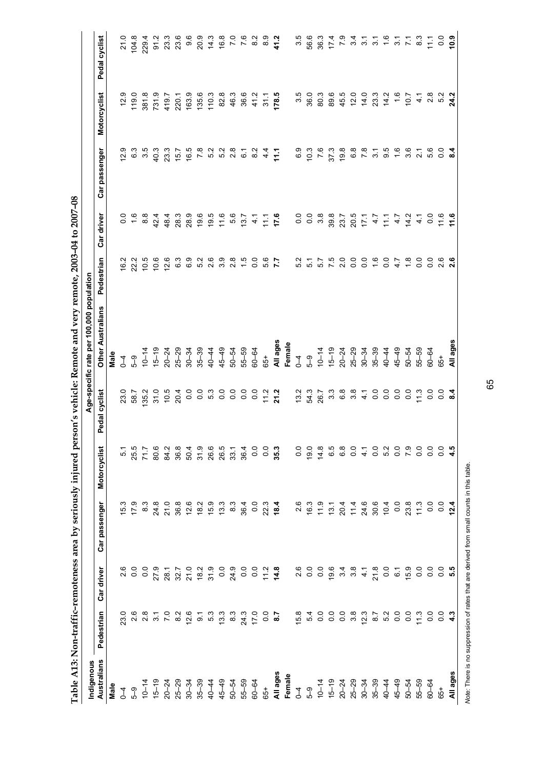| Indigenous                                        |                                                                                                                                                                                                                                                              |                                                                                                                                                                                                                                                                                                                                                                                                                                                 |                                                                                   |                                            |                                                                                                                                                                                                                                                                                                                                                                                                                                                                                                                                                           | Age-specific rate per 100,000 population |                                                                                  |                                                                   |                         |                         |                                                                                         |
|---------------------------------------------------|--------------------------------------------------------------------------------------------------------------------------------------------------------------------------------------------------------------------------------------------------------------|-------------------------------------------------------------------------------------------------------------------------------------------------------------------------------------------------------------------------------------------------------------------------------------------------------------------------------------------------------------------------------------------------------------------------------------------------|-----------------------------------------------------------------------------------|--------------------------------------------|-----------------------------------------------------------------------------------------------------------------------------------------------------------------------------------------------------------------------------------------------------------------------------------------------------------------------------------------------------------------------------------------------------------------------------------------------------------------------------------------------------------------------------------------------------------|------------------------------------------|----------------------------------------------------------------------------------|-------------------------------------------------------------------|-------------------------|-------------------------|-----------------------------------------------------------------------------------------|
| Australians                                       | Pedestrian                                                                                                                                                                                                                                                   | Car driver                                                                                                                                                                                                                                                                                                                                                                                                                                      | Car passenger                                                                     | Motorcyclist                               | Pedal cyclist                                                                                                                                                                                                                                                                                                                                                                                                                                                                                                                                             | <b>Other Australians</b>                 | Pedestrian                                                                       | Car driver                                                        | Car passenger           | Motorcyclist            | Pedal cyclist                                                                           |
| Male                                              |                                                                                                                                                                                                                                                              |                                                                                                                                                                                                                                                                                                                                                                                                                                                 |                                                                                   |                                            |                                                                                                                                                                                                                                                                                                                                                                                                                                                                                                                                                           | Male                                     |                                                                                  |                                                                   |                         |                         |                                                                                         |
| $\mathfrak{g}$                                    |                                                                                                                                                                                                                                                              |                                                                                                                                                                                                                                                                                                                                                                                                                                                 |                                                                                   | 51                                         |                                                                                                                                                                                                                                                                                                                                                                                                                                                                                                                                                           |                                          | 16.2                                                                             |                                                                   | 12.9                    |                         | 21.0                                                                                    |
| 5-9                                               |                                                                                                                                                                                                                                                              | 8<br>0.0                                                                                                                                                                                                                                                                                                                                                                                                                                        | $\begin{array}{ccc} 1 & 0 & 0 & 0 \\ 0 & 0 & 0 & 0 \\ -1 & 0 & 0 & 0 \end{array}$ | 25.5                                       | 23.0<br>58.7                                                                                                                                                                                                                                                                                                                                                                                                                                                                                                                                              | $10^{6}$                                 | 22.2                                                                             | 0.6                                                               |                         | 119.0                   | 104.8                                                                                   |
|                                                   |                                                                                                                                                                                                                                                              |                                                                                                                                                                                                                                                                                                                                                                                                                                                 |                                                                                   | 71.7                                       | 135.2                                                                                                                                                                                                                                                                                                                                                                                                                                                                                                                                                     |                                          | 10.5                                                                             | 8.8                                                               | 6 .<br>6 .<br>6 .       |                         | 229.4                                                                                   |
|                                                   |                                                                                                                                                                                                                                                              |                                                                                                                                                                                                                                                                                                                                                                                                                                                 |                                                                                   |                                            |                                                                                                                                                                                                                                                                                                                                                                                                                                                                                                                                                           |                                          | 10.6                                                                             | 42.4                                                              | 40.3                    | 381.8<br>731.9<br>419.7 |                                                                                         |
|                                                   |                                                                                                                                                                                                                                                              |                                                                                                                                                                                                                                                                                                                                                                                                                                                 |                                                                                   |                                            |                                                                                                                                                                                                                                                                                                                                                                                                                                                                                                                                                           |                                          | 12.6                                                                             | 48.4                                                              | 23.3                    |                         |                                                                                         |
|                                                   | 8.2                                                                                                                                                                                                                                                          |                                                                                                                                                                                                                                                                                                                                                                                                                                                 |                                                                                   |                                            |                                                                                                                                                                                                                                                                                                                                                                                                                                                                                                                                                           |                                          | 6.3                                                                              | 28.3                                                              | 15.7                    | 220.1                   |                                                                                         |
| $10 - 74$ $15 - 24$ $20 - 24$ $20 - 34$ $20 - 34$ | $25$<br>$25$<br>$25$<br>$25$<br>$25$<br>$25$<br>$25$<br>$25$<br>$25$<br>$25$<br>$25$<br>$25$                                                                                                                                                                 | o o r r o d o o o o o d a<br>o d a d d a d o d a d o d a d a d o o                                                                                                                                                                                                                                                                                                                                                                              |                                                                                   | 8 2 3 3 4 5 6 6 7 4<br>8 3 5 6 7 8 9 8 9 8 | $\begin{array}{l} \mathcal{Q}\quad \mathcal{Q}\quad \mathcal{Q}\quad \mathcal{Q}\quad \mathcal{Q}\quad \mathcal{Q}\quad \mathcal{Q}\quad \mathcal{Q}\quad \mathcal{Q}\quad \mathcal{Q}\quad \mathcal{Q}\quad \mathcal{Q}\quad \mathcal{Q}\quad \mathcal{Q}\quad \mathcal{Q}\quad \mathcal{Q}\quad \mathcal{Q}\quad \mathcal{Q}\quad \mathcal{Q}\quad \mathcal{Q}\quad \mathcal{Q}\quad \mathcal{Q}\quad \mathcal{Q}\quad \mathcal{Q}\quad \mathcal{Q}\quad \mathcal{Q}\quad \mathcal{Q}\quad \mathcal{Q}\quad \mathcal{Q}\quad \mathcal{Q}\quad \mathcal$ |                                          | 6.9                                                                              | 28.9                                                              | 16.5                    | 163.9                   | 9.6                                                                                     |
|                                                   |                                                                                                                                                                                                                                                              |                                                                                                                                                                                                                                                                                                                                                                                                                                                 |                                                                                   |                                            |                                                                                                                                                                                                                                                                                                                                                                                                                                                                                                                                                           |                                          | 52                                                                               |                                                                   | $\overline{7}$ .8       | 135.6                   | 20.9                                                                                    |
|                                                   |                                                                                                                                                                                                                                                              |                                                                                                                                                                                                                                                                                                                                                                                                                                                 |                                                                                   |                                            |                                                                                                                                                                                                                                                                                                                                                                                                                                                                                                                                                           |                                          | ە<br>2                                                                           |                                                                   |                         | 110.3                   |                                                                                         |
|                                                   |                                                                                                                                                                                                                                                              |                                                                                                                                                                                                                                                                                                                                                                                                                                                 |                                                                                   |                                            |                                                                                                                                                                                                                                                                                                                                                                                                                                                                                                                                                           |                                          | 3.9                                                                              |                                                                   |                         | 82.8                    |                                                                                         |
|                                                   |                                                                                                                                                                                                                                                              |                                                                                                                                                                                                                                                                                                                                                                                                                                                 |                                                                                   |                                            |                                                                                                                                                                                                                                                                                                                                                                                                                                                                                                                                                           | $50 - 54$<br>$55 - 59$<br>$60 - 64$      | $\frac{8}{2}$                                                                    | $(9.5 6 6 6)$<br>$(9.5 6 6)$<br>$(10.7 6)$                        | 0 0 0<br>0 0 0<br>0 0 0 | 46.3                    | $74.3$<br>$76.0$<br>$76.0$                                                              |
|                                                   |                                                                                                                                                                                                                                                              |                                                                                                                                                                                                                                                                                                                                                                                                                                                 |                                                                                   |                                            |                                                                                                                                                                                                                                                                                                                                                                                                                                                                                                                                                           |                                          | $\frac{15}{0}$                                                                   |                                                                   |                         | 36.6                    |                                                                                         |
|                                                   |                                                                                                                                                                                                                                                              |                                                                                                                                                                                                                                                                                                                                                                                                                                                 |                                                                                   | $\overline{0.0}$                           |                                                                                                                                                                                                                                                                                                                                                                                                                                                                                                                                                           |                                          |                                                                                  |                                                                   |                         | 41.2                    | $\frac{2}{8}$                                                                           |
| $65+$                                             |                                                                                                                                                                                                                                                              |                                                                                                                                                                                                                                                                                                                                                                                                                                                 |                                                                                   | $\overline{0}$ .                           |                                                                                                                                                                                                                                                                                                                                                                                                                                                                                                                                                           | $65+$                                    | 5.6                                                                              |                                                                   |                         | 31.1                    | ္ထိ                                                                                     |
| All ages<br>Female                                | $rac{0}{8}$                                                                                                                                                                                                                                                  |                                                                                                                                                                                                                                                                                                                                                                                                                                                 |                                                                                   | 35.3                                       |                                                                                                                                                                                                                                                                                                                                                                                                                                                                                                                                                           |                                          | $\overline{5}$                                                                   | $471$<br>$776$                                                    | $0.947$<br>$0.947$      | 178.5                   | 41.2                                                                                    |
|                                                   |                                                                                                                                                                                                                                                              |                                                                                                                                                                                                                                                                                                                                                                                                                                                 |                                                                                   |                                            |                                                                                                                                                                                                                                                                                                                                                                                                                                                                                                                                                           | All ages<br>Female                       |                                                                                  |                                                                   |                         |                         |                                                                                         |
|                                                   | $\begin{array}{l} \tilde{\mathbf{h}} & \mathbf{h} & \mathbf{c} & \mathbf{c} & \mathbf{c} \\ \tilde{\mathbf{w}} & \mathbf{h} & \mathbf{c} & \mathbf{c} & \mathbf{c} \\ \tilde{\mathbf{w}} & \mathbf{h} & \mathbf{c} & \mathbf{c} & \mathbf{c} \\ \end{array}$ |                                                                                                                                                                                                                                                                                                                                                                                                                                                 |                                                                                   | $\frac{0}{2}$                              | 13.2                                                                                                                                                                                                                                                                                                                                                                                                                                                                                                                                                      |                                          | 5.2                                                                              |                                                                   |                         |                         | 3.5                                                                                     |
|                                                   |                                                                                                                                                                                                                                                              |                                                                                                                                                                                                                                                                                                                                                                                                                                                 |                                                                                   | 19.0                                       | 54.3                                                                                                                                                                                                                                                                                                                                                                                                                                                                                                                                                      |                                          | $\overline{5}$ .                                                                 | $\begin{array}{ccc} 0 & 0 & \infty \\ 0 & 0 & \infty \end{array}$ |                         | 36.0                    |                                                                                         |
|                                                   |                                                                                                                                                                                                                                                              |                                                                                                                                                                                                                                                                                                                                                                                                                                                 |                                                                                   | 14.8                                       | 26.7                                                                                                                                                                                                                                                                                                                                                                                                                                                                                                                                                      |                                          |                                                                                  |                                                                   |                         | 80.3                    |                                                                                         |
|                                                   |                                                                                                                                                                                                                                                              |                                                                                                                                                                                                                                                                                                                                                                                                                                                 |                                                                                   | 6.5                                        |                                                                                                                                                                                                                                                                                                                                                                                                                                                                                                                                                           |                                          |                                                                                  |                                                                   | 37.3                    | 89.6                    |                                                                                         |
|                                                   |                                                                                                                                                                                                                                                              |                                                                                                                                                                                                                                                                                                                                                                                                                                                 |                                                                                   | 6.8                                        |                                                                                                                                                                                                                                                                                                                                                                                                                                                                                                                                                           |                                          |                                                                                  |                                                                   | 19.8                    |                         |                                                                                         |
|                                                   |                                                                                                                                                                                                                                                              |                                                                                                                                                                                                                                                                                                                                                                                                                                                 |                                                                                   | $\frac{0}{2}$                              | 368700                                                                                                                                                                                                                                                                                                                                                                                                                                                                                                                                                    |                                          | 5<br>5<br>5<br>5<br>5<br>5<br>5<br>5<br>5<br>5<br>5<br>5<br>5<br>5<br>5<br>5<br> |                                                                   |                         | 45.5<br>12.0            | $60010101$<br>$6001001$                                                                 |
|                                                   |                                                                                                                                                                                                                                                              |                                                                                                                                                                                                                                                                                                                                                                                                                                                 |                                                                                   | $\frac{1}{4}$                              |                                                                                                                                                                                                                                                                                                                                                                                                                                                                                                                                                           |                                          |                                                                                  |                                                                   | 6.8<br>7.8              | 14.0                    |                                                                                         |
|                                                   |                                                                                                                                                                                                                                                              |                                                                                                                                                                                                                                                                                                                                                                                                                                                 |                                                                                   | 0.0                                        |                                                                                                                                                                                                                                                                                                                                                                                                                                                                                                                                                           |                                          |                                                                                  |                                                                   | $\frac{1}{3}$           | 23.3                    |                                                                                         |
|                                                   |                                                                                                                                                                                                                                                              |                                                                                                                                                                                                                                                                                                                                                                                                                                                 |                                                                                   | 5.2                                        |                                                                                                                                                                                                                                                                                                                                                                                                                                                                                                                                                           |                                          | 0.0                                                                              |                                                                   | 9.G                     | 14.2                    |                                                                                         |
|                                                   |                                                                                                                                                                                                                                                              |                                                                                                                                                                                                                                                                                                                                                                                                                                                 |                                                                                   | $\overline{0}$ .                           | $\overline{0}$ .                                                                                                                                                                                                                                                                                                                                                                                                                                                                                                                                          |                                          |                                                                                  |                                                                   | $\frac{6}{1}$           |                         |                                                                                         |
| 50-54                                             |                                                                                                                                                                                                                                                              | $\begin{array}{l} \tilde{\varphi} \hspace{0.1cm} \dot{\varphi} \hspace{0.1cm} \dot{\varphi} \hspace{0.1cm} \dot{\varphi} \hspace{0.1cm} \dot{\varphi} \hspace{0.1cm} \dot{\varphi} \hspace{0.1cm} \dot{\varphi} \hspace{0.1cm} \dot{\varphi} \hspace{0.1cm} \dot{\varphi} \hspace{0.1cm} \dot{\varphi} \hspace{0.1cm} \dot{\varphi} \hspace{0.1cm} \dot{\varphi} \hspace{0.1cm} \dot{\varphi} \hspace{0.1cm} \dot{\varphi} \hspace{0.1cm} \dot$ |                                                                                   | $\overline{7}$ .9                          |                                                                                                                                                                                                                                                                                                                                                                                                                                                                                                                                                           | $50 - 54$                                | $4.\overline{7}$<br>$-1.\overline{8}$                                            | 8<br>8 8 9 7 4 7 4 7 4 9<br>8 9 7 6 7 7 7 7 8 7 9                 | 3.6                     | 10.7                    | $\begin{array}{ccccccccc}\n7 & 0 & 7 & 7 & 0 & 7 \\ 7 & 0 & 7 & 7 & 0 & 7\n\end{array}$ |
| 55-59                                             |                                                                                                                                                                                                                                                              |                                                                                                                                                                                                                                                                                                                                                                                                                                                 |                                                                                   | $\frac{0}{0}$                              |                                                                                                                                                                                                                                                                                                                                                                                                                                                                                                                                                           | $55 - 59$                                | $\overline{0}$ .                                                                 |                                                                   | $\frac{2}{3}$           | $\frac{1}{4}$           |                                                                                         |
| 60-64                                             |                                                                                                                                                                                                                                                              |                                                                                                                                                                                                                                                                                                                                                                                                                                                 |                                                                                   | $\frac{0}{0}$                              |                                                                                                                                                                                                                                                                                                                                                                                                                                                                                                                                                           | $60 - 64$                                | $\frac{0}{2}$                                                                    |                                                                   | 5.6                     | $\frac{8}{2}$           |                                                                                         |
| $65 +$                                            | $\frac{0}{9}$ 3                                                                                                                                                                                                                                              | ី<br>ខុង                                                                                                                                                                                                                                                                                                                                                                                                                                        | 0.4                                                                               | $\frac{0}{0}$                              | $\frac{6}{9}$                                                                                                                                                                                                                                                                                                                                                                                                                                                                                                                                             | 65+                                      |                                                                                  | $\frac{6}{11}$ 5                                                  | $\frac{1}{2}$           | $\frac{5}{2}$           | း<br>၁၀<br>၁                                                                            |
| All ages                                          |                                                                                                                                                                                                                                                              |                                                                                                                                                                                                                                                                                                                                                                                                                                                 |                                                                                   |                                            |                                                                                                                                                                                                                                                                                                                                                                                                                                                                                                                                                           | All ages                                 | 2.6                                                                              |                                                                   |                         | 24.2                    |                                                                                         |

Table A13: Non-traffic-remoteness area by seriously injured person's vehicle: Remote and very remote, 2003-04 to 2007-08 **Table A13: Non-traffic–remoteness area by seriously injured person's vehicle: Remote and very remote, 2003–04 to 2007–08** 

Note: There is no suppression of rates that are derived from small counts in this table. *Note:* There is no suppression of rates that are derived from small counts in this table.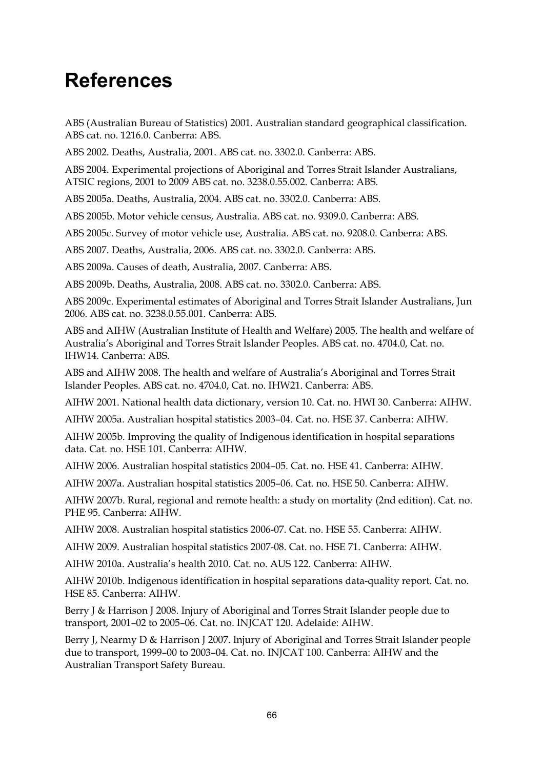# **References**

ABS (Australian Bureau of Statistics) 2001. Australian standard geographical classification. ABS cat. no. 1216.0. Canberra: ABS.

ABS 2002. Deaths, Australia, 2001. ABS cat. no. 3302.0. Canberra: ABS.

ABS 2004. Experimental projections of Aboriginal and Torres Strait Islander Australians, ATSIC regions, 2001 to 2009 ABS cat. no. 3238.0.55.002. Canberra: ABS.

ABS 2005a. Deaths, Australia, 2004. ABS cat. no. 3302.0. Canberra: ABS.

ABS 2005b. Motor vehicle census, Australia. ABS cat. no. 9309.0. Canberra: ABS.

ABS 2005c. Survey of motor vehicle use, Australia. ABS cat. no. 9208.0. Canberra: ABS.

ABS 2007. Deaths, Australia, 2006. ABS cat. no. 3302.0. Canberra: ABS.

ABS 2009a. Causes of death, Australia, 2007. Canberra: ABS.

ABS 2009b. Deaths, Australia, 2008. ABS cat. no. 3302.0. Canberra: ABS.

ABS 2009c. Experimental estimates of Aboriginal and Torres Strait Islander Australians, Jun 2006. ABS cat. no. 3238.0.55.001. Canberra: ABS.

ABS and AIHW (Australian Institute of Health and Welfare) 2005. The health and welfare of Australia's Aboriginal and Torres Strait Islander Peoples. ABS cat. no. 4704.0, Cat. no. IHW14. Canberra: ABS.

ABS and AIHW 2008. The health and welfare of Australia's Aboriginal and Torres Strait Islander Peoples. ABS cat. no. 4704.0, Cat. no. IHW21. Canberra: ABS.

AIHW 2001. National health data dictionary, version 10. Cat. no. HWI 30. Canberra: AIHW.

AIHW 2005a. Australian hospital statistics 2003–04. Cat. no. HSE 37. Canberra: AIHW.

AIHW 2005b. Improving the quality of Indigenous identification in hospital separations data. Cat. no. HSE 101. Canberra: AIHW.

AIHW 2006. Australian hospital statistics 2004–05. Cat. no. HSE 41. Canberra: AIHW.

AIHW 2007a. Australian hospital statistics 2005–06. Cat. no. HSE 50. Canberra: AIHW.

AIHW 2007b. Rural, regional and remote health: a study on mortality (2nd edition). Cat. no. PHE 95. Canberra: AIHW.

AIHW 2008. Australian hospital statistics 2006-07. Cat. no. HSE 55. Canberra: AIHW.

AIHW 2009. Australian hospital statistics 2007-08. Cat. no. HSE 71. Canberra: AIHW.

AIHW 2010a. Australia's health 2010. Cat. no. AUS 122. Canberra: AIHW.

AIHW 2010b. Indigenous identification in hospital separations data-quality report. Cat. no. HSE 85. Canberra: AIHW.

Berry J & Harrison J 2008. Injury of Aboriginal and Torres Strait Islander people due to transport, 2001–02 to 2005–06. Cat. no. INJCAT 120. Adelaide: AIHW.

Berry J, Nearmy D & Harrison J 2007. Injury of Aboriginal and Torres Strait Islander people due to transport, 1999–00 to 2003–04. Cat. no. INJCAT 100. Canberra: AIHW and the Australian Transport Safety Bureau.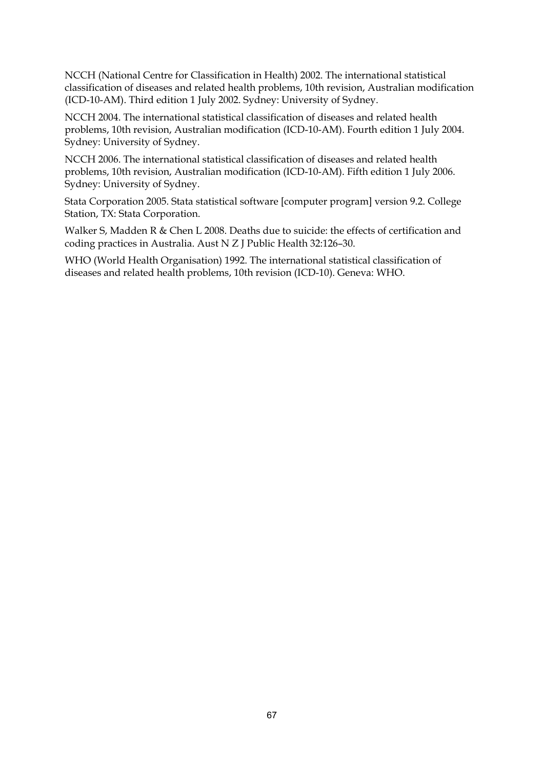NCCH (National Centre for Classification in Health) 2002. The international statistical classification of diseases and related health problems, 10th revision, Australian modification (ICD-10-AM). Third edition 1 July 2002. Sydney: University of Sydney.

NCCH 2004. The international statistical classification of diseases and related health problems, 10th revision, Australian modification (ICD-10-AM). Fourth edition 1 July 2004. Sydney: University of Sydney.

NCCH 2006. The international statistical classification of diseases and related health problems, 10th revision, Australian modification (ICD-10-AM). Fifth edition 1 July 2006. Sydney: University of Sydney.

Stata Corporation 2005. Stata statistical software [computer program] version 9.2. College Station, TX: Stata Corporation.

Walker S, Madden R & Chen L 2008. Deaths due to suicide: the effects of certification and coding practices in Australia. Aust N Z J Public Health 32:126–30.

WHO (World Health Organisation) 1992. The international statistical classification of diseases and related health problems, 10th revision (ICD-10). Geneva: WHO.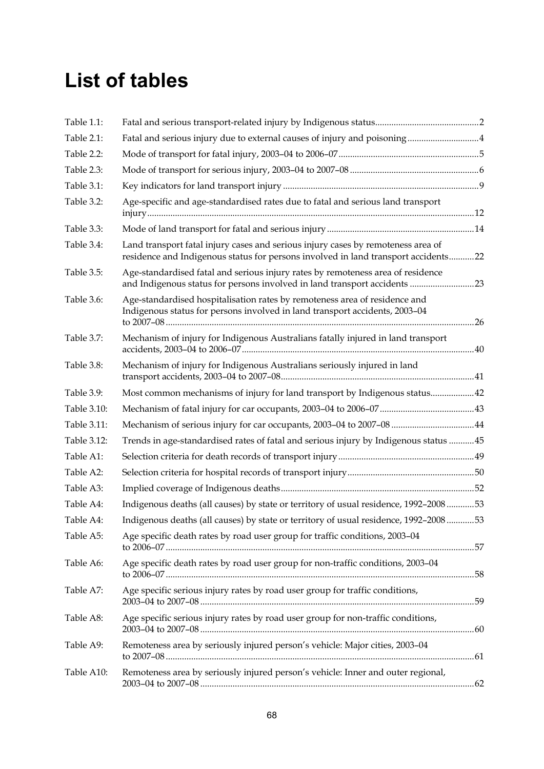## **List of tables**

| Table 1.1:  |                                                                                                                                                                        |  |
|-------------|------------------------------------------------------------------------------------------------------------------------------------------------------------------------|--|
| Table 2.1:  | Fatal and serious injury due to external causes of injury and poisoning4                                                                                               |  |
| Table 2.2:  |                                                                                                                                                                        |  |
| Table 2.3:  |                                                                                                                                                                        |  |
| Table 3.1:  |                                                                                                                                                                        |  |
| Table 3.2:  | Age-specific and age-standardised rates due to fatal and serious land transport                                                                                        |  |
| Table 3.3:  |                                                                                                                                                                        |  |
| Table 3.4:  | Land transport fatal injury cases and serious injury cases by remoteness area of<br>residence and Indigenous status for persons involved in land transport accidents22 |  |
| Table 3.5:  | Age-standardised fatal and serious injury rates by remoteness area of residence<br>and Indigenous status for persons involved in land transport accidents 23           |  |
| Table 3.6:  | Age-standardised hospitalisation rates by remoteness area of residence and<br>Indigenous status for persons involved in land transport accidents, 2003-04              |  |
| Table 3.7:  | Mechanism of injury for Indigenous Australians fatally injured in land transport                                                                                       |  |
| Table 3.8:  | Mechanism of injury for Indigenous Australians seriously injured in land                                                                                               |  |
| Table 3.9:  | Most common mechanisms of injury for land transport by Indigenous status 42                                                                                            |  |
| Table 3.10: |                                                                                                                                                                        |  |
| Table 3.11: | Mechanism of serious injury for car occupants, 2003-04 to 2007-08 44                                                                                                   |  |
| Table 3.12: | Trends in age-standardised rates of fatal and serious injury by Indigenous status 45                                                                                   |  |
| Table A1:   |                                                                                                                                                                        |  |
| Table A2:   |                                                                                                                                                                        |  |
| Table A3:   |                                                                                                                                                                        |  |
| Table A4:   | Indigenous deaths (all causes) by state or territory of usual residence, 1992-200853                                                                                   |  |
| Table A4:   | Indigenous deaths (all causes) by state or territory of usual residence, 1992-200853                                                                                   |  |
| Table A5:   | Age specific death rates by road user group for traffic conditions, 2003-04                                                                                            |  |
| Table A6:   | Age specific death rates by road user group for non-traffic conditions, 2003-04                                                                                        |  |
| Table A7:   | Age specific serious injury rates by road user group for traffic conditions,                                                                                           |  |
| Table A8:   | Age specific serious injury rates by road user group for non-traffic conditions,                                                                                       |  |
| Table A9:   | Remoteness area by seriously injured person's vehicle: Major cities, 2003-04                                                                                           |  |
| Table A10:  | Remoteness area by seriously injured person's vehicle: Inner and outer regional,                                                                                       |  |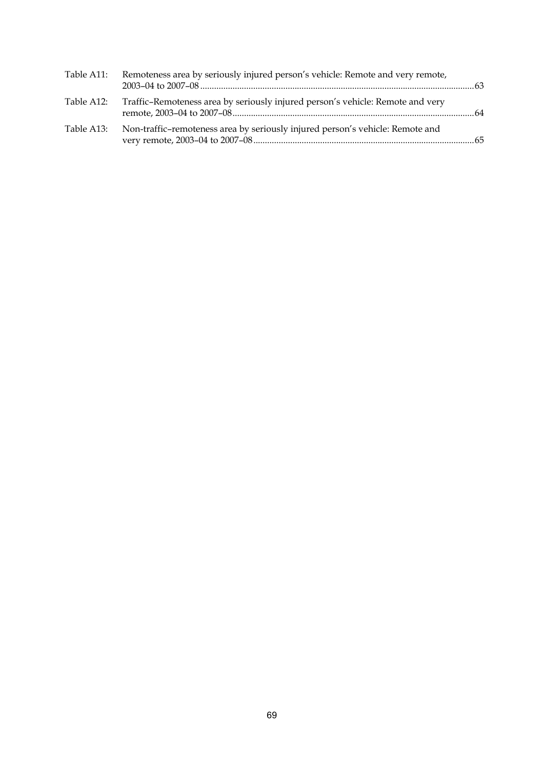| Table A11: | Remoteness area by seriously injured person's vehicle: Remote and very remote, |  |
|------------|--------------------------------------------------------------------------------|--|
| Table A12: | Traffic-Remoteness area by seriously injured person's vehicle: Remote and very |  |
| Table A13: | Non-traffic-remoteness area by seriously injured person's vehicle: Remote and  |  |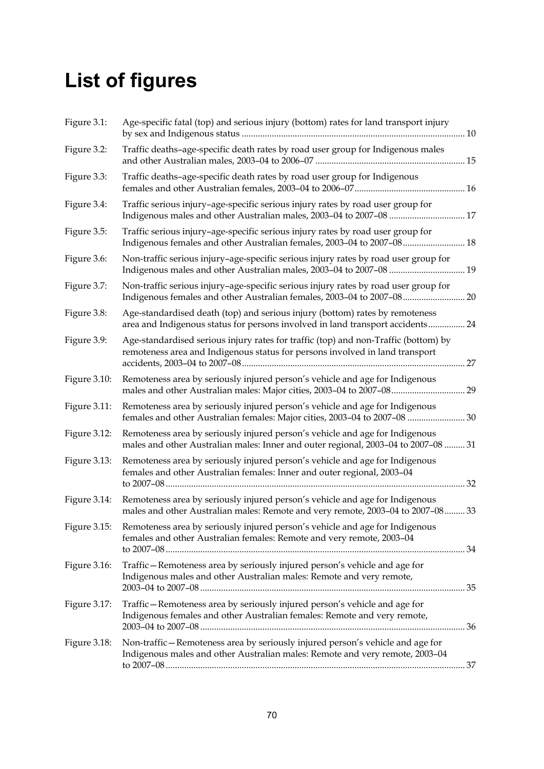## **List of figures**

| Figure 3.1:  | Age-specific fatal (top) and serious injury (bottom) rates for land transport injury                                                                                |    |
|--------------|---------------------------------------------------------------------------------------------------------------------------------------------------------------------|----|
| Figure 3.2:  | Traffic deaths-age-specific death rates by road user group for Indigenous males                                                                                     |    |
| Figure 3.3:  | Traffic deaths-age-specific death rates by road user group for Indigenous                                                                                           |    |
| Figure 3.4:  | Traffic serious injury-age-specific serious injury rates by road user group for                                                                                     |    |
| Figure 3.5:  | Traffic serious injury-age-specific serious injury rates by road user group for<br>Indigenous females and other Australian females, 2003-04 to 2007-08 18           |    |
| Figure 3.6:  | Non-traffic serious injury-age-specific serious injury rates by road user group for<br>Indigenous males and other Australian males, 2003-04 to 2007-08  19          |    |
| Figure 3.7:  | Non-traffic serious injury-age-specific serious injury rates by road user group for<br>Indigenous females and other Australian females, 2003-04 to 2007-08 20       |    |
| Figure 3.8:  | Age-standardised death (top) and serious injury (bottom) rates by remoteness<br>area and Indigenous status for persons involved in land transport accidents 24      |    |
| Figure 3.9:  | Age-standardised serious injury rates for traffic (top) and non-Traffic (bottom) by<br>remoteness area and Indigenous status for persons involved in land transport | 27 |
| Figure 3.10: | Remoteness area by seriously injured person's vehicle and age for Indigenous                                                                                        |    |
| Figure 3.11: | Remoteness area by seriously injured person's vehicle and age for Indigenous<br>females and other Australian females: Major cities, 2003-04 to 2007-08  30          |    |
| Figure 3.12: | Remoteness area by seriously injured person's vehicle and age for Indigenous<br>males and other Australian males: Inner and outer regional, 2003-04 to 2007-08  31  |    |
| Figure 3.13: | Remoteness area by seriously injured person's vehicle and age for Indigenous<br>females and other Australian females: Inner and outer regional, 2003-04<br>32       |    |
| Figure 3.14: | Remoteness area by seriously injured person's vehicle and age for Indigenous<br>males and other Australian males: Remote and very remote, 2003-04 to 2007-08 33     |    |
| Figure 3.15: | Remoteness area by seriously injured person's vehicle and age for Indigenous<br>females and other Australian females: Remote and very remote, 2003-04               |    |
| Figure 3.16: | Traffic - Remoteness area by seriously injured person's vehicle and age for<br>Indigenous males and other Australian males: Remote and very remote,                 |    |
| Figure 3.17: | Traffic-Remoteness area by seriously injured person's vehicle and age for<br>Indigenous females and other Australian females: Remote and very remote,               |    |
| Figure 3.18: | Non-traffic - Remoteness area by seriously injured person's vehicle and age for<br>Indigenous males and other Australian males: Remote and very remote, 2003-04     |    |